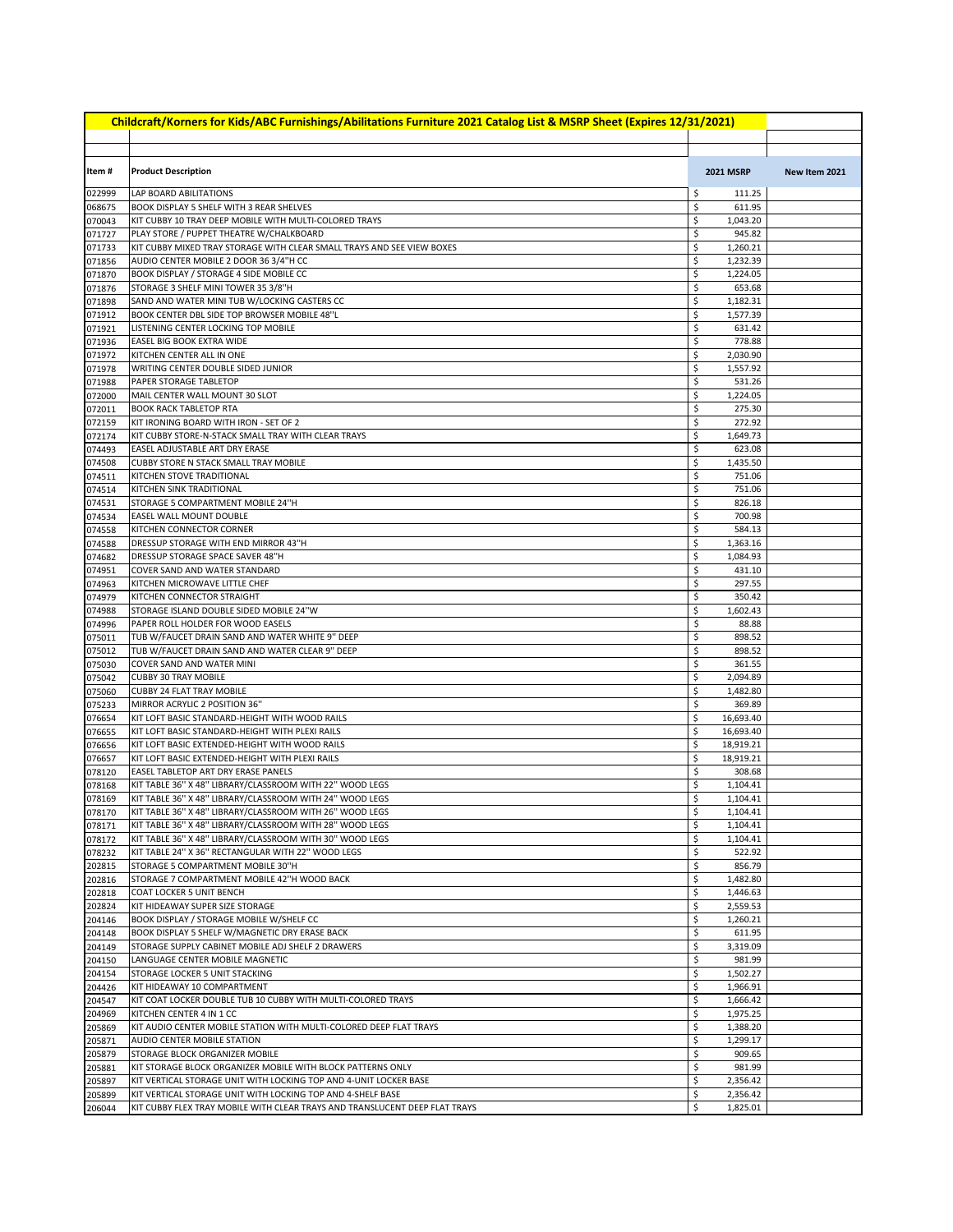|                  | Childcraft/Korners for Kids/ABC Furnishings/Abilitations Furniture 2021 Catalog List & MSRP Sheet (Expires 12/31/2021)           |          |                      |               |
|------------------|----------------------------------------------------------------------------------------------------------------------------------|----------|----------------------|---------------|
|                  |                                                                                                                                  |          |                      |               |
| Item#            | <b>Product Description</b>                                                                                                       |          | <b>2021 MSRP</b>     | New Item 2021 |
| 022999           | LAP BOARD ABILITATIONS                                                                                                           | \$       | 111.25               |               |
| 068675           | BOOK DISPLAY 5 SHELF WITH 3 REAR SHELVES                                                                                         | \$       | 611.95               |               |
| 070043           | KIT CUBBY 10 TRAY DEEP MOBILE WITH MULTI-COLORED TRAYS                                                                           | \$       | 1,043.20             |               |
| 071727           | PLAY STORE / PUPPET THEATRE W/CHALKBOARD                                                                                         | \$       | 945.82               |               |
| 071733<br>071856 | KIT CUBBY MIXED TRAY STORAGE WITH CLEAR SMALL TRAYS AND SEE VIEW BOXES<br>AUDIO CENTER MOBILE 2 DOOR 36 3/4"H CC                 | \$<br>\$ | 1,260.21<br>1,232.39 |               |
| 071870           | BOOK DISPLAY / STORAGE 4 SIDE MOBILE CC                                                                                          | \$       | 1,224.05             |               |
| 071876           | STORAGE 3 SHELF MINI TOWER 35 3/8"H                                                                                              | \$       | 653.68               |               |
| 071898           | SAND AND WATER MINI TUB W/LOCKING CASTERS CC                                                                                     | \$       | 1,182.31             |               |
| 071912           | BOOK CENTER DBL SIDE TOP BROWSER MOBILE 48"L                                                                                     | \$       | 1,577.39             |               |
| 071921           | LISTENING CENTER LOCKING TOP MOBILE                                                                                              | \$<br>\$ | 631.42               |               |
| 071936<br>071972 | <b>EASEL BIG BOOK EXTRA WIDE</b><br>KITCHEN CENTER ALL IN ONE                                                                    | \$       | 778.88<br>2,030.90   |               |
| 071978           | WRITING CENTER DOUBLE SIDED JUNIOR                                                                                               | \$       | 1,557.92             |               |
| 071988           | PAPER STORAGE TABLETOP                                                                                                           | \$       | 531.26               |               |
| 072000           | MAIL CENTER WALL MOUNT 30 SLOT                                                                                                   | \$       | 1,224.05             |               |
| 072011           | <b>BOOK RACK TABLETOP RTA</b>                                                                                                    | \$       | 275.30               |               |
| 072159<br>072174 | KIT IRONING BOARD WITH IRON - SET OF 2<br>KIT CUBBY STORE-N-STACK SMALL TRAY WITH CLEAR TRAYS                                    | \$<br>\$ | 272.92<br>1,649.73   |               |
| 074493           | EASEL ADJUSTABLE ART DRY ERASE                                                                                                   | \$       | 623.08               |               |
| 074508           | <b>CUBBY STORE N STACK SMALL TRAY MOBILE</b>                                                                                     | \$       | 1,435.50             |               |
| 074511           | KITCHEN STOVE TRADITIONAL                                                                                                        | \$       | 751.06               |               |
| 074514           | KITCHEN SINK TRADITIONAL                                                                                                         | \$       | 751.06               |               |
| 074531           | STORAGE 5 COMPARTMENT MOBILE 24"H                                                                                                | \$       | 826.18               |               |
| 074534<br>074558 | EASEL WALL MOUNT DOUBLE<br>KITCHEN CONNECTOR CORNER                                                                              | \$<br>\$ | 700.98<br>584.13     |               |
| 074588           | DRESSUP STORAGE WITH END MIRROR 43"H                                                                                             | \$       | 1,363.16             |               |
| 074682           | DRESSUP STORAGE SPACE SAVER 48"H                                                                                                 | \$       | 1,084.93             |               |
| 074951           | COVER SAND AND WATER STANDARD                                                                                                    | \$       | 431.10               |               |
| 074963           | KITCHEN MICROWAVE LITTLE CHEF                                                                                                    | \$       | 297.55               |               |
| 074979           | KITCHEN CONNECTOR STRAIGHT                                                                                                       | \$       | 350.42               |               |
| 074988<br>074996 | STORAGE ISLAND DOUBLE SIDED MOBILE 24"W<br>PAPER ROLL HOLDER FOR WOOD EASELS                                                     | \$<br>\$ | 1,602.43<br>88.88    |               |
| 075011           | TUB W/FAUCET DRAIN SAND AND WATER WHITE 9" DEEP                                                                                  | \$       | 898.52               |               |
| 075012           | TUB W/FAUCET DRAIN SAND AND WATER CLEAR 9" DEEP                                                                                  | \$       | 898.52               |               |
| 075030           | COVER SAND AND WATER MINI                                                                                                        | \$       | 361.55               |               |
| 075042           | <b>CUBBY 30 TRAY MOBILE</b>                                                                                                      | \$       | 2,094.89             |               |
| 075060           | <b>CUBBY 24 FLAT TRAY MOBILE</b>                                                                                                 | \$<br>\$ | 1,482.80<br>369.89   |               |
| 075233<br>076654 | MIRROR ACRYLIC 2 POSITION 36"<br>KIT LOFT BASIC STANDARD-HEIGHT WITH WOOD RAILS                                                  | \$       | 16,693.40            |               |
| 076655           | KIT LOFT BASIC STANDARD-HEIGHT WITH PLEXI RAILS                                                                                  | \$       | 16,693.40            |               |
| 076656           | KIT LOFT BASIC EXTENDED-HEIGHT WITH WOOD RAILS                                                                                   | \$       | 18,919.21            |               |
| 076657           | KIT LOFT BASIC EXTENDED-HEIGHT WITH PLEXI RAILS                                                                                  | \$       | 18,919.21            |               |
| 078120           | <b>EASEL TABLETOP ART DRY ERASE PANELS</b>                                                                                       | \$       | 308.68               |               |
| 078168           | KIT TABLE 36" X 48" LIBRARY/CLASSROOM WITH 22" WOOD LEGS                                                                         | \$       | 1,104.41             |               |
| 078169<br>078170 | KIT TABLE 36" X 48" LIBRARY/CLASSROOM WITH 24" WOOD LEGS<br>KIT TABLE 36" X 48" LIBRARY/CLASSROOM WITH 26" WOOD LEGS             | \$<br>\$ | 1,104.41<br>1,104.41 |               |
| 078171           | KIT TABLE 36" X 48" LIBRARY/CLASSROOM WITH 28" WOOD LEGS                                                                         | \$       | 1,104.41             |               |
| 078172           | KIT TABLE 36" X 48" LIBRARY/CLASSROOM WITH 30" WOOD LEGS                                                                         | \$       | 1,104.41             |               |
| 078232           | KIT TABLE 24" X 36" RECTANGULAR WITH 22" WOOD LEGS                                                                               | \$       | 522.92               |               |
| 202815           | STORAGE 5 COMPARTMENT MOBILE 30"H                                                                                                | \$       | 856.79               |               |
| 202816           | STORAGE 7 COMPARTMENT MOBILE 42"H WOOD BACK                                                                                      | \$<br>\$ | 1,482.80             |               |
| 202818<br>202824 | COAT LOCKER 5 UNIT BENCH<br>KIT HIDEAWAY SUPER SIZE STORAGE                                                                      | \$       | 1,446.63<br>2,559.53 |               |
| 204146           | BOOK DISPLAY / STORAGE MOBILE W/SHELF CC                                                                                         | \$       | 1,260.21             |               |
| 204148           | BOOK DISPLAY 5 SHELF W/MAGNETIC DRY ERASE BACK                                                                                   | \$       | 611.95               |               |
| 204149           | STORAGE SUPPLY CABINET MOBILE ADJ SHELF 2 DRAWERS                                                                                | \$       | 3,319.09             |               |
| 204150           | LANGUAGE CENTER MOBILE MAGNETIC                                                                                                  | \$       | 981.99               |               |
| 204154<br>204426 | STORAGE LOCKER 5 UNIT STACKING<br>KIT HIDEAWAY 10 COMPARTMENT                                                                    | \$<br>\$ | 1,502.27<br>1,966.91 |               |
| 204547           | KIT COAT LOCKER DOUBLE TUB 10 CUBBY WITH MULTI-COLORED TRAYS                                                                     | \$       | 1,666.42             |               |
| 204969           | KITCHEN CENTER 4 IN 1 CC                                                                                                         | \$       | 1,975.25             |               |
| 205869           | KIT AUDIO CENTER MOBILE STATION WITH MULTI-COLORED DEEP FLAT TRAYS                                                               | \$       | 1,388.20             |               |
| 205871           | AUDIO CENTER MOBILE STATION                                                                                                      | \$       | 1,299.17             |               |
| 205879           | STORAGE BLOCK ORGANIZER MOBILE                                                                                                   | \$       | 909.65               |               |
| 205881<br>205897 | KIT STORAGE BLOCK ORGANIZER MOBILE WITH BLOCK PATTERNS ONLY<br>KIT VERTICAL STORAGE UNIT WITH LOCKING TOP AND 4-UNIT LOCKER BASE | \$<br>\$ | 981.99<br>2,356.42   |               |
| 205899           | KIT VERTICAL STORAGE UNIT WITH LOCKING TOP AND 4-SHELF BASE                                                                      | \$       | 2,356.42             |               |
| 206044           | KIT CUBBY FLEX TRAY MOBILE WITH CLEAR TRAYS AND TRANSLUCENT DEEP FLAT TRAYS                                                      | \$       | 1,825.01             |               |
|                  |                                                                                                                                  |          |                      |               |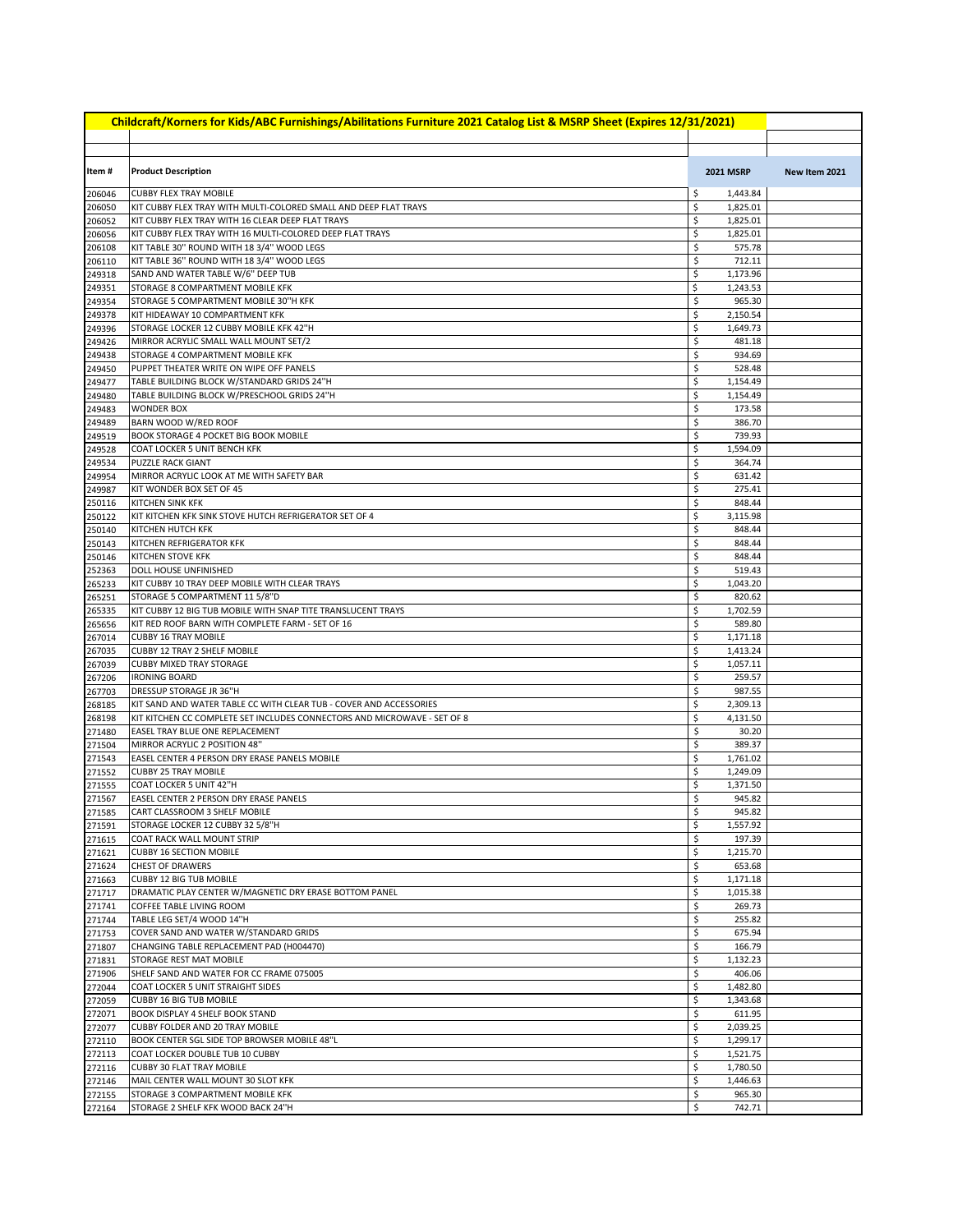| Childcraft/Korners for Kids/ABC Furnishings/Abilitations Furniture 2021 Catalog List & MSRP Sheet (Expires 12/31/2021) |                                                                                                |          |                      |               |  |
|------------------------------------------------------------------------------------------------------------------------|------------------------------------------------------------------------------------------------|----------|----------------------|---------------|--|
|                                                                                                                        |                                                                                                |          |                      |               |  |
| Item#                                                                                                                  | <b>Product Description</b>                                                                     |          | <b>2021 MSRP</b>     | New Item 2021 |  |
| 206046                                                                                                                 | <b>CUBBY FLEX TRAY MOBILE</b>                                                                  | \$       | 1,443.84             |               |  |
| 206050                                                                                                                 | KIT CUBBY FLEX TRAY WITH MULTI-COLORED SMALL AND DEEP FLAT TRAYS                               | \$       | 1,825.01             |               |  |
| 206052                                                                                                                 | KIT CUBBY FLEX TRAY WITH 16 CLEAR DEEP FLAT TRAYS                                              | \$       | 1,825.01             |               |  |
| 206056                                                                                                                 | KIT CUBBY FLEX TRAY WITH 16 MULTI-COLORED DEEP FLAT TRAYS                                      | \$       | 1,825.01             |               |  |
| 206108<br>206110                                                                                                       | KIT TABLE 30" ROUND WITH 18 3/4" WOOD LEGS<br>KIT TABLE 36" ROUND WITH 18 3/4" WOOD LEGS       | \$<br>\$ | 575.78<br>712.11     |               |  |
| 249318                                                                                                                 | SAND AND WATER TABLE W/6" DEEP TUB                                                             | \$       | 1,173.96             |               |  |
| 249351                                                                                                                 | STORAGE 8 COMPARTMENT MOBILE KFK                                                               | \$       | 1,243.53             |               |  |
| 249354                                                                                                                 | STORAGE 5 COMPARTMENT MOBILE 30"H KFK                                                          | \$       | 965.30               |               |  |
| 249378                                                                                                                 | KIT HIDEAWAY 10 COMPARTMENT KFK                                                                | \$       | 2,150.54             |               |  |
| 249396<br>249426                                                                                                       | STORAGE LOCKER 12 CUBBY MOBILE KFK 42"H<br>MIRROR ACRYLIC SMALL WALL MOUNT SET/2               | \$<br>\$ | 1,649.73<br>481.18   |               |  |
| 249438                                                                                                                 | STORAGE 4 COMPARTMENT MOBILE KFK                                                               | \$       | 934.69               |               |  |
| 249450                                                                                                                 | PUPPET THEATER WRITE ON WIPE OFF PANELS                                                        | \$       | 528.48               |               |  |
| 249477                                                                                                                 | TABLE BUILDING BLOCK W/STANDARD GRIDS 24"H                                                     | \$       | 1,154.49             |               |  |
| 249480                                                                                                                 | TABLE BUILDING BLOCK W/PRESCHOOL GRIDS 24"H                                                    | \$       | 1,154.49             |               |  |
| 249483<br>249489                                                                                                       | <b>WONDER BOX</b><br>BARN WOOD W/RED ROOF                                                      | \$<br>\$ | 173.58<br>386.70     |               |  |
| 249519                                                                                                                 | <b>BOOK STORAGE 4 POCKET BIG BOOK MOBILE</b>                                                   | \$       | 739.93               |               |  |
| 249528                                                                                                                 | COAT LOCKER 5 UNIT BENCH KFK                                                                   | \$       | 1,594.09             |               |  |
| 249534                                                                                                                 | <b>PUZZLE RACK GIANT</b>                                                                       | \$       | 364.74               |               |  |
| 249954                                                                                                                 | MIRROR ACRYLIC LOOK AT ME WITH SAFETY BAR                                                      | \$       | 631.42               |               |  |
| 249987                                                                                                                 | KIT WONDER BOX SET OF 45                                                                       | \$       | 275.41               |               |  |
| 250116                                                                                                                 | KITCHEN SINK KFK<br>KIT KITCHEN KFK SINK STOVE HUTCH REFRIGERATOR SET OF 4                     | \$<br>\$ | 848.44<br>3,115.98   |               |  |
| 250122<br>250140                                                                                                       | <b>KITCHEN HUTCH KFK</b>                                                                       | \$       | 848.44               |               |  |
| 250143                                                                                                                 | KITCHEN REFRIGERATOR KFK                                                                       | \$       | 848.44               |               |  |
| 250146                                                                                                                 | <b>KITCHEN STOVE KFK</b>                                                                       | \$       | 848.44               |               |  |
| 252363                                                                                                                 | DOLL HOUSE UNFINISHED                                                                          | \$       | 519.43               |               |  |
| 265233                                                                                                                 | KIT CUBBY 10 TRAY DEEP MOBILE WITH CLEAR TRAYS                                                 | \$<br>\$ | 1,043.20<br>820.62   |               |  |
| 265251<br>265335                                                                                                       | STORAGE 5 COMPARTMENT 11 5/8"D<br>KIT CUBBY 12 BIG TUB MOBILE WITH SNAP TITE TRANSLUCENT TRAYS | \$       | 1,702.59             |               |  |
| 265656                                                                                                                 | KIT RED ROOF BARN WITH COMPLETE FARM - SET OF 16                                               | \$       | 589.80               |               |  |
| 267014                                                                                                                 | <b>CUBBY 16 TRAY MOBILE</b>                                                                    | \$       | 1,171.18             |               |  |
| 267035                                                                                                                 | CUBBY 12 TRAY 2 SHELF MOBILE                                                                   | \$       | 1,413.24             |               |  |
| 267039                                                                                                                 | <b>CUBBY MIXED TRAY STORAGE</b>                                                                | \$<br>\$ | 1,057.11             |               |  |
| 267206<br>267703                                                                                                       | <b>IRONING BOARD</b><br>DRESSUP STORAGE JR 36"H                                                | \$       | 259.57<br>987.55     |               |  |
| 268185                                                                                                                 | KIT SAND AND WATER TABLE CC WITH CLEAR TUB - COVER AND ACCESSORIES                             | \$       | 2,309.13             |               |  |
| 268198                                                                                                                 | KIT KITCHEN CC COMPLETE SET INCLUDES CONNECTORS AND MICROWAVE - SET OF 8                       | \$       | 4,131.50             |               |  |
| 271480                                                                                                                 | EASEL TRAY BLUE ONE REPLACEMENT                                                                | \$       | 30.20                |               |  |
| 271504                                                                                                                 | MIRROR ACRYLIC 2 POSITION 48"<br>EASEL CENTER 4 PERSON DRY ERASE PANELS MOBILE                 | \$       | 389.37               |               |  |
| 271543<br>271552                                                                                                       | <b>CUBBY 25 TRAY MOBILE</b>                                                                    | \$<br>\$ | 1,761.02<br>1,249.09 |               |  |
| 271555                                                                                                                 | COAT LOCKER 5 UNIT 42"H                                                                        | \$       | 1,371.50             |               |  |
| 271567                                                                                                                 | EASEL CENTER 2 PERSON DRY ERASE PANELS                                                         | \$       | 945.82               |               |  |
| 271585                                                                                                                 | CART CLASSROOM 3 SHELF MOBILE                                                                  | \$       | 945.82               |               |  |
| 271591                                                                                                                 | STORAGE LOCKER 12 CUBBY 32 5/8"H                                                               | \$       | 1,557.92             |               |  |
| 271615<br>271621                                                                                                       | COAT RACK WALL MOUNT STRIP<br><b>CUBBY 16 SECTION MOBILE</b>                                   | \$<br>\$ | 197.39<br>1,215.70   |               |  |
| 271624                                                                                                                 | <b>CHEST OF DRAWERS</b>                                                                        | \$       | 653.68               |               |  |
| 271663                                                                                                                 | <b>CUBBY 12 BIG TUB MOBILE</b>                                                                 | \$       | 1,171.18             |               |  |
| 271717                                                                                                                 | DRAMATIC PLAY CENTER W/MAGNETIC DRY ERASE BOTTOM PANEL                                         | \$       | 1,015.38             |               |  |
| 271741                                                                                                                 | COFFEE TABLE LIVING ROOM                                                                       | \$       | 269.73               |               |  |
| 271744                                                                                                                 | TABLE LEG SET/4 WOOD 14"H<br>COVER SAND AND WATER W/STANDARD GRIDS                             | \$<br>\$ | 255.82<br>675.94     |               |  |
| 271753<br>271807                                                                                                       | CHANGING TABLE REPLACEMENT PAD (H004470)                                                       | \$       | 166.79               |               |  |
| 271831                                                                                                                 | STORAGE REST MAT MOBILE                                                                        | \$       | 1,132.23             |               |  |
| 271906                                                                                                                 | SHELF SAND AND WATER FOR CC FRAME 075005                                                       | \$       | 406.06               |               |  |
| 272044                                                                                                                 | COAT LOCKER 5 UNIT STRAIGHT SIDES                                                              | \$       | 1,482.80             |               |  |
| 272059                                                                                                                 | <b>CUBBY 16 BIG TUB MOBILE</b>                                                                 | \$       | 1,343.68             |               |  |
| 272071<br>272077                                                                                                       | <b>BOOK DISPLAY 4 SHELF BOOK STAND</b><br>CUBBY FOLDER AND 20 TRAY MOBILE                      | \$<br>\$ | 611.95<br>2,039.25   |               |  |
| 272110                                                                                                                 | BOOK CENTER SGL SIDE TOP BROWSER MOBILE 48"L                                                   | \$       | 1,299.17             |               |  |
| 272113                                                                                                                 | COAT LOCKER DOUBLE TUB 10 CUBBY                                                                | \$       | 1,521.75             |               |  |
| 272116                                                                                                                 | <b>CUBBY 30 FLAT TRAY MOBILE</b>                                                               | \$       | 1,780.50             |               |  |
| 272146                                                                                                                 | MAIL CENTER WALL MOUNT 30 SLOT KFK                                                             | \$       | 1,446.63             |               |  |
| 272155                                                                                                                 | STORAGE 3 COMPARTMENT MOBILE KFK                                                               | \$<br>\$ | 965.30               |               |  |
| 272164                                                                                                                 | STORAGE 2 SHELF KFK WOOD BACK 24"H                                                             |          | 742.71               |               |  |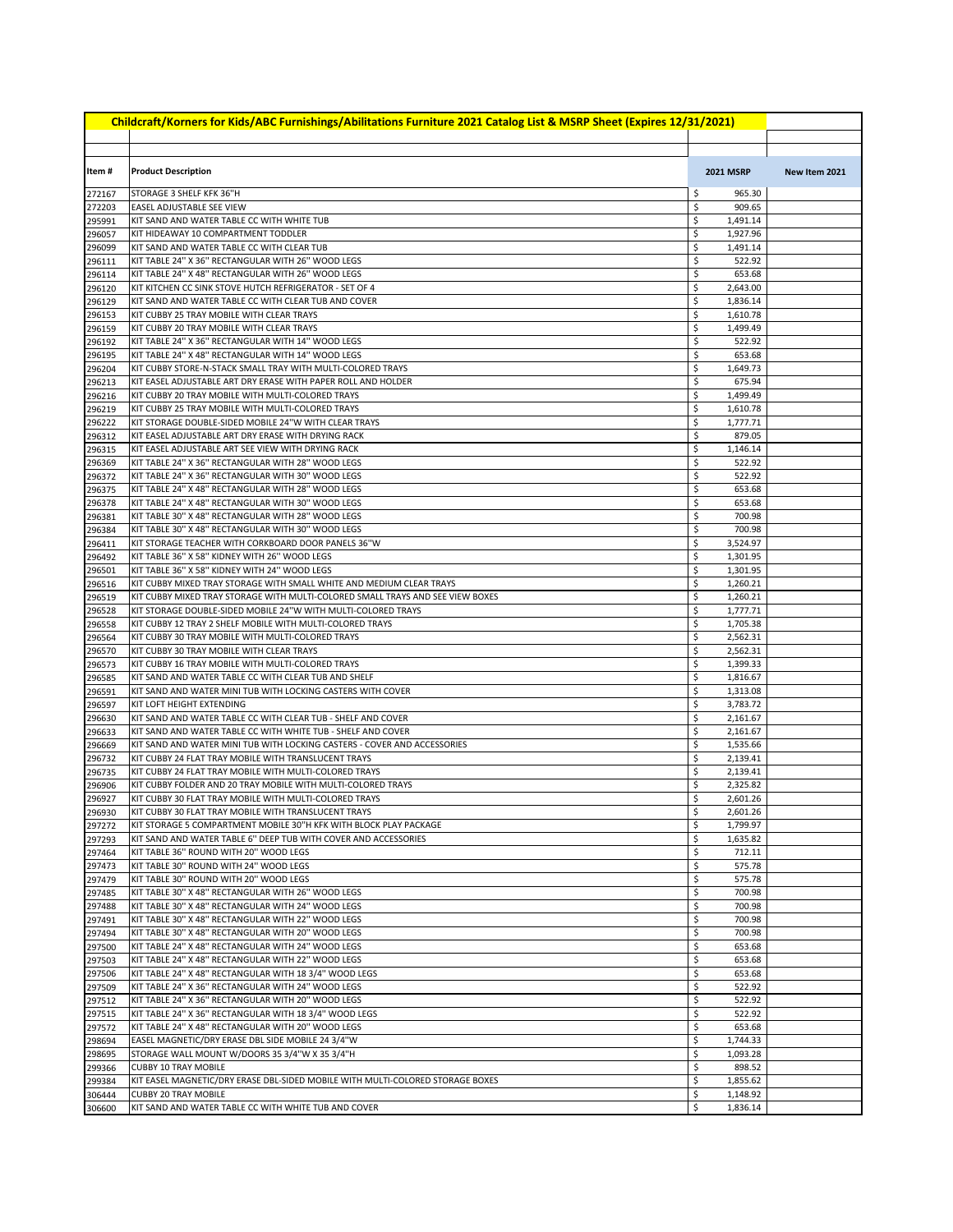| Childcraft/Korners for Kids/ABC Furnishings/Abilitations Furniture 2021 Catalog List & MSRP Sheet (Expires 12/31/2021) |                                                                                                                              |          |                      |               |  |
|------------------------------------------------------------------------------------------------------------------------|------------------------------------------------------------------------------------------------------------------------------|----------|----------------------|---------------|--|
|                                                                                                                        |                                                                                                                              |          |                      |               |  |
| Item#                                                                                                                  | <b>Product Description</b>                                                                                                   |          | <b>2021 MSRP</b>     | New Item 2021 |  |
| 272167                                                                                                                 | STORAGE 3 SHELF KFK 36"H                                                                                                     | \$       | 965.30               |               |  |
| 272203                                                                                                                 | EASEL ADJUSTABLE SEE VIEW                                                                                                    | \$       | 909.65               |               |  |
| 295991                                                                                                                 | KIT SAND AND WATER TABLE CC WITH WHITE TUB                                                                                   | \$       | 1,491.14             |               |  |
| 296057                                                                                                                 | KIT HIDEAWAY 10 COMPARTMENT TODDLER                                                                                          | \$       | 1,927.96             |               |  |
| 296099                                                                                                                 | KIT SAND AND WATER TABLE CC WITH CLEAR TUB<br>KIT TABLE 24" X 36" RECTANGULAR WITH 26" WOOD LEGS                             | \$<br>\$ | 1,491.14<br>522.92   |               |  |
| 296111<br>296114                                                                                                       | KIT TABLE 24" X 48" RECTANGULAR WITH 26" WOOD LEGS                                                                           | \$       | 653.68               |               |  |
| 296120                                                                                                                 | KIT KITCHEN CC SINK STOVE HUTCH REFRIGERATOR - SET OF 4                                                                      | \$       | 2,643.00             |               |  |
| 296129                                                                                                                 | KIT SAND AND WATER TABLE CC WITH CLEAR TUB AND COVER                                                                         | \$       | 1,836.14             |               |  |
| 296153                                                                                                                 | KIT CUBBY 25 TRAY MOBILE WITH CLEAR TRAYS                                                                                    | \$       | 1,610.78             |               |  |
| 296159                                                                                                                 | KIT CUBBY 20 TRAY MOBILE WITH CLEAR TRAYS                                                                                    | \$       | 1,499.49             |               |  |
| 296192                                                                                                                 | KIT TABLE 24" X 36" RECTANGULAR WITH 14" WOOD LEGS                                                                           | \$       | 522.92               |               |  |
| 296195                                                                                                                 | KIT TABLE 24" X 48" RECTANGULAR WITH 14" WOOD LEGS                                                                           | \$       | 653.68               |               |  |
| 296204                                                                                                                 | KIT CUBBY STORE-N-STACK SMALL TRAY WITH MULTI-COLORED TRAYS<br>KIT EASEL ADJUSTABLE ART DRY ERASE WITH PAPER ROLL AND HOLDER | \$<br>\$ | 1,649.73<br>675.94   |               |  |
| 296213<br>296216                                                                                                       | KIT CUBBY 20 TRAY MOBILE WITH MULTI-COLORED TRAYS                                                                            | \$       | 1,499.49             |               |  |
| 296219                                                                                                                 | KIT CUBBY 25 TRAY MOBILE WITH MULTI-COLORED TRAYS                                                                            | \$       | 1,610.78             |               |  |
| 296222                                                                                                                 | KIT STORAGE DOUBLE-SIDED MOBILE 24"W WITH CLEAR TRAYS                                                                        | \$       | 1,777.71             |               |  |
| 296312                                                                                                                 | KIT EASEL ADJUSTABLE ART DRY ERASE WITH DRYING RACK                                                                          | \$       | 879.05               |               |  |
| 296315                                                                                                                 | KIT EASEL ADJUSTABLE ART SEE VIEW WITH DRYING RACK                                                                           | \$       | 1,146.14             |               |  |
| 296369                                                                                                                 | KIT TABLE 24" X 36" RECTANGULAR WITH 28" WOOD LEGS                                                                           | \$       | 522.92               |               |  |
| 296372                                                                                                                 | KIT TABLE 24" X 36" RECTANGULAR WITH 30" WOOD LEGS                                                                           | \$       | 522.92               |               |  |
| 296375                                                                                                                 | KIT TABLE 24" X 48" RECTANGULAR WITH 28" WOOD LEGS                                                                           | \$       | 653.68               |               |  |
| 296378                                                                                                                 | KIT TABLE 24" X 48" RECTANGULAR WITH 30" WOOD LEGS<br>KIT TABLE 30" X 48" RECTANGULAR WITH 28" WOOD LEGS                     | \$<br>\$ | 653.68<br>700.98     |               |  |
| 296381<br>296384                                                                                                       | KIT TABLE 30" X 48" RECTANGULAR WITH 30" WOOD LEGS                                                                           | \$       | 700.98               |               |  |
| 296411                                                                                                                 | KIT STORAGE TEACHER WITH CORKBOARD DOOR PANELS 36"W                                                                          | \$       | 3,524.97             |               |  |
| 296492                                                                                                                 | KIT TABLE 36" X 58" KIDNEY WITH 26" WOOD LEGS                                                                                | \$       | 1,301.95             |               |  |
| 296501                                                                                                                 | KIT TABLE 36" X 58" KIDNEY WITH 24" WOOD LEGS                                                                                | \$       | 1,301.95             |               |  |
| 296516                                                                                                                 | KIT CUBBY MIXED TRAY STORAGE WITH SMALL WHITE AND MEDIUM CLEAR TRAYS                                                         | \$       | 1,260.21             |               |  |
| 296519                                                                                                                 | KIT CUBBY MIXED TRAY STORAGE WITH MULTI-COLORED SMALL TRAYS AND SEE VIEW BOXES                                               | \$       | 1,260.21             |               |  |
| 296528                                                                                                                 | KIT STORAGE DOUBLE-SIDED MOBILE 24"W WITH MULTI-COLORED TRAYS                                                                | \$       | 1,777.71             |               |  |
| 296558                                                                                                                 | KIT CUBBY 12 TRAY 2 SHELF MOBILE WITH MULTI-COLORED TRAYS                                                                    | \$<br>\$ | 1,705.38             |               |  |
| 296564<br>296570                                                                                                       | KIT CUBBY 30 TRAY MOBILE WITH MULTI-COLORED TRAYS<br>KIT CUBBY 30 TRAY MOBILE WITH CLEAR TRAYS                               | \$       | 2,562.31<br>2,562.31 |               |  |
| 296573                                                                                                                 | KIT CUBBY 16 TRAY MOBILE WITH MULTI-COLORED TRAYS                                                                            | \$       | 1,399.33             |               |  |
| 296585                                                                                                                 | KIT SAND AND WATER TABLE CC WITH CLEAR TUB AND SHELF                                                                         | \$       | 1,816.67             |               |  |
| 296591                                                                                                                 | KIT SAND AND WATER MINI TUB WITH LOCKING CASTERS WITH COVER                                                                  | \$       | 1,313.08             |               |  |
| 296597                                                                                                                 | KIT LOFT HEIGHT EXTENDING                                                                                                    | \$       | 3,783.72             |               |  |
| 296630                                                                                                                 | KIT SAND AND WATER TABLE CC WITH CLEAR TUB - SHELF AND COVER                                                                 | \$       | 2,161.67             |               |  |
| 296633                                                                                                                 | KIT SAND AND WATER TABLE CC WITH WHITE TUB - SHELF AND COVER                                                                 | \$       | 2,161.67             |               |  |
| 296669                                                                                                                 | KIT SAND AND WATER MINI TUB WITH LOCKING CASTERS - COVER AND ACCESSORIES                                                     | \$       | 1,535.66             |               |  |
| 296732<br>296735                                                                                                       | KIT CUBBY 24 FLAT TRAY MOBILE WITH TRANSLUCENT TRAYS<br>KIT CUBBY 24 FLAT TRAY MOBILE WITH MULTI-COLORED TRAYS               | \$<br>\$ | 2,139.41<br>2,139.41 |               |  |
| 296906                                                                                                                 | KIT CUBBY FOLDER AND 20 TRAY MOBILE WITH MULTI-COLORED TRAYS                                                                 | \$       | 2,325.82             |               |  |
| 296927                                                                                                                 | KIT CUBBY 30 FLAT TRAY MOBILE WITH MULTI-COLORED TRAYS                                                                       | \$       | 2,601.26             |               |  |
| 296930                                                                                                                 | JKIT CUBBY 30 FLAT TRAY MOBILE WITH TRANSLUCENT TRAYS                                                                        | Ş        | 2,601.26             |               |  |
| 297272                                                                                                                 | KIT STORAGE 5 COMPARTMENT MOBILE 30"H KFK WITH BLOCK PLAY PACKAGE                                                            | \$       | 1,799.97             |               |  |
| 297293                                                                                                                 | KIT SAND AND WATER TABLE 6" DEEP TUB WITH COVER AND ACCESSORIES                                                              | \$       | 1,635.82             |               |  |
| 297464                                                                                                                 | KIT TABLE 36" ROUND WITH 20" WOOD LEGS                                                                                       | \$       | 712.11               |               |  |
| 297473                                                                                                                 | KIT TABLE 30" ROUND WITH 24" WOOD LEGS                                                                                       | \$       | 575.78               |               |  |
| 297479                                                                                                                 | KIT TABLE 30" ROUND WITH 20" WOOD LEGS                                                                                       | \$<br>\$ | 575.78               |               |  |
| 297485<br>297488                                                                                                       | KIT TABLE 30" X 48" RECTANGULAR WITH 26" WOOD LEGS<br>KIT TABLE 30" X 48" RECTANGULAR WITH 24" WOOD LEGS                     | \$       | 700.98<br>700.98     |               |  |
| 297491                                                                                                                 | KIT TABLE 30" X 48" RECTANGULAR WITH 22" WOOD LEGS                                                                           | \$       | 700.98               |               |  |
| 297494                                                                                                                 | KIT TABLE 30" X 48" RECTANGULAR WITH 20" WOOD LEGS                                                                           | \$       | 700.98               |               |  |
| 297500                                                                                                                 | KIT TABLE 24" X 48" RECTANGULAR WITH 24" WOOD LEGS                                                                           | \$       | 653.68               |               |  |
| 297503                                                                                                                 | KIT TABLE 24" X 48" RECTANGULAR WITH 22" WOOD LEGS                                                                           | \$       | 653.68               |               |  |
| 297506                                                                                                                 | KIT TABLE 24" X 48" RECTANGULAR WITH 18 3/4" WOOD LEGS                                                                       | \$       | 653.68               |               |  |
| 297509                                                                                                                 | KIT TABLE 24" X 36" RECTANGULAR WITH 24" WOOD LEGS                                                                           | \$       | 522.92               |               |  |
| 297512                                                                                                                 | KIT TABLE 24" X 36" RECTANGULAR WITH 20" WOOD LEGS                                                                           | \$       | 522.92               |               |  |
| 297515                                                                                                                 | KIT TABLE 24" X 36" RECTANGULAR WITH 18 3/4" WOOD LEGS                                                                       | \$       | 522.92               |               |  |
| 297572<br>298694                                                                                                       | KIT TABLE 24" X 48" RECTANGULAR WITH 20" WOOD LEGS<br>EASEL MAGNETIC/DRY ERASE DBL SIDE MOBILE 24 3/4"W                      | \$<br>\$ | 653.68<br>1,744.33   |               |  |
| 298695                                                                                                                 | STORAGE WALL MOUNT W/DOORS 35 3/4"W X 35 3/4"H                                                                               | \$       | 1,093.28             |               |  |
| 299366                                                                                                                 | <b>CUBBY 10 TRAY MOBILE</b>                                                                                                  | \$       | 898.52               |               |  |
| 299384                                                                                                                 | KIT EASEL MAGNETIC/DRY ERASE DBL-SIDED MOBILE WITH MULTI-COLORED STORAGE BOXES                                               | \$       | 1,855.62             |               |  |
| 306444                                                                                                                 | <b>CUBBY 20 TRAY MOBILE</b>                                                                                                  | \$       | 1,148.92             |               |  |
| 306600                                                                                                                 | KIT SAND AND WATER TABLE CC WITH WHITE TUB AND COVER                                                                         | \$       | 1,836.14             |               |  |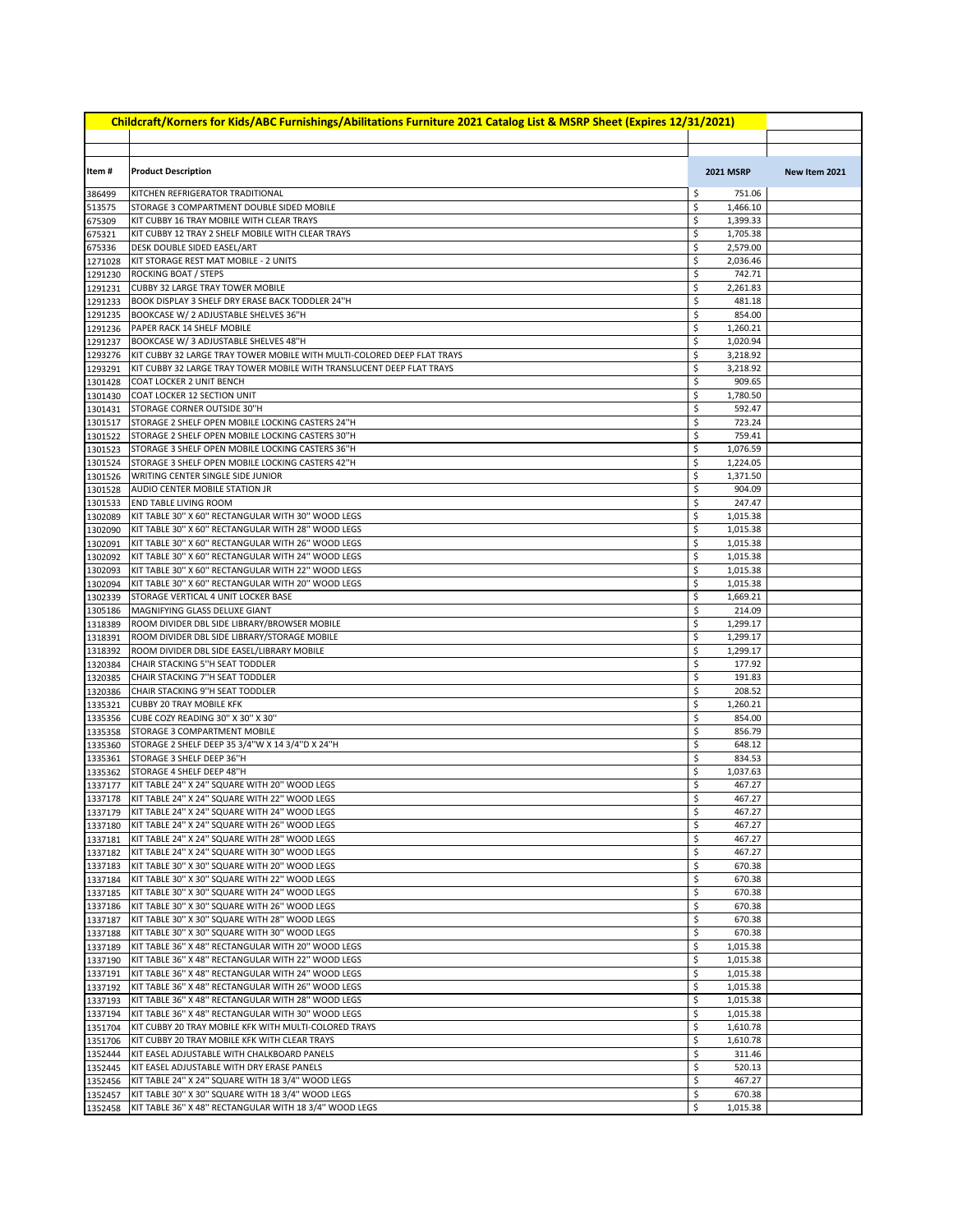| Childcraft/Korners for Kids/ABC Furnishings/Abilitations Furniture 2021 Catalog List & MSRP Sheet (Expires 12/31/2021) |                                                                                                             |                                  |               |  |  |  |
|------------------------------------------------------------------------------------------------------------------------|-------------------------------------------------------------------------------------------------------------|----------------------------------|---------------|--|--|--|
|                                                                                                                        |                                                                                                             |                                  |               |  |  |  |
| Item#                                                                                                                  | <b>Product Description</b>                                                                                  | <b>2021 MSRP</b>                 | New Item 2021 |  |  |  |
| 386499                                                                                                                 | KITCHEN REFRIGERATOR TRADITIONAL                                                                            | \$<br>751.06                     |               |  |  |  |
| 513575                                                                                                                 | STORAGE 3 COMPARTMENT DOUBLE SIDED MOBILE                                                                   | \$<br>1,466.10                   |               |  |  |  |
| 675309                                                                                                                 | KIT CUBBY 16 TRAY MOBILE WITH CLEAR TRAYS                                                                   | \$<br>1,399.33                   |               |  |  |  |
| 675321                                                                                                                 | KIT CUBBY 12 TRAY 2 SHELF MOBILE WITH CLEAR TRAYS                                                           | \$<br>1,705.38                   |               |  |  |  |
| 675336                                                                                                                 | DESK DOUBLE SIDED EASEL/ART                                                                                 | \$<br>2,579.00                   |               |  |  |  |
| 1271028<br>1291230                                                                                                     | KIT STORAGE REST MAT MOBILE - 2 UNITS<br><b>ROCKING BOAT / STEPS</b>                                        | \$<br>2,036.46<br>\$<br>742.71   |               |  |  |  |
| 1291231                                                                                                                | <b>CUBBY 32 LARGE TRAY TOWER MOBILE</b>                                                                     | \$<br>2,261.83                   |               |  |  |  |
| 1291233                                                                                                                | BOOK DISPLAY 3 SHELF DRY ERASE BACK TODDLER 24"H                                                            | \$<br>481.18                     |               |  |  |  |
| 1291235                                                                                                                | BOOKCASE W/ 2 ADJUSTABLE SHELVES 36"H                                                                       | \$<br>854.00                     |               |  |  |  |
| 1291236                                                                                                                | PAPER RACK 14 SHELF MOBILE                                                                                  | \$<br>1,260.21                   |               |  |  |  |
| 1291237                                                                                                                | BOOKCASE W/ 3 ADJUSTABLE SHELVES 48"H                                                                       | \$<br>1,020.94                   |               |  |  |  |
| 1293276                                                                                                                | KIT CUBBY 32 LARGE TRAY TOWER MOBILE WITH MULTI-COLORED DEEP FLAT TRAYS                                     | \$<br>3,218.92                   |               |  |  |  |
| 1293291                                                                                                                | KIT CUBBY 32 LARGE TRAY TOWER MOBILE WITH TRANSLUCENT DEEP FLAT TRAYS                                       | \$<br>3,218.92                   |               |  |  |  |
| 1301428<br>1301430                                                                                                     | COAT LOCKER 2 UNIT BENCH<br>COAT LOCKER 12 SECTION UNIT                                                     | \$<br>909.65<br>\$<br>1,780.50   |               |  |  |  |
| 1301431                                                                                                                | STORAGE CORNER OUTSIDE 30"H                                                                                 | \$<br>592.47                     |               |  |  |  |
| 1301517                                                                                                                | STORAGE 2 SHELF OPEN MOBILE LOCKING CASTERS 24"H                                                            | \$<br>723.24                     |               |  |  |  |
| 1301522                                                                                                                | STORAGE 2 SHELF OPEN MOBILE LOCKING CASTERS 30"H                                                            | \$<br>759.41                     |               |  |  |  |
| 1301523                                                                                                                | STORAGE 3 SHELF OPEN MOBILE LOCKING CASTERS 36"H                                                            | \$<br>1,076.59                   |               |  |  |  |
| 1301524                                                                                                                | STORAGE 3 SHELF OPEN MOBILE LOCKING CASTERS 42"H                                                            | \$<br>1,224.05                   |               |  |  |  |
| 1301526                                                                                                                | WRITING CENTER SINGLE SIDE JUNIOR                                                                           | \$<br>1,371.50                   |               |  |  |  |
| 1301528                                                                                                                | <b>AUDIO CENTER MOBILE STATION JR</b>                                                                       | \$<br>904.09                     |               |  |  |  |
| 1301533                                                                                                                | <b>END TABLE LIVING ROOM</b>                                                                                | \$<br>247.47                     |               |  |  |  |
| 1302089<br>1302090                                                                                                     | KIT TABLE 30" X 60" RECTANGULAR WITH 30" WOOD LEGS<br>KIT TABLE 30" X 60" RECTANGULAR WITH 28" WOOD LEGS    | \$<br>1,015.38<br>\$<br>1,015.38 |               |  |  |  |
| 1302091                                                                                                                | KIT TABLE 30" X 60" RECTANGULAR WITH 26" WOOD LEGS                                                          | \$<br>1,015.38                   |               |  |  |  |
| 1302092                                                                                                                | KIT TABLE 30" X 60" RECTANGULAR WITH 24" WOOD LEGS                                                          | \$<br>1,015.38                   |               |  |  |  |
| 1302093                                                                                                                | KIT TABLE 30" X 60" RECTANGULAR WITH 22" WOOD LEGS                                                          | \$<br>1,015.38                   |               |  |  |  |
| 1302094                                                                                                                | KIT TABLE 30" X 60" RECTANGULAR WITH 20" WOOD LEGS                                                          | \$<br>1,015.38                   |               |  |  |  |
| 1302339                                                                                                                | STORAGE VERTICAL 4 UNIT LOCKER BASE                                                                         | \$<br>1,669.21                   |               |  |  |  |
| 1305186                                                                                                                | MAGNIFYING GLASS DELUXE GIANT                                                                               | \$<br>214.09                     |               |  |  |  |
| 1318389                                                                                                                | ROOM DIVIDER DBL SIDE LIBRARY/BROWSER MOBILE                                                                | \$<br>1,299.17                   |               |  |  |  |
| 1318391<br>1318392                                                                                                     | ROOM DIVIDER DBL SIDE LIBRARY/STORAGE MOBILE<br>ROOM DIVIDER DBL SIDE EASEL/LIBRARY MOBILE                  | \$<br>1,299.17<br>\$<br>1,299.17 |               |  |  |  |
| 1320384                                                                                                                | CHAIR STACKING 5"H SEAT TODDLER                                                                             | \$<br>177.92                     |               |  |  |  |
| 1320385                                                                                                                | CHAIR STACKING 7"H SEAT TODDLER                                                                             | \$<br>191.83                     |               |  |  |  |
| 1320386                                                                                                                | CHAIR STACKING 9"H SEAT TODDLER                                                                             | \$<br>208.52                     |               |  |  |  |
| 1335321                                                                                                                | <b>CUBBY 20 TRAY MOBILE KFK</b>                                                                             | \$<br>1,260.21                   |               |  |  |  |
| 1335356                                                                                                                | CUBE COZY READING 30" X 30" X 30"                                                                           | \$<br>854.00                     |               |  |  |  |
| 1335358                                                                                                                | <b>STORAGE 3 COMPARTMENT MOBILE</b>                                                                         | \$<br>856.79                     |               |  |  |  |
| 1335360                                                                                                                | STORAGE 2 SHELF DEEP 35 3/4"W X 14 3/4"D X 24"H                                                             | \$<br>648.12                     |               |  |  |  |
| 1335361<br>1335362                                                                                                     | STORAGE 3 SHELF DEEP 36"H<br>STORAGE 4 SHELF DEEP 48"H                                                      | \$<br>834.53<br>\$<br>1,037.63   |               |  |  |  |
| 1337177                                                                                                                | KIT TABLE 24" X 24" SQUARE WITH 20" WOOD LEGS                                                               | \$<br>467.27                     |               |  |  |  |
| 1337178                                                                                                                | KIT TABLE 24" X 24" SQUARE WITH 22" WOOD LEGS                                                               | \$<br>467.27                     |               |  |  |  |
|                                                                                                                        | 1337179   KIT TABLE 24" X 24" SQUARE WITH 24" WOOD LEGS                                                     | Ş<br>467.27                      |               |  |  |  |
| 1337180                                                                                                                | KIT TABLE 24" X 24" SQUARE WITH 26" WOOD LEGS                                                               | \$<br>467.27                     |               |  |  |  |
| 1337181                                                                                                                | KIT TABLE 24" X 24" SQUARE WITH 28" WOOD LEGS                                                               | \$<br>467.27                     |               |  |  |  |
| 1337182                                                                                                                | KIT TABLE 24" X 24" SQUARE WITH 30" WOOD LEGS                                                               | \$<br>467.27                     |               |  |  |  |
| 1337183                                                                                                                | KIT TABLE 30" X 30" SQUARE WITH 20" WOOD LEGS                                                               | \$<br>670.38                     |               |  |  |  |
| 1337184<br>1337185                                                                                                     | KIT TABLE 30" X 30" SQUARE WITH 22" WOOD LEGS<br>KIT TABLE 30" X 30" SQUARE WITH 24" WOOD LEGS              | \$<br>670.38<br>\$<br>670.38     |               |  |  |  |
| 1337186                                                                                                                | KIT TABLE 30" X 30" SQUARE WITH 26" WOOD LEGS                                                               | \$<br>670.38                     |               |  |  |  |
| 1337187                                                                                                                | KIT TABLE 30" X 30" SQUARE WITH 28" WOOD LEGS                                                               | \$<br>670.38                     |               |  |  |  |
| 1337188                                                                                                                | KIT TABLE 30" X 30" SQUARE WITH 30" WOOD LEGS                                                               | \$<br>670.38                     |               |  |  |  |
| 1337189                                                                                                                | KIT TABLE 36" X 48" RECTANGULAR WITH 20" WOOD LEGS                                                          | \$<br>1,015.38                   |               |  |  |  |
| 1337190                                                                                                                | KIT TABLE 36" X 48" RECTANGULAR WITH 22" WOOD LEGS                                                          | \$<br>1,015.38                   |               |  |  |  |
| 1337191                                                                                                                | KIT TABLE 36" X 48" RECTANGULAR WITH 24" WOOD LEGS                                                          | \$<br>1,015.38                   |               |  |  |  |
| 1337192                                                                                                                | KIT TABLE 36" X 48" RECTANGULAR WITH 26" WOOD LEGS                                                          | \$<br>1,015.38                   |               |  |  |  |
| 1337193                                                                                                                | KIT TABLE 36" X 48" RECTANGULAR WITH 28" WOOD LEGS                                                          | \$<br>1,015.38<br>\$<br>1,015.38 |               |  |  |  |
| 1337194<br>1351704                                                                                                     | KIT TABLE 36" X 48" RECTANGULAR WITH 30" WOOD LEGS<br>KIT CUBBY 20 TRAY MOBILE KFK WITH MULTI-COLORED TRAYS | \$<br>1,610.78                   |               |  |  |  |
| 1351706                                                                                                                | KIT CUBBY 20 TRAY MOBILE KFK WITH CLEAR TRAYS                                                               | \$<br>1,610.78                   |               |  |  |  |
| 1352444                                                                                                                | KIT EASEL ADJUSTABLE WITH CHALKBOARD PANELS                                                                 | \$<br>311.46                     |               |  |  |  |
| 1352445                                                                                                                | KIT EASEL ADJUSTABLE WITH DRY ERASE PANELS                                                                  | \$<br>520.13                     |               |  |  |  |
| 1352456                                                                                                                | KIT TABLE 24" X 24" SQUARE WITH 18 3/4" WOOD LEGS                                                           | \$<br>467.27                     |               |  |  |  |
| 1352457                                                                                                                | KIT TABLE 30" X 30" SQUARE WITH 18 3/4" WOOD LEGS                                                           | \$<br>670.38                     |               |  |  |  |
| 1352458                                                                                                                | KIT TABLE 36" X 48" RECTANGULAR WITH 18 3/4" WOOD LEGS                                                      | \$<br>1,015.38                   |               |  |  |  |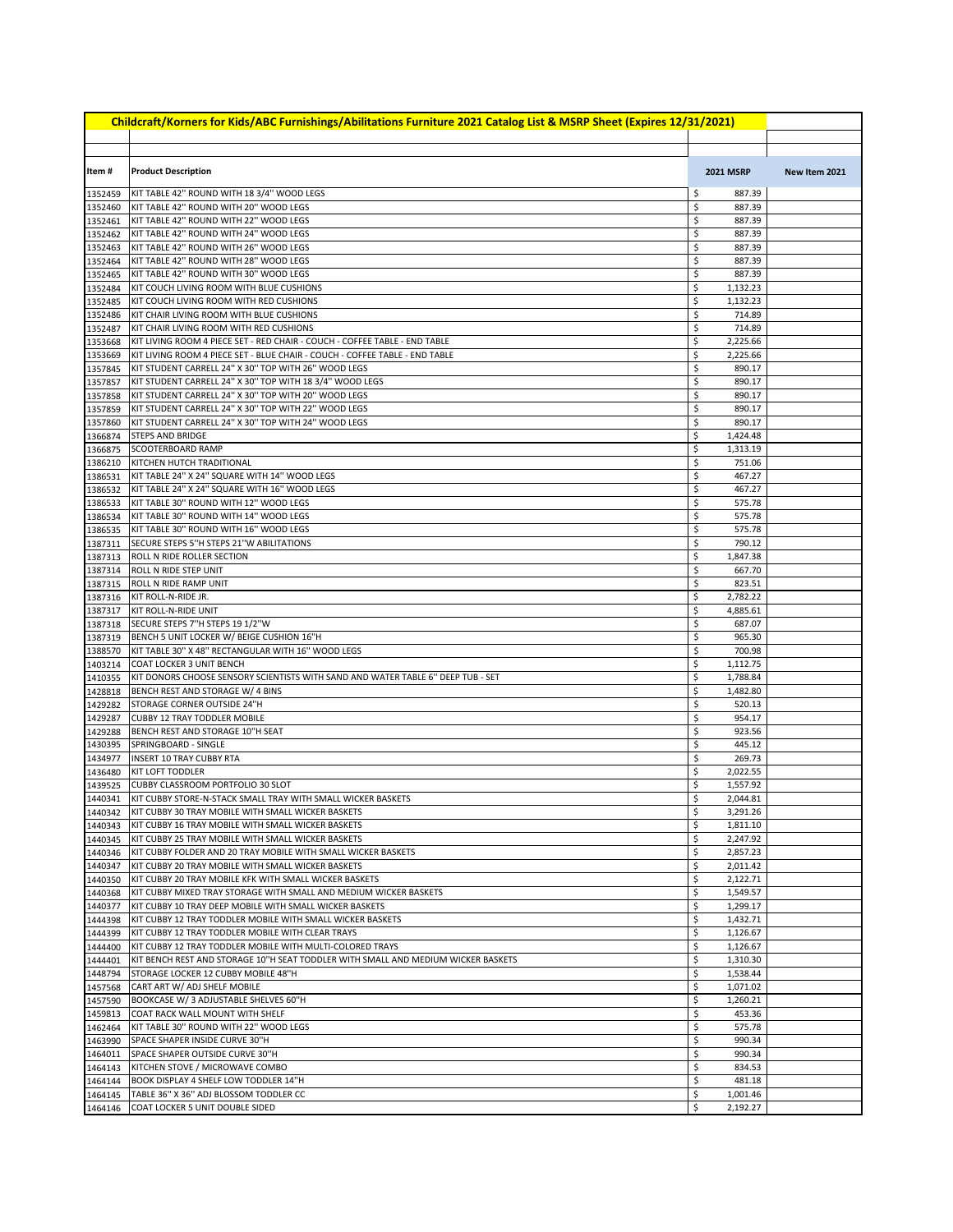| Childcraft/Korners for Kids/ABC Furnishings/Abilitations Furniture 2021 Catalog List & MSRP Sheet (Expires 12/31/2021) |                                                                                                                       |          |                      |               |  |
|------------------------------------------------------------------------------------------------------------------------|-----------------------------------------------------------------------------------------------------------------------|----------|----------------------|---------------|--|
|                                                                                                                        |                                                                                                                       |          |                      |               |  |
| Item#                                                                                                                  | <b>Product Description</b>                                                                                            |          | <b>2021 MSRP</b>     | New Item 2021 |  |
| 1352459                                                                                                                | KIT TABLE 42" ROUND WITH 18 3/4" WOOD LEGS                                                                            | \$       | 887.39               |               |  |
| 1352460                                                                                                                | KIT TABLE 42" ROUND WITH 20" WOOD LEGS                                                                                | \$       | 887.39               |               |  |
| 1352461                                                                                                                | KIT TABLE 42" ROUND WITH 22" WOOD LEGS                                                                                | \$       | 887.39               |               |  |
| 1352462                                                                                                                | KIT TABLE 42" ROUND WITH 24" WOOD LEGS                                                                                | \$       | 887.39               |               |  |
| 1352463<br>1352464                                                                                                     | KIT TABLE 42" ROUND WITH 26" WOOD LEGS<br>KIT TABLE 42" ROUND WITH 28" WOOD LEGS                                      | \$<br>\$ | 887.39<br>887.39     |               |  |
| 1352465                                                                                                                | KIT TABLE 42" ROUND WITH 30" WOOD LEGS                                                                                | \$       | 887.39               |               |  |
| 1352484                                                                                                                | KIT COUCH LIVING ROOM WITH BLUE CUSHIONS                                                                              | \$       | 1,132.23             |               |  |
| 1352485                                                                                                                | KIT COUCH LIVING ROOM WITH RED CUSHIONS                                                                               | \$       | 1,132.23             |               |  |
| 1352486                                                                                                                | KIT CHAIR LIVING ROOM WITH BLUE CUSHIONS                                                                              | \$       | 714.89               |               |  |
| 1352487                                                                                                                | KIT CHAIR LIVING ROOM WITH RED CUSHIONS<br>KIT LIVING ROOM 4 PIECE SET - RED CHAIR - COUCH - COFFEE TABLE - END TABLE | \$<br>\$ | 714.89<br>2,225.66   |               |  |
| 1353668<br>1353669                                                                                                     | KIT LIVING ROOM 4 PIECE SET - BLUE CHAIR - COUCH - COFFEE TABLE - END TABLE                                           | \$       | 2,225.66             |               |  |
| 1357845                                                                                                                | KIT STUDENT CARRELL 24" X 30" TOP WITH 26" WOOD LEGS                                                                  | \$       | 890.17               |               |  |
| 1357857                                                                                                                | KIT STUDENT CARRELL 24" X 30" TOP WITH 18 3/4" WOOD LEGS                                                              | \$       | 890.17               |               |  |
| 1357858                                                                                                                | KIT STUDENT CARRELL 24" X 30" TOP WITH 20" WOOD LEGS                                                                  | \$       | 890.17               |               |  |
| 1357859                                                                                                                | KIT STUDENT CARRELL 24" X 30" TOP WITH 22" WOOD LEGS                                                                  | \$       | 890.17               |               |  |
| 1357860                                                                                                                | KIT STUDENT CARRELL 24" X 30" TOP WITH 24" WOOD LEGS                                                                  | \$       | 890.17               |               |  |
| 1366874                                                                                                                | <b>STEPS AND BRIDGE</b><br>SCOOTERBOARD RAMP                                                                          | \$<br>\$ | 1,424.48<br>1,313.19 |               |  |
| 1366875<br>1386210                                                                                                     | KITCHEN HUTCH TRADITIONAL                                                                                             | \$       | 751.06               |               |  |
| 1386531                                                                                                                | KIT TABLE 24" X 24" SQUARE WITH 14" WOOD LEGS                                                                         | \$       | 467.27               |               |  |
| 1386532                                                                                                                | KIT TABLE 24" X 24" SQUARE WITH 16" WOOD LEGS                                                                         | \$       | 467.27               |               |  |
| 1386533                                                                                                                | KIT TABLE 30" ROUND WITH 12" WOOD LEGS                                                                                | \$       | 575.78               |               |  |
| 1386534                                                                                                                | KIT TABLE 30" ROUND WITH 14" WOOD LEGS                                                                                | \$       | 575.78               |               |  |
| 1386535                                                                                                                | KIT TABLE 30" ROUND WITH 16" WOOD LEGS                                                                                | \$       | 575.78               |               |  |
| 1387311                                                                                                                | SECURE STEPS 5"H STEPS 21"W ABILITATIONS                                                                              | \$       | 790.12               |               |  |
| 1387313<br>1387314                                                                                                     | ROLL N RIDE ROLLER SECTION<br>ROLL N RIDE STEP UNIT                                                                   | \$<br>\$ | 1,847.38<br>667.70   |               |  |
| 1387315                                                                                                                | ROLL N RIDE RAMP UNIT                                                                                                 | \$       | 823.51               |               |  |
| 1387316                                                                                                                | KIT ROLL-N-RIDE JR.                                                                                                   | \$       | 2,782.22             |               |  |
| 1387317                                                                                                                | KIT ROLL-N-RIDE UNIT                                                                                                  | \$       | 4,885.61             |               |  |
| 1387318                                                                                                                | SECURE STEPS 7"H STEPS 19 1/2"W                                                                                       | \$       | 687.07               |               |  |
| 1387319                                                                                                                | BENCH 5 UNIT LOCKER W/ BEIGE CUSHION 16"H                                                                             | \$       | 965.30               |               |  |
| 1388570                                                                                                                | KIT TABLE 30" X 48" RECTANGULAR WITH 16" WOOD LEGS                                                                    | \$       | 700.98               |               |  |
| 1403214<br>1410355                                                                                                     | COAT LOCKER 3 UNIT BENCH<br>KIT DONORS CHOOSE SENSORY SCIENTISTS WITH SAND AND WATER TABLE 6" DEEP TUB - SET          | \$<br>\$ | 1,112.75<br>1,788.84 |               |  |
| 1428818                                                                                                                | BENCH REST AND STORAGE W/ 4 BINS                                                                                      | \$       | 1,482.80             |               |  |
| 1429282                                                                                                                | STORAGE CORNER OUTSIDE 24"H                                                                                           | \$       | 520.13               |               |  |
| 1429287                                                                                                                | <b>CUBBY 12 TRAY TODDLER MOBILE</b>                                                                                   | \$       | 954.17               |               |  |
| 1429288                                                                                                                | BENCH REST AND STORAGE 10"H SEAT                                                                                      | \$       | 923.56               |               |  |
| 1430395                                                                                                                | SPRINGBOARD - SINGLE                                                                                                  | \$       | 445.12               |               |  |
| 1434977<br>1436480                                                                                                     | <b>INSERT 10 TRAY CUBBY RTA</b><br><b>KIT LOFT TODDLER</b>                                                            | \$<br>\$ | 269.73<br>2,022.55   |               |  |
| 1439525                                                                                                                | CUBBY CLASSROOM PORTFOLIO 30 SLOT                                                                                     | \$       | 1,557.92             |               |  |
| 1440341                                                                                                                | KIT CUBBY STORE-N-STACK SMALL TRAY WITH SMALL WICKER BASKETS                                                          | \$       | 2,044.81             |               |  |
|                                                                                                                        | 1440342   KIT CUBBY 30 TRAY MOBILE WITH SMALL WICKER BASKETS                                                          | \$       | 3,291.26             |               |  |
| 1440343                                                                                                                | KIT CUBBY 16 TRAY MOBILE WITH SMALL WICKER BASKETS                                                                    | \$       | 1,811.10             |               |  |
| 1440345                                                                                                                | KIT CUBBY 25 TRAY MOBILE WITH SMALL WICKER BASKETS                                                                    | \$       | 2,247.92             |               |  |
| 1440346                                                                                                                | KIT CUBBY FOLDER AND 20 TRAY MOBILE WITH SMALL WICKER BASKETS                                                         | \$       | 2,857.23             |               |  |
| 1440347<br>1440350                                                                                                     | KIT CUBBY 20 TRAY MOBILE WITH SMALL WICKER BASKETS<br>KIT CUBBY 20 TRAY MOBILE KFK WITH SMALL WICKER BASKETS          | \$<br>\$ | 2,011.42<br>2,122.71 |               |  |
| 1440368                                                                                                                | KIT CUBBY MIXED TRAY STORAGE WITH SMALL AND MEDIUM WICKER BASKETS                                                     | \$       | 1,549.57             |               |  |
| 1440377                                                                                                                | KIT CUBBY 10 TRAY DEEP MOBILE WITH SMALL WICKER BASKETS                                                               | \$       | 1,299.17             |               |  |
| 1444398                                                                                                                | KIT CUBBY 12 TRAY TODDLER MOBILE WITH SMALL WICKER BASKETS                                                            | \$       | 1,432.71             |               |  |
| 1444399                                                                                                                | KIT CUBBY 12 TRAY TODDLER MOBILE WITH CLEAR TRAYS                                                                     | \$       | 1,126.67             |               |  |
| 1444400                                                                                                                | KIT CUBBY 12 TRAY TODDLER MOBILE WITH MULTI-COLORED TRAYS                                                             | \$       | 1,126.67             |               |  |
| 1444401                                                                                                                | KIT BENCH REST AND STORAGE 10"H SEAT TODDLER WITH SMALL AND MEDIUM WICKER BASKETS                                     | \$       | 1,310.30             |               |  |
| 1448794<br>1457568                                                                                                     | STORAGE LOCKER 12 CUBBY MOBILE 48"H<br>CART ART W/ ADJ SHELF MOBILE                                                   | \$<br>\$ | 1,538.44<br>1,071.02 |               |  |
| 1457590                                                                                                                | BOOKCASE W/ 3 ADJUSTABLE SHELVES 60"H                                                                                 | \$       | 1,260.21             |               |  |
| 1459813                                                                                                                | COAT RACK WALL MOUNT WITH SHELF                                                                                       | \$       | 453.36               |               |  |
| 1462464                                                                                                                | KIT TABLE 30" ROUND WITH 22" WOOD LEGS                                                                                | \$       | 575.78               |               |  |
| 1463990                                                                                                                | SPACE SHAPER INSIDE CURVE 30"H                                                                                        | \$       | 990.34               |               |  |
| 1464011                                                                                                                | SPACE SHAPER OUTSIDE CURVE 30"H                                                                                       | \$       | 990.34               |               |  |
| 1464143                                                                                                                | KITCHEN STOVE / MICROWAVE COMBO                                                                                       | \$       | 834.53               |               |  |
| 1464144<br>1464145                                                                                                     | BOOK DISPLAY 4 SHELF LOW TODDLER 14"H<br>TABLE 36" X 36" ADJ BLOSSOM TODDLER CC                                       | \$<br>\$ | 481.18<br>1,001.46   |               |  |
| 1464146                                                                                                                | COAT LOCKER 5 UNIT DOUBLE SIDED                                                                                       | \$       | 2,192.27             |               |  |
|                                                                                                                        |                                                                                                                       |          |                      |               |  |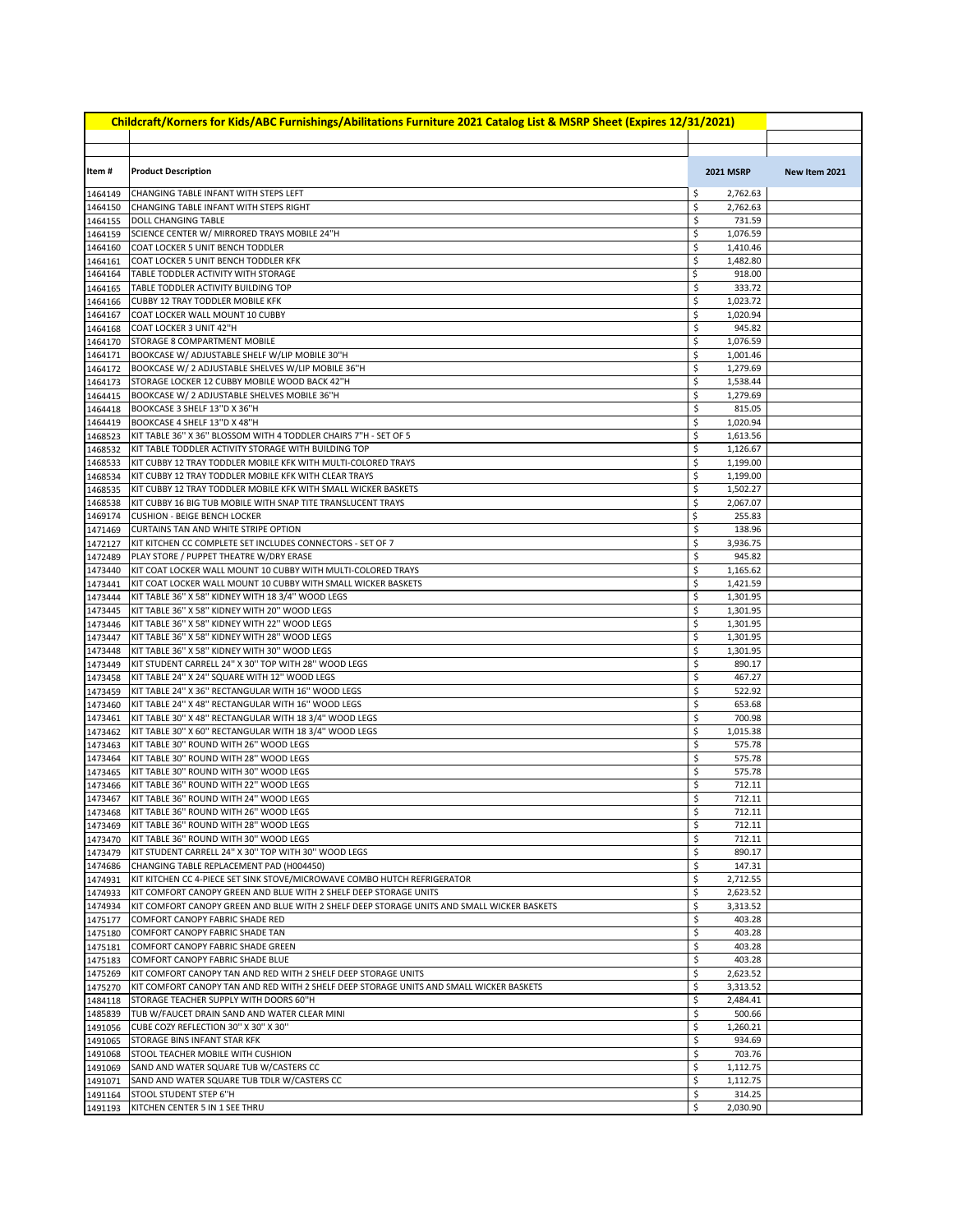| Childcraft/Korners for Kids/ABC Furnishings/Abilitations Furniture 2021 Catalog List & MSRP Sheet (Expires 12/31/2021) |                                                                                                                                |          |                      |               |  |
|------------------------------------------------------------------------------------------------------------------------|--------------------------------------------------------------------------------------------------------------------------------|----------|----------------------|---------------|--|
|                                                                                                                        |                                                                                                                                |          |                      |               |  |
|                                                                                                                        |                                                                                                                                |          |                      |               |  |
| Item #                                                                                                                 | <b>Product Description</b>                                                                                                     |          | <b>2021 MSRP</b>     | New Item 2021 |  |
| 1464149                                                                                                                | CHANGING TABLE INFANT WITH STEPS LEFT                                                                                          | \$       | 2,762.63             |               |  |
| 1464150                                                                                                                | CHANGING TABLE INFANT WITH STEPS RIGHT                                                                                         | \$       | 2,762.63             |               |  |
| 1464155                                                                                                                | DOLL CHANGING TABLE                                                                                                            | \$       | 731.59               |               |  |
| 1464159                                                                                                                | SCIENCE CENTER W/ MIRRORED TRAYS MOBILE 24"H                                                                                   | \$       | 1,076.59             |               |  |
| 1464160                                                                                                                | COAT LOCKER 5 UNIT BENCH TODDLER                                                                                               | \$       | 1,410.46             |               |  |
| 1464161<br>1464164                                                                                                     | COAT LOCKER 5 UNIT BENCH TODDLER KFK                                                                                           | \$       | 1,482.80             |               |  |
| 1464165                                                                                                                | TABLE TODDLER ACTIVITY WITH STORAGE<br>TABLE TODDLER ACTIVITY BUILDING TOP                                                     | \$<br>\$ | 918.00<br>333.72     |               |  |
| 1464166                                                                                                                | <b>CUBBY 12 TRAY TODDLER MOBILE KFK</b>                                                                                        | \$       | 1,023.72             |               |  |
| 1464167                                                                                                                | COAT LOCKER WALL MOUNT 10 CUBBY                                                                                                | \$       | 1,020.94             |               |  |
| 1464168                                                                                                                | COAT LOCKER 3 UNIT 42"H                                                                                                        | \$       | 945.82               |               |  |
| 1464170                                                                                                                | <b>STORAGE 8 COMPARTMENT MOBILE</b>                                                                                            | \$       | 1,076.59             |               |  |
| 1464171                                                                                                                | BOOKCASE W/ ADJUSTABLE SHELF W/LIP MOBILE 30"H                                                                                 | \$       | 1,001.46             |               |  |
| 1464172                                                                                                                | BOOKCASE W/ 2 ADJUSTABLE SHELVES W/LIP MOBILE 36"H                                                                             | \$       | 1,279.69             |               |  |
| 1464173<br>1464415                                                                                                     | STORAGE LOCKER 12 CUBBY MOBILE WOOD BACK 42"H<br>BOOKCASE W/ 2 ADJUSTABLE SHELVES MOBILE 36"H                                  | \$<br>\$ | 1,538.44<br>1,279.69 |               |  |
| 1464418                                                                                                                | BOOKCASE 3 SHELF 13"D X 36"H                                                                                                   | \$       | 815.05               |               |  |
| 1464419                                                                                                                | BOOKCASE 4 SHELF 13"D X 48"H                                                                                                   | \$       | 1,020.94             |               |  |
| 1468523                                                                                                                | KIT TABLE 36" X 36" BLOSSOM WITH 4 TODDLER CHAIRS 7"H - SET OF 5                                                               | \$       | 1,613.56             |               |  |
| 1468532                                                                                                                | KIT TABLE TODDLER ACTIVITY STORAGE WITH BUILDING TOP                                                                           | \$       | 1,126.67             |               |  |
| 1468533                                                                                                                | KIT CUBBY 12 TRAY TODDLER MOBILE KFK WITH MULTI-COLORED TRAYS                                                                  | \$       | 1,199.00             |               |  |
| 1468534                                                                                                                | KIT CUBBY 12 TRAY TODDLER MOBILE KFK WITH CLEAR TRAYS                                                                          | \$       | 1,199.00             |               |  |
| 1468535<br>1468538                                                                                                     | KIT CUBBY 12 TRAY TODDLER MOBILE KFK WITH SMALL WICKER BASKETS<br>KIT CUBBY 16 BIG TUB MOBILE WITH SNAP TITE TRANSLUCENT TRAYS | \$<br>\$ | 1,502.27<br>2,067.07 |               |  |
| 1469174                                                                                                                | <b>CUSHION - BEIGE BENCH LOCKER</b>                                                                                            | \$       | 255.83               |               |  |
| 1471469                                                                                                                | CURTAINS TAN AND WHITE STRIPE OPTION                                                                                           | \$       | 138.96               |               |  |
| 1472127                                                                                                                | KIT KITCHEN CC COMPLETE SET INCLUDES CONNECTORS - SET OF 7                                                                     | \$       | 3,936.75             |               |  |
| 1472489                                                                                                                | PLAY STORE / PUPPET THEATRE W/DRY ERASE                                                                                        | \$       | 945.82               |               |  |
| 1473440                                                                                                                | KIT COAT LOCKER WALL MOUNT 10 CUBBY WITH MULTI-COLORED TRAYS                                                                   | \$       | 1,165.62             |               |  |
| 1473441                                                                                                                | KIT COAT LOCKER WALL MOUNT 10 CUBBY WITH SMALL WICKER BASKETS                                                                  | \$       | 1,421.59             |               |  |
| 1473444                                                                                                                | KIT TABLE 36" X 58" KIDNEY WITH 18 3/4" WOOD LEGS<br>KIT TABLE 36" X 58" KIDNEY WITH 20" WOOD LEGS                             | \$<br>\$ | 1,301.95<br>1,301.95 |               |  |
| 1473445<br>1473446                                                                                                     | KIT TABLE 36" X 58" KIDNEY WITH 22" WOOD LEGS                                                                                  | \$       | 1,301.95             |               |  |
| 1473447                                                                                                                | KIT TABLE 36" X 58" KIDNEY WITH 28" WOOD LEGS                                                                                  | \$       | 1,301.95             |               |  |
| 1473448                                                                                                                | KIT TABLE 36" X 58" KIDNEY WITH 30" WOOD LEGS                                                                                  | \$       | 1,301.95             |               |  |
| 1473449                                                                                                                | KIT STUDENT CARRELL 24" X 30" TOP WITH 28" WOOD LEGS                                                                           | \$       | 890.17               |               |  |
| 1473458                                                                                                                | KIT TABLE 24" X 24" SQUARE WITH 12" WOOD LEGS                                                                                  | \$       | 467.27               |               |  |
| 1473459                                                                                                                | KIT TABLE 24" X 36" RECTANGULAR WITH 16" WOOD LEGS                                                                             | \$       | 522.92               |               |  |
| 1473460                                                                                                                | KIT TABLE 24" X 48" RECTANGULAR WITH 16" WOOD LEGS<br>KIT TABLE 30" X 48" RECTANGULAR WITH 18 3/4" WOOD LEGS                   | \$<br>\$ | 653.68<br>700.98     |               |  |
| 1473461<br>1473462                                                                                                     | KIT TABLE 30" X 60" RECTANGULAR WITH 18 3/4" WOOD LEGS                                                                         | \$       | 1,015.38             |               |  |
| 1473463                                                                                                                | KIT TABLE 30" ROUND WITH 26" WOOD LEGS                                                                                         | \$       | 575.78               |               |  |
| 1473464                                                                                                                | KIT TABLE 30" ROUND WITH 28" WOOD LEGS                                                                                         | \$       | 575.78               |               |  |
| 1473465                                                                                                                | KIT TABLE 30" ROUND WITH 30" WOOD LEGS                                                                                         | \$       | 575.78               |               |  |
| 1473466                                                                                                                | KIT TABLE 36" ROUND WITH 22" WOOD LEGS                                                                                         | \$       | 712.11               |               |  |
| 1473467                                                                                                                | KIT TABLE 36" ROUND WITH 24" WOOD LEGS                                                                                         | \$       | 712.11               |               |  |
| 1473469                                                                                                                | 1473468 KIT TABLE 36" ROUND WITH 26" WOOD LEGS<br>KIT TABLE 36" ROUND WITH 28" WOOD LEGS                                       | \$<br>\$ | 712.11<br>712.11     |               |  |
| 1473470                                                                                                                | KIT TABLE 36" ROUND WITH 30" WOOD LEGS                                                                                         | \$       | 712.11               |               |  |
| 1473479                                                                                                                | KIT STUDENT CARRELL 24" X 30" TOP WITH 30" WOOD LEGS                                                                           | \$       | 890.17               |               |  |
| 1474686                                                                                                                | CHANGING TABLE REPLACEMENT PAD (H004450)                                                                                       | \$       | 147.31               |               |  |
| 1474931                                                                                                                | KIT KITCHEN CC 4-PIECE SET SINK STOVE/MICROWAVE COMBO HUTCH REFRIGERATOR                                                       | \$       | 2,712.55             |               |  |
| 1474933                                                                                                                | KIT COMFORT CANOPY GREEN AND BLUE WITH 2 SHELF DEEP STORAGE UNITS                                                              | \$       | 2,623.52             |               |  |
| 1474934                                                                                                                | KIT COMFORT CANOPY GREEN AND BLUE WITH 2 SHELF DEEP STORAGE UNITS AND SMALL WICKER BASKETS                                     | \$       | 3,313.52             |               |  |
| 1475177                                                                                                                | COMFORT CANOPY FABRIC SHADE RED<br>COMFORT CANOPY FABRIC SHADE TAN                                                             | \$<br>\$ | 403.28<br>403.28     |               |  |
| 1475180<br>1475181                                                                                                     | COMFORT CANOPY FABRIC SHADE GREEN                                                                                              | \$       | 403.28               |               |  |
| 1475183                                                                                                                | COMFORT CANOPY FABRIC SHADE BLUE                                                                                               | \$       | 403.28               |               |  |
| 1475269                                                                                                                | KIT COMFORT CANOPY TAN AND RED WITH 2 SHELF DEEP STORAGE UNITS                                                                 | \$       | 2,623.52             |               |  |
| 1475270                                                                                                                | KIT COMFORT CANOPY TAN AND RED WITH 2 SHELF DEEP STORAGE UNITS AND SMALL WICKER BASKETS                                        | \$       | 3,313.52             |               |  |
| 1484118                                                                                                                | STORAGE TEACHER SUPPLY WITH DOORS 60"H                                                                                         | \$       | 2,484.41             |               |  |
| 1485839                                                                                                                | TUB W/FAUCET DRAIN SAND AND WATER CLEAR MINI                                                                                   | \$       | 500.66               |               |  |
| 1491056                                                                                                                | CUBE COZY REFLECTION 30" X 30" X 30"                                                                                           | \$<br>\$ | 1,260.21<br>934.69   |               |  |
| 1491065<br>1491068                                                                                                     | STORAGE BINS INFANT STAR KFK<br>STOOL TEACHER MOBILE WITH CUSHION                                                              | \$       | 703.76               |               |  |
| 1491069                                                                                                                | SAND AND WATER SQUARE TUB W/CASTERS CC                                                                                         | \$       | 1,112.75             |               |  |
| 1491071                                                                                                                | SAND AND WATER SQUARE TUB TDLR W/CASTERS CC                                                                                    | \$       | 1,112.75             |               |  |
| 1491164                                                                                                                | STOOL STUDENT STEP 6"H                                                                                                         | \$       | 314.25               |               |  |
| 1491193                                                                                                                | KITCHEN CENTER 5 IN 1 SEE THRU                                                                                                 | \$       | 2,030.90             |               |  |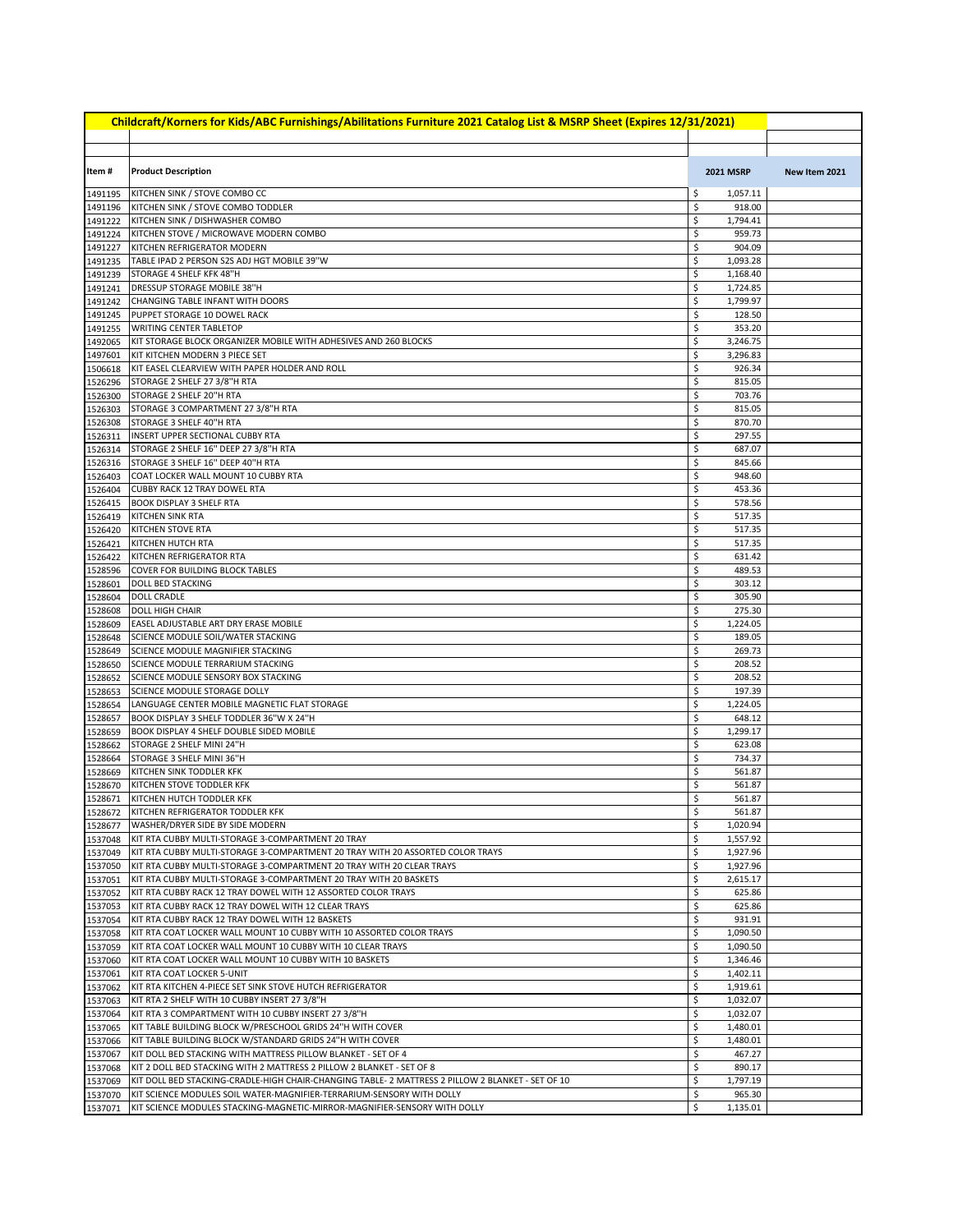| Childcraft/Korners for Kids/ABC Furnishings/Abilitations Furniture 2021 Catalog List & MSRP Sheet (Expires 12/31/2021) |                                                                                                                                                                            |          |                      |               |  |
|------------------------------------------------------------------------------------------------------------------------|----------------------------------------------------------------------------------------------------------------------------------------------------------------------------|----------|----------------------|---------------|--|
|                                                                                                                        |                                                                                                                                                                            |          |                      |               |  |
| Item #                                                                                                                 | <b>Product Description</b>                                                                                                                                                 |          | <b>2021 MSRP</b>     | New Item 2021 |  |
| 1491195                                                                                                                | KITCHEN SINK / STOVE COMBO CC                                                                                                                                              | \$       | 1,057.11             |               |  |
| 1491196                                                                                                                | KITCHEN SINK / STOVE COMBO TODDLER                                                                                                                                         | \$       | 918.00               |               |  |
| 1491222                                                                                                                | KITCHEN SINK / DISHWASHER COMBO                                                                                                                                            | \$       | 1,794.41             |               |  |
| 1491224                                                                                                                | KITCHEN STOVE / MICROWAVE MODERN COMBO                                                                                                                                     | \$       | 959.73               |               |  |
| 1491227                                                                                                                | KITCHEN REFRIGERATOR MODERN                                                                                                                                                | \$       | 904.09               |               |  |
| 1491235                                                                                                                | TABLE IPAD 2 PERSON S2S ADJ HGT MOBILE 39"W                                                                                                                                | \$       | 1,093.28             |               |  |
| 1491239<br>1491241                                                                                                     | STORAGE 4 SHELF KFK 48"H<br>DRESSUP STORAGE MOBILE 38"H                                                                                                                    | \$<br>\$ | 1,168.40<br>1,724.85 |               |  |
| 1491242                                                                                                                | CHANGING TABLE INFANT WITH DOORS                                                                                                                                           | \$       | 1,799.97             |               |  |
| 1491245                                                                                                                | PUPPET STORAGE 10 DOWEL RACK                                                                                                                                               | \$       | 128.50               |               |  |
| 1491255                                                                                                                | <b>WRITING CENTER TABLETOP</b>                                                                                                                                             | \$       | 353.20               |               |  |
| 1492065                                                                                                                | KIT STORAGE BLOCK ORGANIZER MOBILE WITH ADHESIVES AND 260 BLOCKS                                                                                                           | \$       | 3,246.75             |               |  |
| 1497601                                                                                                                | KIT KITCHEN MODERN 3 PIECE SET                                                                                                                                             | \$       | 3,296.83             |               |  |
| 1506618                                                                                                                | KIT EASEL CLEARVIEW WITH PAPER HOLDER AND ROLL                                                                                                                             | \$       | 926.34               |               |  |
| 1526296                                                                                                                | STORAGE 2 SHELF 27 3/8"H RTA<br>STORAGE 2 SHELF 20"H RTA                                                                                                                   | \$<br>\$ | 815.05<br>703.76     |               |  |
| 1526300<br>1526303                                                                                                     | STORAGE 3 COMPARTMENT 27 3/8"H RTA                                                                                                                                         | \$       | 815.05               |               |  |
| 1526308                                                                                                                | STORAGE 3 SHELF 40"H RTA                                                                                                                                                   | \$       | 870.70               |               |  |
| 1526311                                                                                                                | INSERT UPPER SECTIONAL CUBBY RTA                                                                                                                                           | \$       | 297.55               |               |  |
| 1526314                                                                                                                | STORAGE 2 SHELF 16" DEEP 27 3/8"H RTA                                                                                                                                      | \$       | 687.07               |               |  |
| 1526316                                                                                                                | STORAGE 3 SHELF 16" DEEP 40"H RTA                                                                                                                                          | \$       | 845.66               |               |  |
| 1526403                                                                                                                | COAT LOCKER WALL MOUNT 10 CUBBY RTA                                                                                                                                        | \$       | 948.60               |               |  |
| 1526404                                                                                                                | <b>CUBBY RACK 12 TRAY DOWEL RTA</b>                                                                                                                                        | \$       | 453.36               |               |  |
| 1526415<br>1526419                                                                                                     | <b>BOOK DISPLAY 3 SHELF RTA</b>                                                                                                                                            | \$<br>\$ | 578.56<br>517.35     |               |  |
| 1526420                                                                                                                | <b>KITCHEN SINK RTA</b><br>KITCHEN STOVE RTA                                                                                                                               | \$       | 517.35               |               |  |
| 1526421                                                                                                                | KITCHEN HUTCH RTA                                                                                                                                                          | \$       | 517.35               |               |  |
| 1526422                                                                                                                | KITCHEN REFRIGERATOR RTA                                                                                                                                                   | \$       | 631.42               |               |  |
| 1528596                                                                                                                | COVER FOR BUILDING BLOCK TABLES                                                                                                                                            | \$       | 489.53               |               |  |
| 1528601                                                                                                                | DOLL BED STACKING                                                                                                                                                          | \$       | 303.12               |               |  |
| 1528604                                                                                                                | <b>DOLL CRADLE</b>                                                                                                                                                         | \$       | 305.90               |               |  |
| 1528608                                                                                                                | <b>DOLL HIGH CHAIR</b>                                                                                                                                                     | \$       | 275.30               |               |  |
| 1528609<br>1528648                                                                                                     | EASEL ADJUSTABLE ART DRY ERASE MOBILE<br>SCIENCE MODULE SOIL/WATER STACKING                                                                                                | \$<br>\$ | 1,224.05<br>189.05   |               |  |
| 1528649                                                                                                                | SCIENCE MODULE MAGNIFIER STACKING                                                                                                                                          | \$       | 269.73               |               |  |
| 1528650                                                                                                                | SCIENCE MODULE TERRARIUM STACKING                                                                                                                                          | \$       | 208.52               |               |  |
| 1528652                                                                                                                | SCIENCE MODULE SENSORY BOX STACKING                                                                                                                                        | \$       | 208.52               |               |  |
| 1528653                                                                                                                | SCIENCE MODULE STORAGE DOLLY                                                                                                                                               | \$       | 197.39               |               |  |
| 1528654                                                                                                                | LANGUAGE CENTER MOBILE MAGNETIC FLAT STORAGE                                                                                                                               | \$       | 1,224.05             |               |  |
| 1528657                                                                                                                | BOOK DISPLAY 3 SHELF TODDLER 36"W X 24"H                                                                                                                                   | \$       | 648.12               |               |  |
| 1528659<br>1528662                                                                                                     | BOOK DISPLAY 4 SHELF DOUBLE SIDED MOBILE<br>STORAGE 2 SHELF MINI 24"H                                                                                                      | \$<br>\$ | 1,299.17<br>623.08   |               |  |
| 1528664                                                                                                                | STORAGE 3 SHELF MINI 36"H                                                                                                                                                  | \$       | 734.37               |               |  |
| 1528669                                                                                                                | KITCHEN SINK TODDLER KFK                                                                                                                                                   | \$       | 561.87               |               |  |
| 1528670                                                                                                                | KITCHEN STOVE TODDLER KFK                                                                                                                                                  | \$       | 561.87               |               |  |
| 1528671                                                                                                                | KITCHEN HUTCH TODDLER KFK                                                                                                                                                  | \$       | 561.87               |               |  |
|                                                                                                                        | 1528672 KITCHEN REFRIGERATOR TODDLER KFK                                                                                                                                   | Ş        | 561.87               |               |  |
| 1528677                                                                                                                | <b>WASHER/DRYER SIDE BY SIDE MODERN</b>                                                                                                                                    | \$       | 1,020.94             |               |  |
| 1537048                                                                                                                | KIT RTA CUBBY MULTI-STORAGE 3-COMPARTMENT 20 TRAY                                                                                                                          | \$<br>\$ | 1,557.92             |               |  |
| 1537049<br>1537050                                                                                                     | KIT RTA CUBBY MULTI-STORAGE 3-COMPARTMENT 20 TRAY WITH 20 ASSORTED COLOR TRAYS<br>KIT RTA CUBBY MULTI-STORAGE 3-COMPARTMENT 20 TRAY WITH 20 CLEAR TRAYS                    | \$       | 1,927.96<br>1,927.96 |               |  |
| 1537051                                                                                                                | KIT RTA CUBBY MULTI-STORAGE 3-COMPARTMENT 20 TRAY WITH 20 BASKETS                                                                                                          | \$       | 2,615.17             |               |  |
| 1537052                                                                                                                | KIT RTA CUBBY RACK 12 TRAY DOWEL WITH 12 ASSORTED COLOR TRAYS                                                                                                              | \$       | 625.86               |               |  |
| 1537053                                                                                                                | KIT RTA CUBBY RACK 12 TRAY DOWEL WITH 12 CLEAR TRAYS                                                                                                                       | \$       | 625.86               |               |  |
| 1537054                                                                                                                | KIT RTA CUBBY RACK 12 TRAY DOWEL WITH 12 BASKETS                                                                                                                           | \$       | 931.91               |               |  |
| 1537058                                                                                                                | KIT RTA COAT LOCKER WALL MOUNT 10 CUBBY WITH 10 ASSORTED COLOR TRAYS                                                                                                       | \$       | 1,090.50             |               |  |
| 1537059                                                                                                                | KIT RTA COAT LOCKER WALL MOUNT 10 CUBBY WITH 10 CLEAR TRAYS                                                                                                                | \$       | 1,090.50             |               |  |
| 1537060<br>1537061                                                                                                     | KIT RTA COAT LOCKER WALL MOUNT 10 CUBBY WITH 10 BASKETS<br>KIT RTA COAT LOCKER 5-UNIT                                                                                      | \$<br>\$ | 1,346.46<br>1,402.11 |               |  |
| 1537062                                                                                                                | KIT RTA KITCHEN 4-PIECE SET SINK STOVE HUTCH REFRIGERATOR                                                                                                                  | \$       | 1,919.61             |               |  |
| 1537063                                                                                                                | KIT RTA 2 SHELF WITH 10 CUBBY INSERT 27 3/8"H                                                                                                                              | \$       | 1,032.07             |               |  |
| 1537064                                                                                                                | KIT RTA 3 COMPARTMENT WITH 10 CUBBY INSERT 27 3/8"H                                                                                                                        | \$       | 1,032.07             |               |  |
| 1537065                                                                                                                | KIT TABLE BUILDING BLOCK W/PRESCHOOL GRIDS 24"H WITH COVER                                                                                                                 | \$       | 1,480.01             |               |  |
| 1537066                                                                                                                | KIT TABLE BUILDING BLOCK W/STANDARD GRIDS 24"H WITH COVER                                                                                                                  | \$       | 1,480.01             |               |  |
| 1537067                                                                                                                | KIT DOLL BED STACKING WITH MATTRESS PILLOW BLANKET - SET OF 4                                                                                                              | \$       | 467.27               |               |  |
| 1537068                                                                                                                | KIT 2 DOLL BED STACKING WITH 2 MATTRESS 2 PILLOW 2 BLANKET - SET OF 8<br>KIT DOLL BED STACKING-CRADLE-HIGH CHAIR-CHANGING TABLE- 2 MATTRESS 2 PILLOW 2 BLANKET - SET OF 10 | \$<br>\$ | 890.17<br>1,797.19   |               |  |
| 1537069<br>1537070                                                                                                     | KIT SCIENCE MODULES SOIL WATER-MAGNIFIER-TERRARIUM-SENSORY WITH DOLLY                                                                                                      | \$       | 965.30               |               |  |
| 1537071                                                                                                                | KIT SCIENCE MODULES STACKING-MAGNETIC-MIRROR-MAGNIFIER-SENSORY WITH DOLLY                                                                                                  | \$       | 1,135.01             |               |  |
|                                                                                                                        |                                                                                                                                                                            |          |                      |               |  |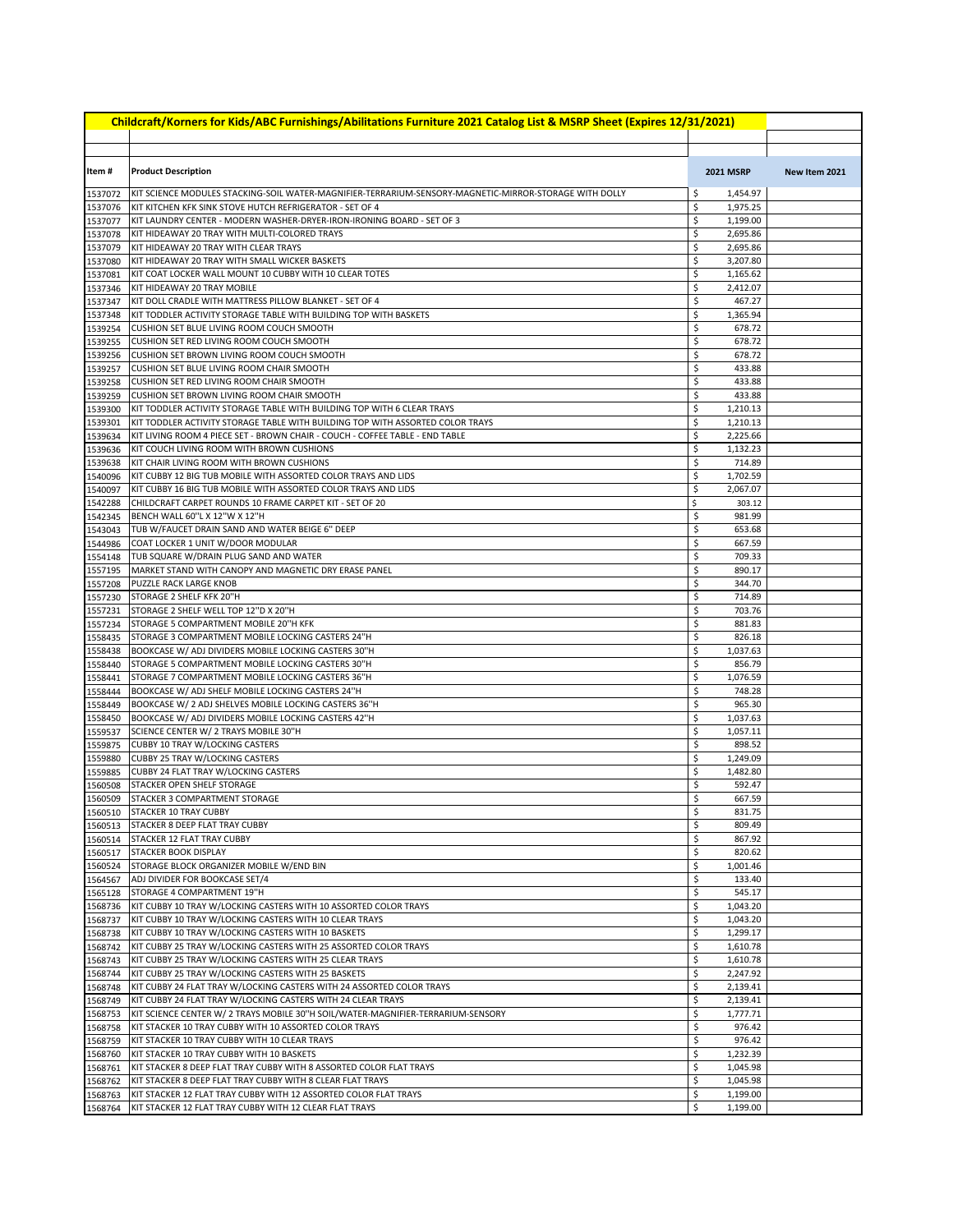| Childcraft/Korners for Kids/ABC Furnishings/Abilitations Furniture 2021 Catalog List & MSRP Sheet (Expires 12/31/2021) |                                                                                                                                                                |          |                      |               |  |  |
|------------------------------------------------------------------------------------------------------------------------|----------------------------------------------------------------------------------------------------------------------------------------------------------------|----------|----------------------|---------------|--|--|
|                                                                                                                        |                                                                                                                                                                |          |                      |               |  |  |
| Item#                                                                                                                  | <b>Product Description</b>                                                                                                                                     |          | <b>2021 MSRP</b>     | New Item 2021 |  |  |
| 1537072                                                                                                                | KIT SCIENCE MODULES STACKING-SOIL WATER-MAGNIFIER-TERRARIUM-SENSORY-MAGNETIC-MIRROR-STORAGE WITH DOLLY                                                         | \$       | 1,454.97             |               |  |  |
| 1537076                                                                                                                | KIT KITCHEN KFK SINK STOVE HUTCH REFRIGERATOR - SET OF 4                                                                                                       | \$       | 1,975.25             |               |  |  |
| 1537077                                                                                                                | KIT LAUNDRY CENTER - MODERN WASHER-DRYER-IRON-IRONING BOARD - SET OF 3                                                                                         | \$       | 1,199.00             |               |  |  |
| 1537078                                                                                                                | KIT HIDEAWAY 20 TRAY WITH MULTI-COLORED TRAYS                                                                                                                  | \$       | 2,695.86             |               |  |  |
| 1537079<br>1537080                                                                                                     | KIT HIDEAWAY 20 TRAY WITH CLEAR TRAYS<br>KIT HIDEAWAY 20 TRAY WITH SMALL WICKER BASKETS                                                                        | \$<br>\$ | 2,695.86<br>3,207.80 |               |  |  |
| 1537081                                                                                                                | KIT COAT LOCKER WALL MOUNT 10 CUBBY WITH 10 CLEAR TOTES                                                                                                        | \$       | 1,165.62             |               |  |  |
| 1537346                                                                                                                | KIT HIDEAWAY 20 TRAY MOBILE                                                                                                                                    | \$       | 2,412.07             |               |  |  |
| 1537347                                                                                                                | KIT DOLL CRADLE WITH MATTRESS PILLOW BLANKET - SET OF 4                                                                                                        | \$       | 467.27               |               |  |  |
| 1537348                                                                                                                | KIT TODDLER ACTIVITY STORAGE TABLE WITH BUILDING TOP WITH BASKETS                                                                                              | \$       | 1,365.94             |               |  |  |
| 1539254                                                                                                                | CUSHION SET BLUE LIVING ROOM COUCH SMOOTH                                                                                                                      | \$<br>\$ | 678.72<br>678.72     |               |  |  |
| 1539255<br>1539256                                                                                                     | CUSHION SET RED LIVING ROOM COUCH SMOOTH<br>CUSHION SET BROWN LIVING ROOM COUCH SMOOTH                                                                         | \$       | 678.72               |               |  |  |
| 1539257                                                                                                                | CUSHION SET BLUE LIVING ROOM CHAIR SMOOTH                                                                                                                      | \$       | 433.88               |               |  |  |
| 1539258                                                                                                                | CUSHION SET RED LIVING ROOM CHAIR SMOOTH                                                                                                                       | \$       | 433.88               |               |  |  |
| 1539259                                                                                                                | CUSHION SET BROWN LIVING ROOM CHAIR SMOOTH                                                                                                                     | \$       | 433.88               |               |  |  |
| 1539300                                                                                                                | KIT TODDLER ACTIVITY STORAGE TABLE WITH BUILDING TOP WITH 6 CLEAR TRAYS                                                                                        | \$       | 1,210.13             |               |  |  |
| 1539301                                                                                                                | KIT TODDLER ACTIVITY STORAGE TABLE WITH BUILDING TOP WITH ASSORTED COLOR TRAYS<br>KIT LIVING ROOM 4 PIECE SET - BROWN CHAIR - COUCH - COFFEE TABLE - END TABLE | \$<br>\$ | 1,210.13<br>2,225.66 |               |  |  |
| 1539634<br>1539636                                                                                                     | KIT COUCH LIVING ROOM WITH BROWN CUSHIONS                                                                                                                      | \$       | 1,132.23             |               |  |  |
| 1539638                                                                                                                | KIT CHAIR LIVING ROOM WITH BROWN CUSHIONS                                                                                                                      | \$       | 714.89               |               |  |  |
| 1540096                                                                                                                | KIT CUBBY 12 BIG TUB MOBILE WITH ASSORTED COLOR TRAYS AND LIDS                                                                                                 | \$       | 1,702.59             |               |  |  |
| 1540097                                                                                                                | KIT CUBBY 16 BIG TUB MOBILE WITH ASSORTED COLOR TRAYS AND LIDS                                                                                                 | \$       | 2,067.07             |               |  |  |
| 1542288                                                                                                                | CHILDCRAFT CARPET ROUNDS 10 FRAME CARPET KIT - SET OF 20                                                                                                       | \$       | 303.12               |               |  |  |
| 1542345                                                                                                                | BENCH WALL 60"L X 12"W X 12"H<br>TUB W/FAUCET DRAIN SAND AND WATER BEIGE 6" DEEP                                                                               | \$<br>\$ | 981.99<br>653.68     |               |  |  |
| 1543043<br>1544986                                                                                                     | COAT LOCKER 1 UNIT W/DOOR MODULAR                                                                                                                              | \$       | 667.59               |               |  |  |
| 1554148                                                                                                                | TUB SQUARE W/DRAIN PLUG SAND AND WATER                                                                                                                         | \$       | 709.33               |               |  |  |
| 1557195                                                                                                                | MARKET STAND WITH CANOPY AND MAGNETIC DRY ERASE PANEL                                                                                                          | \$       | 890.17               |               |  |  |
| 1557208                                                                                                                | PUZZLE RACK LARGE KNOB                                                                                                                                         | \$       | 344.70               |               |  |  |
| 1557230                                                                                                                | STORAGE 2 SHELF KFK 20"H                                                                                                                                       | \$       | 714.89               |               |  |  |
| 1557231<br>1557234                                                                                                     | STORAGE 2 SHELF WELL TOP 12"D X 20"H<br>STORAGE 5 COMPARTMENT MOBILE 20"H KFK                                                                                  | \$<br>\$ | 703.76<br>881.83     |               |  |  |
| 1558435                                                                                                                | STORAGE 3 COMPARTMENT MOBILE LOCKING CASTERS 24"H                                                                                                              | \$       | 826.18               |               |  |  |
| 1558438                                                                                                                | BOOKCASE W/ ADJ DIVIDERS MOBILE LOCKING CASTERS 30"H                                                                                                           | \$       | 1,037.63             |               |  |  |
| 1558440                                                                                                                | STORAGE 5 COMPARTMENT MOBILE LOCKING CASTERS 30"H                                                                                                              | \$       | 856.79               |               |  |  |
| 1558441                                                                                                                | STORAGE 7 COMPARTMENT MOBILE LOCKING CASTERS 36"H                                                                                                              | \$       | 1,076.59             |               |  |  |
| 1558444                                                                                                                | BOOKCASE W/ ADJ SHELF MOBILE LOCKING CASTERS 24"H                                                                                                              | \$       | 748.28               |               |  |  |
| 1558449<br>1558450                                                                                                     | BOOKCASE W/ 2 ADJ SHELVES MOBILE LOCKING CASTERS 36"H<br>BOOKCASE W/ ADJ DIVIDERS MOBILE LOCKING CASTERS 42"H                                                  | \$<br>\$ | 965.30<br>1,037.63   |               |  |  |
| 1559537                                                                                                                | SCIENCE CENTER W/ 2 TRAYS MOBILE 30"H                                                                                                                          | \$       | 1,057.11             |               |  |  |
| 1559875                                                                                                                | CUBBY 10 TRAY W/LOCKING CASTERS                                                                                                                                | \$       | 898.52               |               |  |  |
| 1559880                                                                                                                | CUBBY 25 TRAY W/LOCKING CASTERS                                                                                                                                | \$       | 1,249.09             |               |  |  |
| 1559885                                                                                                                | CUBBY 24 FLAT TRAY W/LOCKING CASTERS                                                                                                                           | \$       | 1,482.80             |               |  |  |
| 1560508                                                                                                                | <b>STACKER OPEN SHELF STORAGE</b>                                                                                                                              | \$       | 592.47               |               |  |  |
| 1560509                                                                                                                | STACKER 3 COMPARTMENT STORAGE<br>1560510 STACKER 10 TRAY CUBBY                                                                                                 | \$<br>\$ | 667.59<br>831.75     |               |  |  |
|                                                                                                                        | 1560513 STACKER 8 DEEP FLAT TRAY CUBBY                                                                                                                         | \$       | 809.49               |               |  |  |
|                                                                                                                        | 1560514 STACKER 12 FLAT TRAY CUBBY                                                                                                                             | \$       | 867.92               |               |  |  |
|                                                                                                                        | 1560517 STACKER BOOK DISPLAY                                                                                                                                   | \$       | 820.62               |               |  |  |
|                                                                                                                        | 1560524 STORAGE BLOCK ORGANIZER MOBILE W/END BIN                                                                                                               | \$       | 1,001.46             |               |  |  |
| 1564567                                                                                                                | ADJ DIVIDER FOR BOOKCASE SET/4<br>STORAGE 4 COMPARTMENT 19"H                                                                                                   | \$<br>\$ | 133.40<br>545.17     |               |  |  |
| 1565128<br>1568736                                                                                                     | KIT CUBBY 10 TRAY W/LOCKING CASTERS WITH 10 ASSORTED COLOR TRAYS                                                                                               | \$       | 1,043.20             |               |  |  |
| 1568737                                                                                                                | KIT CUBBY 10 TRAY W/LOCKING CASTERS WITH 10 CLEAR TRAYS                                                                                                        | \$       | 1,043.20             |               |  |  |
| 1568738                                                                                                                | KIT CUBBY 10 TRAY W/LOCKING CASTERS WITH 10 BASKETS                                                                                                            | \$       | 1,299.17             |               |  |  |
| 1568742                                                                                                                | KIT CUBBY 25 TRAY W/LOCKING CASTERS WITH 25 ASSORTED COLOR TRAYS                                                                                               | \$       | 1,610.78             |               |  |  |
| 1568743                                                                                                                | KIT CUBBY 25 TRAY W/LOCKING CASTERS WITH 25 CLEAR TRAYS                                                                                                        | \$       | 1,610.78             |               |  |  |
| 1568744<br>1568748                                                                                                     | KIT CUBBY 25 TRAY W/LOCKING CASTERS WITH 25 BASKETS<br>KIT CUBBY 24 FLAT TRAY W/LOCKING CASTERS WITH 24 ASSORTED COLOR TRAYS                                   | \$<br>\$ | 2,247.92<br>2,139.41 |               |  |  |
| 1568749                                                                                                                | KIT CUBBY 24 FLAT TRAY W/LOCKING CASTERS WITH 24 CLEAR TRAYS                                                                                                   | \$       | 2,139.41             |               |  |  |
| 1568753                                                                                                                | KIT SCIENCE CENTER W/ 2 TRAYS MOBILE 30"H SOIL/WATER-MAGNIFIER-TERRARIUM-SENSORY                                                                               | \$       | 1,777.71             |               |  |  |
| 1568758                                                                                                                | KIT STACKER 10 TRAY CUBBY WITH 10 ASSORTED COLOR TRAYS                                                                                                         | \$       | 976.42               |               |  |  |
| 1568759                                                                                                                | KIT STACKER 10 TRAY CUBBY WITH 10 CLEAR TRAYS                                                                                                                  | \$       | 976.42               |               |  |  |
| 1568760                                                                                                                | KIT STACKER 10 TRAY CUBBY WITH 10 BASKETS                                                                                                                      | \$       | 1,232.39             |               |  |  |
| 1568761<br>1568762                                                                                                     | KIT STACKER 8 DEEP FLAT TRAY CUBBY WITH 8 ASSORTED COLOR FLAT TRAYS<br>KIT STACKER 8 DEEP FLAT TRAY CUBBY WITH 8 CLEAR FLAT TRAYS                              | \$<br>\$ | 1,045.98<br>1,045.98 |               |  |  |
| 1568763                                                                                                                | KIT STACKER 12 FLAT TRAY CUBBY WITH 12 ASSORTED COLOR FLAT TRAYS                                                                                               | \$       | 1,199.00             |               |  |  |
| 1568764                                                                                                                | KIT STACKER 12 FLAT TRAY CUBBY WITH 12 CLEAR FLAT TRAYS                                                                                                        | \$       | 1,199.00             |               |  |  |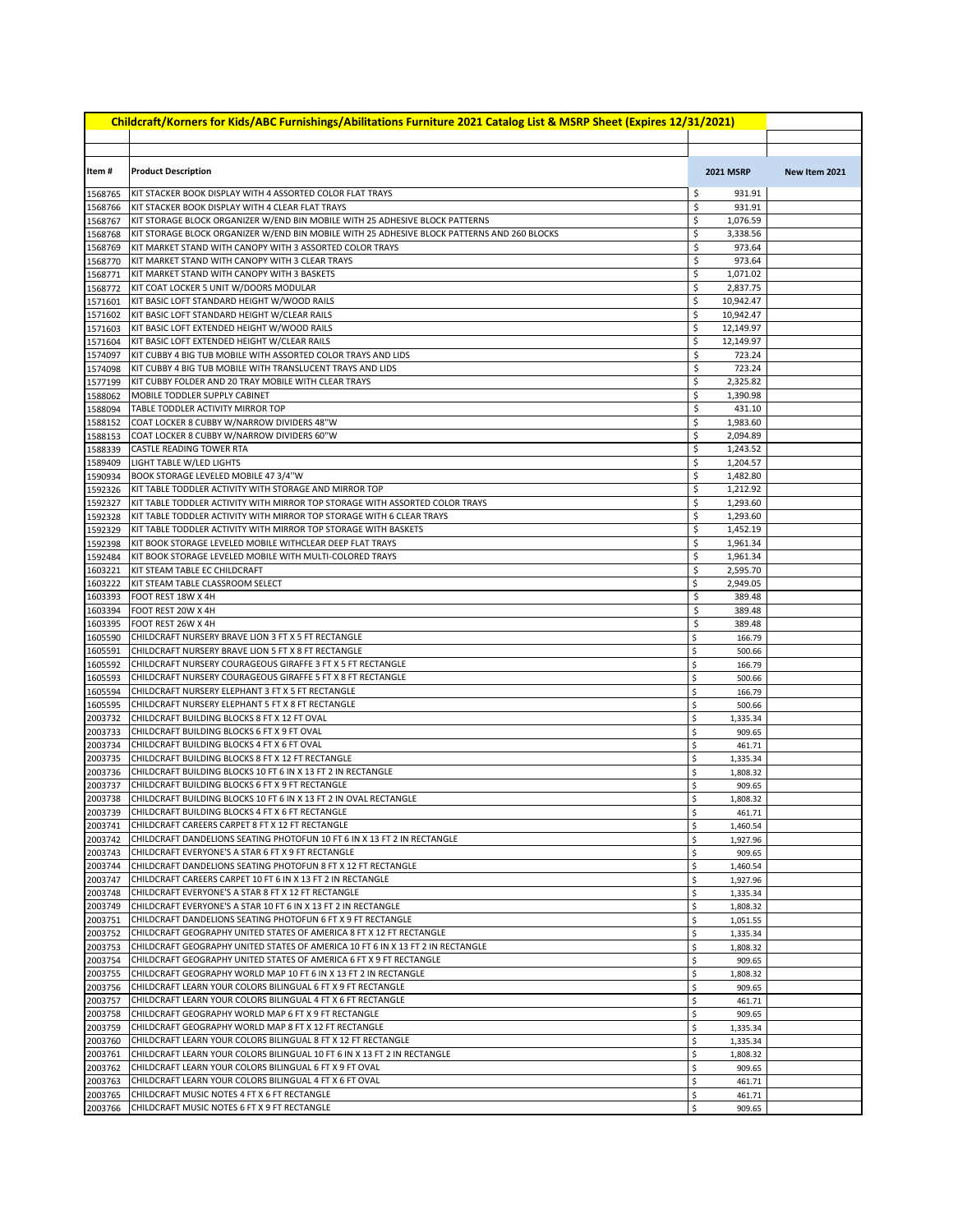| Childcraft/Korners for Kids/ABC Furnishings/Abilitations Furniture 2021 Catalog List & MSRP Sheet (Expires 12/31/2021) |                                                                                                                                        |                    |                      |               |  |  |
|------------------------------------------------------------------------------------------------------------------------|----------------------------------------------------------------------------------------------------------------------------------------|--------------------|----------------------|---------------|--|--|
|                                                                                                                        |                                                                                                                                        |                    |                      |               |  |  |
|                                                                                                                        |                                                                                                                                        |                    |                      |               |  |  |
| Item #                                                                                                                 | <b>Product Description</b>                                                                                                             |                    | <b>2021 MSRP</b>     | New Item 2021 |  |  |
| 1568765                                                                                                                | KIT STACKER BOOK DISPLAY WITH 4 ASSORTED COLOR FLAT TRAYS                                                                              | \$                 | 931.91               |               |  |  |
| 1568766                                                                                                                | KIT STACKER BOOK DISPLAY WITH 4 CLEAR FLAT TRAYS                                                                                       | \$                 | 931.91               |               |  |  |
| 1568767                                                                                                                | KIT STORAGE BLOCK ORGANIZER W/END BIN MOBILE WITH 25 ADHESIVE BLOCK PATTERNS                                                           | \$                 | 1,076.59             |               |  |  |
| 1568768                                                                                                                | KIT STORAGE BLOCK ORGANIZER W/END BIN MOBILE WITH 25 ADHESIVE BLOCK PATTERNS AND 260 BLOCKS                                            | \$                 | 3,338.56             |               |  |  |
| 1568769                                                                                                                | KIT MARKET STAND WITH CANOPY WITH 3 ASSORTED COLOR TRAYS                                                                               | \$                 | 973.64               |               |  |  |
| 1568770                                                                                                                | KIT MARKET STAND WITH CANOPY WITH 3 CLEAR TRAYS                                                                                        | \$                 | 973.64               |               |  |  |
| 1568771<br>1568772                                                                                                     | KIT MARKET STAND WITH CANOPY WITH 3 BASKETS<br>KIT COAT LOCKER 5 UNIT W/DOORS MODULAR                                                  | \$<br>\$           | 1,071.02<br>2,837.75 |               |  |  |
| 1571601                                                                                                                | KIT BASIC LOFT STANDARD HEIGHT W/WOOD RAILS                                                                                            | \$                 | 10,942.47            |               |  |  |
| 1571602                                                                                                                | KIT BASIC LOFT STANDARD HEIGHT W/CLEAR RAILS                                                                                           | \$                 | 10,942.47            |               |  |  |
| 1571603                                                                                                                | KIT BASIC LOFT EXTENDED HEIGHT W/WOOD RAILS                                                                                            | \$                 | 12,149.97            |               |  |  |
| 1571604                                                                                                                | KIT BASIC LOFT EXTENDED HEIGHT W/CLEAR RAILS                                                                                           | \$                 | 12,149.97            |               |  |  |
| 1574097                                                                                                                | KIT CUBBY 4 BIG TUB MOBILE WITH ASSORTED COLOR TRAYS AND LIDS                                                                          | \$                 | 723.24               |               |  |  |
| 1574098<br>1577199                                                                                                     | KIT CUBBY 4 BIG TUB MOBILE WITH TRANSLUCENT TRAYS AND LIDS<br>KIT CUBBY FOLDER AND 20 TRAY MOBILE WITH CLEAR TRAYS                     | \$<br>\$           | 723.24<br>2,325.82   |               |  |  |
| 1588062                                                                                                                | MOBILE TODDLER SUPPLY CABINET                                                                                                          | \$                 | 1,390.98             |               |  |  |
| 1588094                                                                                                                | TABLE TODDLER ACTIVITY MIRROR TOP                                                                                                      | \$                 | 431.10               |               |  |  |
| 1588152                                                                                                                | COAT LOCKER 8 CUBBY W/NARROW DIVIDERS 48"W                                                                                             | \$                 | 1,983.60             |               |  |  |
| 1588153                                                                                                                | COAT LOCKER 8 CUBBY W/NARROW DIVIDERS 60"W                                                                                             | \$                 | 2,094.89             |               |  |  |
| 1588339                                                                                                                | <b>CASTLE READING TOWER RTA</b>                                                                                                        | \$                 | 1,243.52             |               |  |  |
| 1589409                                                                                                                | LIGHT TABLE W/LED LIGHTS                                                                                                               | \$                 | 1,204.57             |               |  |  |
| 1590934                                                                                                                | BOOK STORAGE LEVELED MOBILE 47 3/4"W                                                                                                   | \$<br>\$           | 1,482.80             |               |  |  |
| 1592326<br>1592327                                                                                                     | KIT TABLE TODDLER ACTIVITY WITH STORAGE AND MIRROR TOP<br>KIT TABLE TODDLER ACTIVITY WITH MIRROR TOP STORAGE WITH ASSORTED COLOR TRAYS | \$                 | 1,212.92<br>1,293.60 |               |  |  |
| 1592328                                                                                                                | KIT TABLE TODDLER ACTIVITY WITH MIRROR TOP STORAGE WITH 6 CLEAR TRAYS                                                                  | \$                 | 1,293.60             |               |  |  |
| 1592329                                                                                                                | KIT TABLE TODDLER ACTIVITY WITH MIRROR TOP STORAGE WITH BASKETS                                                                        | \$                 | 1,452.19             |               |  |  |
| 1592398                                                                                                                | KIT BOOK STORAGE LEVELED MOBILE WITHCLEAR DEEP FLAT TRAYS                                                                              | \$                 | 1,961.34             |               |  |  |
| 1592484                                                                                                                | KIT BOOK STORAGE LEVELED MOBILE WITH MULTI-COLORED TRAYS                                                                               | \$                 | 1,961.34             |               |  |  |
| 1603221                                                                                                                | KIT STEAM TABLE EC CHILDCRAFT                                                                                                          | \$                 | 2,595.70             |               |  |  |
| 1603222<br>1603393                                                                                                     | KIT STEAM TABLE CLASSROOM SELECT<br>FOOT REST 18W X 4H                                                                                 | \$<br>\$           | 2,949.05<br>389.48   |               |  |  |
| 1603394                                                                                                                | FOOT REST 20W X 4H                                                                                                                     | \$                 | 389.48               |               |  |  |
| 1603395                                                                                                                | FOOT REST 26W X 4H                                                                                                                     | \$                 | 389.48               |               |  |  |
| 1605590                                                                                                                | CHILDCRAFT NURSERY BRAVE LION 3 FT X 5 FT RECTANGLE                                                                                    | \$                 | 166.79               |               |  |  |
| 1605591                                                                                                                | CHILDCRAFT NURSERY BRAVE LION 5 FT X 8 FT RECTANGLE                                                                                    | \$                 | 500.66               |               |  |  |
| 1605592                                                                                                                | CHILDCRAFT NURSERY COURAGEOUS GIRAFFE 3 FT X 5 FT RECTANGLE                                                                            | \$                 | 166.79               |               |  |  |
| 1605593<br>1605594                                                                                                     | CHILDCRAFT NURSERY COURAGEOUS GIRAFFE 5 FT X 8 FT RECTANGLE<br>CHILDCRAFT NURSERY ELEPHANT 3 FT X 5 FT RECTANGLE                       | \$                 | 500.66<br>166.79     |               |  |  |
| 1605595                                                                                                                | CHILDCRAFT NURSERY ELEPHANT 5 FT X 8 FT RECTANGLE                                                                                      | \$<br>\$           | 500.66               |               |  |  |
| 2003732                                                                                                                | CHILDCRAFT BUILDING BLOCKS 8 FT X 12 FT OVAL                                                                                           | \$                 | 1,335.34             |               |  |  |
| 2003733                                                                                                                | CHILDCRAFT BUILDING BLOCKS 6 FT X 9 FT OVAL                                                                                            | \$                 | 909.65               |               |  |  |
| 2003734                                                                                                                | CHILDCRAFT BUILDING BLOCKS 4 FT X 6 FT OVAL                                                                                            | \$                 | 461.71               |               |  |  |
| 2003735                                                                                                                | CHILDCRAFT BUILDING BLOCKS 8 FT X 12 FT RECTANGLE                                                                                      | \$                 | 1,335.34             |               |  |  |
| 2003736                                                                                                                | CHILDCRAFT BUILDING BLOCKS 10 FT 6 IN X 13 FT 2 IN RECTANGLE                                                                           | \$                 | 1,808.32             |               |  |  |
| 2003737<br>2003738                                                                                                     | CHILDCRAFT BUILDING BLOCKS 6 FT X 9 FT RECTANGLE<br>CHILDCRAFT BUILDING BLOCKS 10 FT 6 IN X 13 FT 2 IN OVAL RECTANGLE                  | \$<br>\$           | 909.65<br>1.808.32   |               |  |  |
|                                                                                                                        | 2003739 CHILDCRAFT BUILDING BLOCKS 4 FT X 6 FT RECTANGLE                                                                               | \$                 | 461.71               |               |  |  |
| 2003741                                                                                                                | CHILDCRAFT CAREERS CARPET 8 FT X 12 FT RECTANGLE                                                                                       | \$                 | 1,460.54             |               |  |  |
| 2003742                                                                                                                | CHILDCRAFT DANDELIONS SEATING PHOTOFUN 10 FT 6 IN X 13 FT 2 IN RECTANGLE                                                               | \$                 | 1,927.96             |               |  |  |
| 2003743                                                                                                                | CHILDCRAFT EVERYONE'S A STAR 6 FT X 9 FT RECTANGLE                                                                                     | \$                 | 909.65               |               |  |  |
| 2003744                                                                                                                | CHILDCRAFT DANDELIONS SEATING PHOTOFUN 8 FT X 12 FT RECTANGLE                                                                          | \$                 | 1,460.54             |               |  |  |
| 2003747<br>2003748                                                                                                     | CHILDCRAFT CAREERS CARPET 10 FT 6 IN X 13 FT 2 IN RECTANGLE<br>CHILDCRAFT EVERYONE'S A STAR 8 FT X 12 FT RECTANGLE                     | \$<br>\$           | 1,927.96<br>1,335.34 |               |  |  |
| 2003749                                                                                                                | CHILDCRAFT EVERYONE'S A STAR 10 FT 6 IN X 13 FT 2 IN RECTANGLE                                                                         | \$                 | 1,808.32             |               |  |  |
| 2003751                                                                                                                | CHILDCRAFT DANDELIONS SEATING PHOTOFUN 6 FT X 9 FT RECTANGLE                                                                           | \$                 | 1,051.55             |               |  |  |
| 2003752                                                                                                                | CHILDCRAFT GEOGRAPHY UNITED STATES OF AMERICA 8 FT X 12 FT RECTANGLE                                                                   | \$                 | 1,335.34             |               |  |  |
| 2003753                                                                                                                | CHILDCRAFT GEOGRAPHY UNITED STATES OF AMERICA 10 FT 6 IN X 13 FT 2 IN RECTANGLE                                                        | \$                 | 1,808.32             |               |  |  |
| 2003754                                                                                                                | CHILDCRAFT GEOGRAPHY UNITED STATES OF AMERICA 6 FT X 9 FT RECTANGLE                                                                    | \$                 | 909.65               |               |  |  |
| 2003755                                                                                                                | CHILDCRAFT GEOGRAPHY WORLD MAP 10 FT 6 IN X 13 FT 2 IN RECTANGLE                                                                       | \$                 | 1,808.32             |               |  |  |
| 2003756<br>2003757                                                                                                     | CHILDCRAFT LEARN YOUR COLORS BILINGUAL 6 FT X 9 FT RECTANGLE<br>CHILDCRAFT LEARN YOUR COLORS BILINGUAL 4 FT X 6 FT RECTANGLE           | \$<br>\$           | 909.65<br>461.71     |               |  |  |
| 2003758                                                                                                                | CHILDCRAFT GEOGRAPHY WORLD MAP 6 FT X 9 FT RECTANGLE                                                                                   | \$                 | 909.65               |               |  |  |
| 2003759                                                                                                                | CHILDCRAFT GEOGRAPHY WORLD MAP 8 FT X 12 FT RECTANGLE                                                                                  | \$                 | 1,335.34             |               |  |  |
| 2003760                                                                                                                | CHILDCRAFT LEARN YOUR COLORS BILINGUAL 8 FT X 12 FT RECTANGLE                                                                          | \$                 | 1,335.34             |               |  |  |
| 2003761                                                                                                                | CHILDCRAFT LEARN YOUR COLORS BILINGUAL 10 FT 6 IN X 13 FT 2 IN RECTANGLE                                                               | \$                 | 1,808.32             |               |  |  |
| 2003762                                                                                                                | CHILDCRAFT LEARN YOUR COLORS BILINGUAL 6 FT X 9 FT OVAL                                                                                | \$                 | 909.65               |               |  |  |
| 2003763<br>2003765                                                                                                     | CHILDCRAFT LEARN YOUR COLORS BILINGUAL 4 FT X 6 FT OVAL<br>CHILDCRAFT MUSIC NOTES 4 FT X 6 FT RECTANGLE                                | \$<br>\$           | 461.71<br>461.71     |               |  |  |
| 2003766                                                                                                                | CHILDCRAFT MUSIC NOTES 6 FT X 9 FT RECTANGLE                                                                                           | $\mathsf{\hat{S}}$ | 909.65               |               |  |  |
|                                                                                                                        |                                                                                                                                        |                    |                      |               |  |  |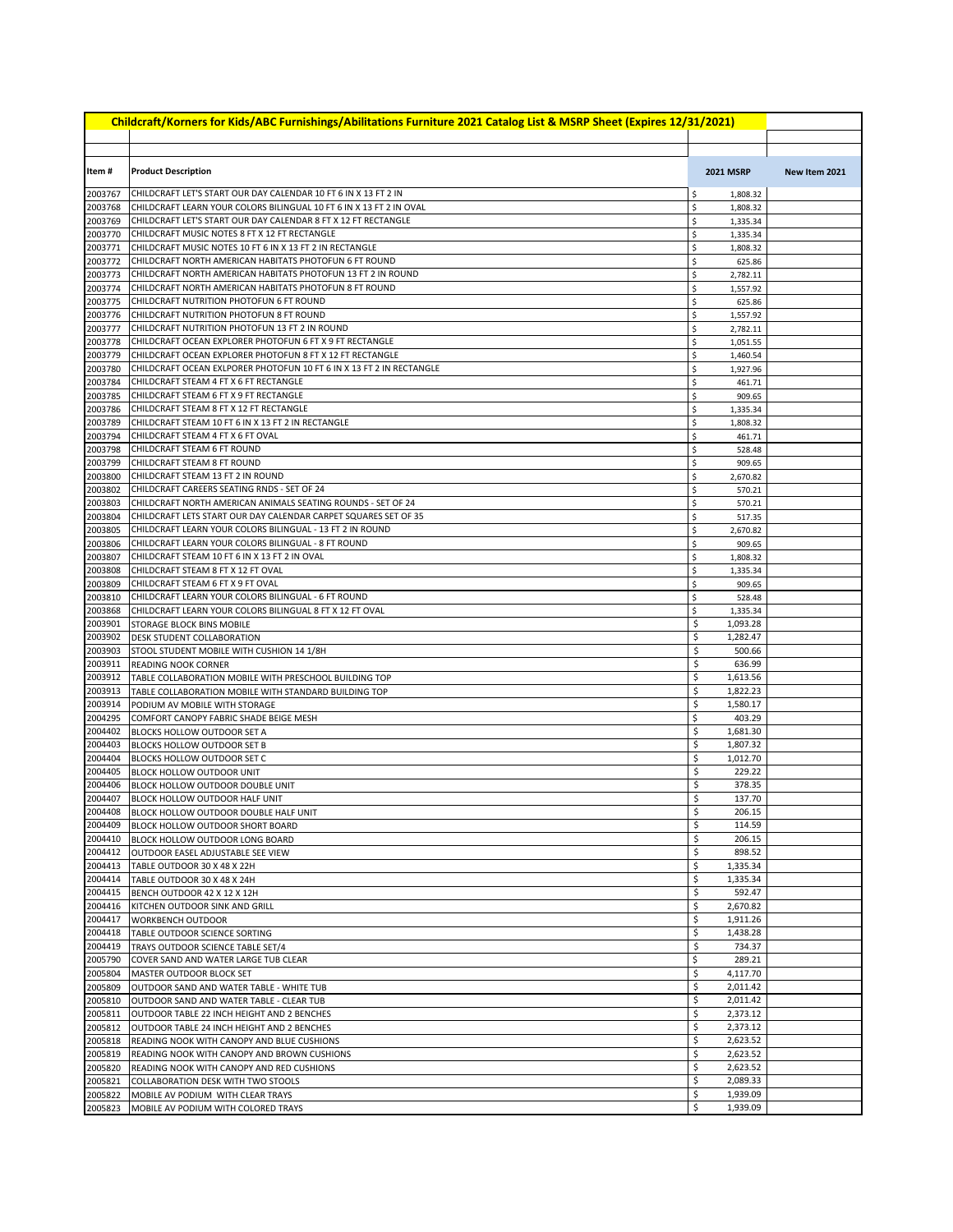| Childcraft/Korners for Kids/ABC Furnishings/Abilitations Furniture 2021 Catalog List & MSRP Sheet (Expires 12/31/2021) |                                                                                                                  |          |                      |               |  |
|------------------------------------------------------------------------------------------------------------------------|------------------------------------------------------------------------------------------------------------------|----------|----------------------|---------------|--|
|                                                                                                                        |                                                                                                                  |          |                      |               |  |
| Item#                                                                                                                  | <b>Product Description</b>                                                                                       |          | <b>2021 MSRP</b>     | New Item 2021 |  |
| 2003767                                                                                                                | CHILDCRAFT LET'S START OUR DAY CALENDAR 10 FT 6 IN X 13 FT 2 IN                                                  | \$       | 1,808.32             |               |  |
| 2003768                                                                                                                | CHILDCRAFT LEARN YOUR COLORS BILINGUAL 10 FT 6 IN X 13 FT 2 IN OVAL                                              | \$       | 1,808.32             |               |  |
| 2003769                                                                                                                | CHILDCRAFT LET'S START OUR DAY CALENDAR 8 FT X 12 FT RECTANGLE                                                   | \$       | 1,335.34             |               |  |
| 2003770<br>2003771                                                                                                     | CHILDCRAFT MUSIC NOTES 8 FT X 12 FT RECTANGLE<br>CHILDCRAFT MUSIC NOTES 10 FT 6 IN X 13 FT 2 IN RECTANGLE        | \$<br>\$ | 1,335.34             |               |  |
| 2003772                                                                                                                | CHILDCRAFT NORTH AMERICAN HABITATS PHOTOFUN 6 FT ROUND                                                           | \$       | 1,808.32<br>625.86   |               |  |
| 2003773                                                                                                                | CHILDCRAFT NORTH AMERICAN HABITATS PHOTOFUN 13 FT 2 IN ROUND                                                     | \$       | 2,782.11             |               |  |
| 2003774                                                                                                                | CHILDCRAFT NORTH AMERICAN HABITATS PHOTOFUN 8 FT ROUND                                                           | \$       | 1,557.92             |               |  |
| 2003775                                                                                                                | CHILDCRAFT NUTRITION PHOTOFUN 6 FT ROUND                                                                         | \$       | 625.86               |               |  |
| 2003776                                                                                                                | CHILDCRAFT NUTRITION PHOTOFUN 8 FT ROUND                                                                         | \$       | 1,557.92             |               |  |
| 2003777<br>2003778                                                                                                     | CHILDCRAFT NUTRITION PHOTOFUN 13 FT 2 IN ROUND<br>CHILDCRAFT OCEAN EXPLORER PHOTOFUN 6 FT X 9 FT RECTANGLE       | \$<br>\$ | 2,782.11<br>1,051.55 |               |  |
| 2003779                                                                                                                | CHILDCRAFT OCEAN EXPLORER PHOTOFUN 8 FT X 12 FT RECTANGLE                                                        | \$       | 1,460.54             |               |  |
| 2003780                                                                                                                | CHILDCRAFT OCEAN EXLPORER PHOTOFUN 10 FT 6 IN X 13 FT 2 IN RECTANGLE                                             | \$       | 1,927.96             |               |  |
| 2003784                                                                                                                | CHILDCRAFT STEAM 4 FT X 6 FT RECTANGLE                                                                           | \$       | 461.71               |               |  |
| 2003785                                                                                                                | CHILDCRAFT STEAM 6 FT X 9 FT RECTANGLE                                                                           | \$       | 909.65               |               |  |
| 2003786                                                                                                                | CHILDCRAFT STEAM 8 FT X 12 FT RECTANGLE                                                                          | \$       | 1,335.34             |               |  |
| 2003789                                                                                                                | CHILDCRAFT STEAM 10 FT 6 IN X 13 FT 2 IN RECTANGLE                                                               | \$       | 1,808.32             |               |  |
| 2003794<br>2003798                                                                                                     | CHILDCRAFT STEAM 4 FT X 6 FT OVAL<br>CHILDCRAFT STEAM 6 FT ROUND                                                 | \$<br>\$ | 461.71<br>528.48     |               |  |
| 2003799                                                                                                                | CHILDCRAFT STEAM 8 FT ROUND                                                                                      | \$       | 909.65               |               |  |
| 2003800                                                                                                                | CHILDCRAFT STEAM 13 FT 2 IN ROUND                                                                                | \$       | 2,670.82             |               |  |
| 2003802                                                                                                                | CHILDCRAFT CAREERS SEATING RNDS - SET OF 24                                                                      | \$       | 570.21               |               |  |
| 2003803                                                                                                                | CHILDCRAFT NORTH AMERICAN ANIMALS SEATING ROUNDS - SET OF 24                                                     | \$       | 570.21               |               |  |
| 2003804                                                                                                                | CHILDCRAFT LETS START OUR DAY CALENDAR CARPET SQUARES SET OF 35                                                  | \$       | 517.35               |               |  |
| 2003805                                                                                                                | CHILDCRAFT LEARN YOUR COLORS BILINGUAL - 13 FT 2 IN ROUND<br>CHILDCRAFT LEARN YOUR COLORS BILINGUAL - 8 FT ROUND | \$       | 2,670.82             |               |  |
| 2003806<br>2003807                                                                                                     | CHILDCRAFT STEAM 10 FT 6 IN X 13 FT 2 IN OVAL                                                                    | \$<br>\$ | 909.65<br>1,808.32   |               |  |
| 2003808                                                                                                                | CHILDCRAFT STEAM 8 FT X 12 FT OVAL                                                                               | \$       | 1,335.34             |               |  |
| 2003809                                                                                                                | CHILDCRAFT STEAM 6 FT X 9 FT OVAL                                                                                | \$       | 909.65               |               |  |
| 2003810                                                                                                                | CHILDCRAFT LEARN YOUR COLORS BILINGUAL - 6 FT ROUND                                                              | \$       | 528.48               |               |  |
| 2003868                                                                                                                | CHILDCRAFT LEARN YOUR COLORS BILINGUAL 8 FT X 12 FT OVAL                                                         | \$       | 1,335.34             |               |  |
| 2003901                                                                                                                | <b>STORAGE BLOCK BINS MOBILE</b>                                                                                 | \$       | 1,093.28             |               |  |
| 2003902<br>2003903                                                                                                     | DESK STUDENT COLLABORATION<br>STOOL STUDENT MOBILE WITH CUSHION 14 1/8H                                          | \$<br>\$ | 1,282.47<br>500.66   |               |  |
| 2003911                                                                                                                | <b>READING NOOK CORNER</b>                                                                                       | \$       | 636.99               |               |  |
| 2003912                                                                                                                | TABLE COLLABORATION MOBILE WITH PRESCHOOL BUILDING TOP                                                           | \$       | 1,613.56             |               |  |
| 2003913                                                                                                                | TABLE COLLABORATION MOBILE WITH STANDARD BUILDING TOP                                                            | \$       | 1,822.23             |               |  |
| 2003914                                                                                                                | PODIUM AV MOBILE WITH STORAGE                                                                                    | \$       | 1,580.17             |               |  |
| 2004295                                                                                                                | COMFORT CANOPY FABRIC SHADE BEIGE MESH                                                                           | \$       | 403.29               |               |  |
| 2004402<br>2004403                                                                                                     | <b>BLOCKS HOLLOW OUTDOOR SET A</b><br>BLOCKS HOLLOW OUTDOOR SET B                                                | \$<br>\$ | 1,681.30<br>1,807.32 |               |  |
| 2004404                                                                                                                | BLOCKS HOLLOW OUTDOOR SET C                                                                                      | \$       | 1,012.70             |               |  |
| 2004405                                                                                                                | <b>BLOCK HOLLOW OUTDOOR UNIT</b>                                                                                 | \$       | 229.22               |               |  |
| 2004406                                                                                                                | BLOCK HOLLOW OUTDOOR DOUBLE UNIT                                                                                 | \$       | 378.35               |               |  |
| 2004407                                                                                                                | <b>BLOCK HOLLOW OUTDOOR HALF UNIT</b>                                                                            | \$       | 137.70               |               |  |
|                                                                                                                        | 2004408   BLOCK HOLLOW OUTDOOR DOUBLE HALF UNIT                                                                  | S        | 206.15               |               |  |
| 2004409<br>2004410                                                                                                     | <b>BLOCK HOLLOW OUTDOOR SHORT BOARD</b><br>BLOCK HOLLOW OUTDOOR LONG BOARD                                       | \$<br>\$ | 114.59<br>206.15     |               |  |
| 2004412                                                                                                                | OUTDOOR EASEL ADJUSTABLE SEE VIEW                                                                                | \$       | 898.52               |               |  |
| 2004413                                                                                                                | TABLE OUTDOOR 30 X 48 X 22H                                                                                      | \$       | 1,335.34             |               |  |
| 2004414                                                                                                                | TABLE OUTDOOR 30 X 48 X 24H                                                                                      | \$       | 1,335.34             |               |  |
| 2004415                                                                                                                | BENCH OUTDOOR 42 X 12 X 12H                                                                                      | \$       | 592.47               |               |  |
| 2004416                                                                                                                | KITCHEN OUTDOOR SINK AND GRILL                                                                                   | \$       | 2,670.82             |               |  |
| 2004417<br>2004418                                                                                                     | WORKBENCH OUTDOOR                                                                                                | \$<br>\$ | 1,911.26             |               |  |
| 2004419                                                                                                                | TABLE OUTDOOR SCIENCE SORTING<br>TRAYS OUTDOOR SCIENCE TABLE SET/4                                               | \$       | 1,438.28<br>734.37   |               |  |
| 2005790                                                                                                                | COVER SAND AND WATER LARGE TUB CLEAR                                                                             | \$       | 289.21               |               |  |
| 2005804                                                                                                                | MASTER OUTDOOR BLOCK SET                                                                                         | \$       | 4,117.70             |               |  |
| 2005809                                                                                                                | OUTDOOR SAND AND WATER TABLE - WHITE TUB                                                                         | \$       | 2,011.42             |               |  |
| 2005810                                                                                                                | OUTDOOR SAND AND WATER TABLE - CLEAR TUB                                                                         | \$       | 2,011.42             |               |  |
| 2005811                                                                                                                | OUTDOOR TABLE 22 INCH HEIGHT AND 2 BENCHES                                                                       | \$       | 2,373.12             |               |  |
| 2005812<br>2005818                                                                                                     | OUTDOOR TABLE 24 INCH HEIGHT AND 2 BENCHES<br>READING NOOK WITH CANOPY AND BLUE CUSHIONS                         | \$<br>\$ | 2,373.12<br>2,623.52 |               |  |
| 2005819                                                                                                                | READING NOOK WITH CANOPY AND BROWN CUSHIONS                                                                      | \$       | 2,623.52             |               |  |
| 2005820                                                                                                                | READING NOOK WITH CANOPY AND RED CUSHIONS                                                                        | \$       | 2,623.52             |               |  |
| 2005821                                                                                                                | COLLABORATION DESK WITH TWO STOOLS                                                                               | \$       | 2,089.33             |               |  |
| 2005822                                                                                                                | MOBILE AV PODIUM WITH CLEAR TRAYS                                                                                | \$       | 1,939.09             |               |  |
| 2005823                                                                                                                | MOBILE AV PODIUM WITH COLORED TRAYS                                                                              | \$       | 1,939.09             |               |  |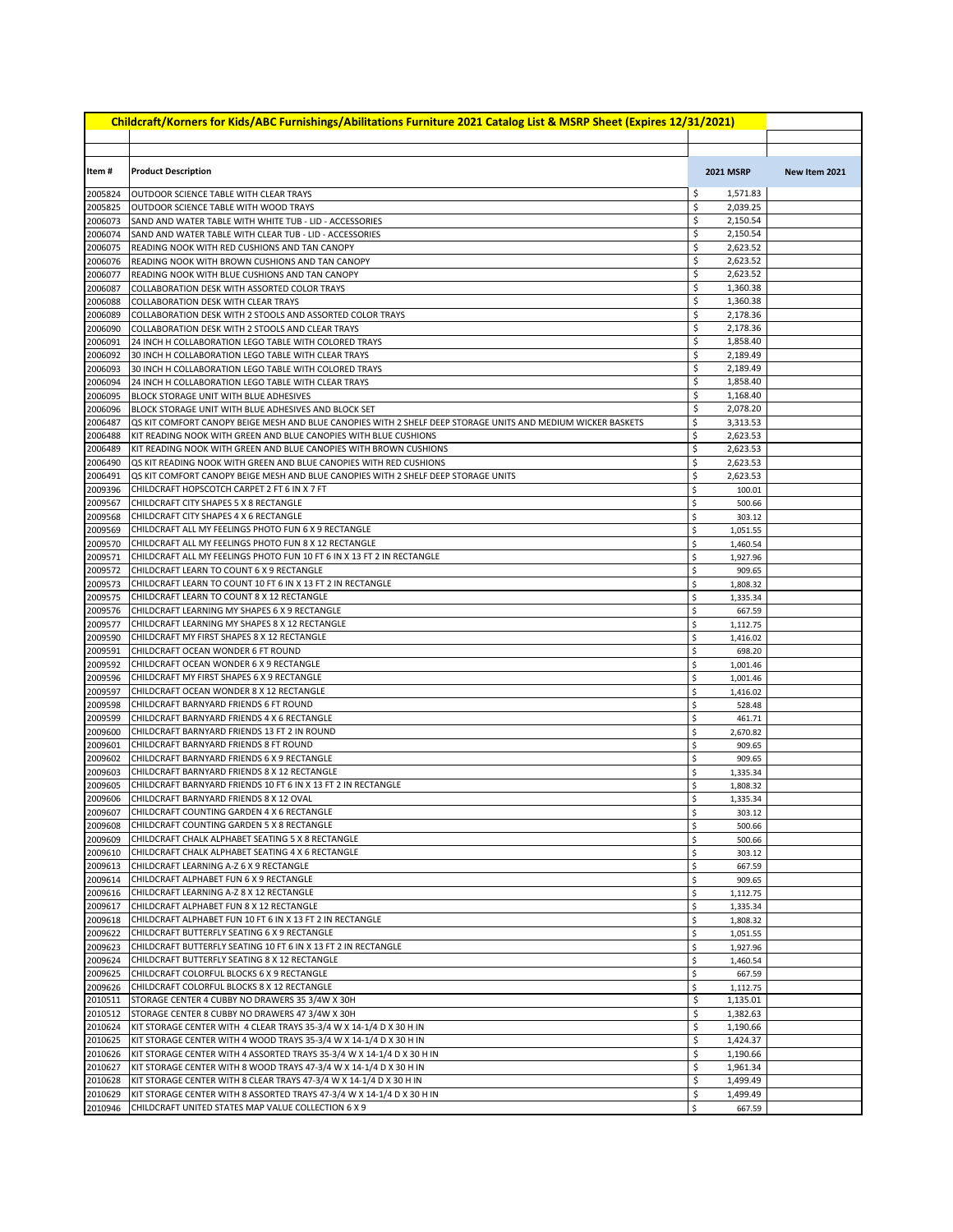| Childcraft/Korners for Kids/ABC Furnishings/Abilitations Furniture 2021 Catalog List & MSRP Sheet (Expires 12/31/2021) |                                                                                                                                           |                                  |               |  |  |
|------------------------------------------------------------------------------------------------------------------------|-------------------------------------------------------------------------------------------------------------------------------------------|----------------------------------|---------------|--|--|
|                                                                                                                        |                                                                                                                                           |                                  |               |  |  |
| Item#                                                                                                                  | <b>Product Description</b>                                                                                                                | <b>2021 MSRP</b>                 | New Item 2021 |  |  |
| 2005824                                                                                                                | OUTDOOR SCIENCE TABLE WITH CLEAR TRAYS                                                                                                    | \$<br>1,571.83                   |               |  |  |
| 2005825                                                                                                                | OUTDOOR SCIENCE TABLE WITH WOOD TRAYS                                                                                                     | \$<br>2,039.25                   |               |  |  |
| 2006073                                                                                                                | SAND AND WATER TABLE WITH WHITE TUB - LID - ACCESSORIES                                                                                   | \$<br>2,150.54                   |               |  |  |
| 2006074                                                                                                                | SAND AND WATER TABLE WITH CLEAR TUB - LID - ACCESSORIES                                                                                   | \$<br>2,150.54                   |               |  |  |
| 2006075<br>2006076                                                                                                     | READING NOOK WITH RED CUSHIONS AND TAN CANOPY<br>READING NOOK WITH BROWN CUSHIONS AND TAN CANOPY                                          | \$<br>2,623.52<br>\$<br>2,623.52 |               |  |  |
| 2006077                                                                                                                | READING NOOK WITH BLUE CUSHIONS AND TAN CANOPY                                                                                            | \$<br>2,623.52                   |               |  |  |
| 2006087                                                                                                                | COLLABORATION DESK WITH ASSORTED COLOR TRAYS                                                                                              | \$<br>1,360.38                   |               |  |  |
| 2006088                                                                                                                | COLLABORATION DESK WITH CLEAR TRAYS                                                                                                       | \$<br>1,360.38                   |               |  |  |
| 2006089                                                                                                                | COLLABORATION DESK WITH 2 STOOLS AND ASSORTED COLOR TRAYS                                                                                 | \$<br>2,178.36                   |               |  |  |
| 2006090                                                                                                                | COLLABORATION DESK WITH 2 STOOLS AND CLEAR TRAYS                                                                                          | \$<br>2,178.36                   |               |  |  |
| 2006091                                                                                                                | 24 INCH H COLLABORATION LEGO TABLE WITH COLORED TRAYS                                                                                     | \$<br>1,858.40<br>\$<br>2,189.49 |               |  |  |
| 2006092<br>2006093                                                                                                     | 30 INCH H COLLABORATION LEGO TABLE WITH CLEAR TRAYS<br>30 INCH H COLLABORATION LEGO TABLE WITH COLORED TRAYS                              | \$<br>2,189.49                   |               |  |  |
| 2006094                                                                                                                | 24 INCH H COLLABORATION LEGO TABLE WITH CLEAR TRAYS                                                                                       | \$<br>1,858.40                   |               |  |  |
| 2006095                                                                                                                | BLOCK STORAGE UNIT WITH BLUE ADHESIVES                                                                                                    | \$<br>1,168.40                   |               |  |  |
| 2006096                                                                                                                | BLOCK STORAGE UNIT WITH BLUE ADHESIVES AND BLOCK SET                                                                                      | \$<br>2,078.20                   |               |  |  |
| 2006487                                                                                                                | QS KIT COMFORT CANOPY BEIGE MESH AND BLUE CANOPIES WITH 2 SHELF DEEP STORAGE UNITS AND MEDIUM WICKER BASKETS                              | \$<br>3,313.53                   |               |  |  |
| 2006488                                                                                                                | KIT READING NOOK WITH GREEN AND BLUE CANOPIES WITH BLUE CUSHIONS                                                                          | \$<br>2,623.53                   |               |  |  |
| 2006489                                                                                                                | KIT READING NOOK WITH GREEN AND BLUE CANOPIES WITH BROWN CUSHIONS<br>OS KIT READING NOOK WITH GREEN AND BLUE CANOPIES WITH RED CUSHIONS   | \$<br>2,623.53<br>\$             |               |  |  |
| 2006490<br>2006491                                                                                                     | QS KIT COMFORT CANOPY BEIGE MESH AND BLUE CANOPIES WITH 2 SHELF DEEP STORAGE UNITS                                                        | 2,623.53<br>\$<br>2,623.53       |               |  |  |
| 2009396                                                                                                                | CHILDCRAFT HOPSCOTCH CARPET 2 FT 6 IN X 7 FT                                                                                              | \$<br>100.01                     |               |  |  |
| 2009567                                                                                                                | CHILDCRAFT CITY SHAPES 5 X 8 RECTANGLE                                                                                                    | \$<br>500.66                     |               |  |  |
| 2009568                                                                                                                | CHILDCRAFT CITY SHAPES 4 X 6 RECTANGLE                                                                                                    | \$<br>303.12                     |               |  |  |
| 2009569                                                                                                                | CHILDCRAFT ALL MY FEELINGS PHOTO FUN 6 X 9 RECTANGLE                                                                                      | \$<br>1,051.55                   |               |  |  |
| 2009570                                                                                                                | CHILDCRAFT ALL MY FEELINGS PHOTO FUN 8 X 12 RECTANGLE                                                                                     | \$<br>1,460.54                   |               |  |  |
| 2009571                                                                                                                | CHILDCRAFT ALL MY FEELINGS PHOTO FUN 10 FT 6 IN X 13 FT 2 IN RECTANGLE                                                                    | \$<br>1,927.96                   |               |  |  |
| 2009572<br>2009573                                                                                                     | CHILDCRAFT LEARN TO COUNT 6 X 9 RECTANGLE<br>CHILDCRAFT LEARN TO COUNT 10 FT 6 IN X 13 FT 2 IN RECTANGLE                                  | \$<br>909.65<br>\$<br>1,808.32   |               |  |  |
| 2009575                                                                                                                | CHILDCRAFT LEARN TO COUNT 8 X 12 RECTANGLE                                                                                                | \$<br>1,335.34                   |               |  |  |
| 2009576                                                                                                                | CHILDCRAFT LEARNING MY SHAPES 6 X 9 RECTANGLE                                                                                             | \$<br>667.59                     |               |  |  |
| 2009577                                                                                                                | CHILDCRAFT LEARNING MY SHAPES 8 X 12 RECTANGLE                                                                                            | \$<br>1,112.75                   |               |  |  |
| 2009590                                                                                                                | CHILDCRAFT MY FIRST SHAPES 8 X 12 RECTANGLE                                                                                               | \$<br>1,416.02                   |               |  |  |
| 2009591                                                                                                                | CHILDCRAFT OCEAN WONDER 6 FT ROUND                                                                                                        | \$<br>698.20                     |               |  |  |
| 2009592<br>2009596                                                                                                     | CHILDCRAFT OCEAN WONDER 6 X 9 RECTANGLE<br>CHILDCRAFT MY FIRST SHAPES 6 X 9 RECTANGLE                                                     | \$<br>1,001.46<br>\$<br>1,001.46 |               |  |  |
| 2009597                                                                                                                | CHILDCRAFT OCEAN WONDER 8 X 12 RECTANGLE                                                                                                  | \$<br>1,416.02                   |               |  |  |
| 2009598                                                                                                                | CHILDCRAFT BARNYARD FRIENDS 6 FT ROUND                                                                                                    | \$<br>528.48                     |               |  |  |
| 2009599                                                                                                                | CHILDCRAFT BARNYARD FRIENDS 4 X 6 RECTANGLE                                                                                               | \$<br>461.71                     |               |  |  |
| 2009600                                                                                                                | CHILDCRAFT BARNYARD FRIENDS 13 FT 2 IN ROUND                                                                                              | \$<br>2,670.82                   |               |  |  |
| 2009601                                                                                                                | CHILDCRAFT BARNYARD FRIENDS 8 FT ROUND                                                                                                    | \$<br>909.65                     |               |  |  |
| 2009602<br>2009603                                                                                                     | CHILDCRAFT BARNYARD FRIENDS 6 X 9 RECTANGLE<br>CHILDCRAFT BARNYARD FRIENDS 8 X 12 RECTANGLE                                               | \$<br>909.65<br>\$<br>1,335.34   |               |  |  |
| 2009605                                                                                                                | CHILDCRAFT BARNYARD FRIENDS 10 FT 6 IN X 13 FT 2 IN RECTANGLE                                                                             | \$<br>1,808.32                   |               |  |  |
| 2009606                                                                                                                | CHILDCRAFT BARNYARD FRIENDS 8 X 12 OVAL                                                                                                   | \$<br>1,335.34                   |               |  |  |
|                                                                                                                        | 2009607 CHILDCRAFT COUNTING GARDEN 4 X 6 RECTANGLE                                                                                        | Ş<br>303.12                      |               |  |  |
| 2009608                                                                                                                | CHILDCRAFT COUNTING GARDEN 5 X 8 RECTANGLE                                                                                                | \$<br>500.66                     |               |  |  |
| 2009609                                                                                                                | CHILDCRAFT CHALK ALPHABET SEATING 5 X 8 RECTANGLE                                                                                         | \$<br>500.66                     |               |  |  |
| 2009610                                                                                                                | CHILDCRAFT CHALK ALPHABET SEATING 4 X 6 RECTANGLE                                                                                         | \$<br>303.12                     |               |  |  |
| 2009613<br>2009614                                                                                                     | CHILDCRAFT LEARNING A-Z 6 X 9 RECTANGLE<br>CHILDCRAFT ALPHABET FUN 6 X 9 RECTANGLE                                                        | \$<br>667.59<br>\$<br>909.65     |               |  |  |
| 2009616                                                                                                                | CHILDCRAFT LEARNING A-Z 8 X 12 RECTANGLE                                                                                                  | \$<br>1,112.75                   |               |  |  |
| 2009617                                                                                                                | CHILDCRAFT ALPHABET FUN 8 X 12 RECTANGLE                                                                                                  | \$<br>1,335.34                   |               |  |  |
| 2009618                                                                                                                | CHILDCRAFT ALPHABET FUN 10 FT 6 IN X 13 FT 2 IN RECTANGLE                                                                                 | \$<br>1,808.32                   |               |  |  |
| 2009622                                                                                                                | CHILDCRAFT BUTTERFLY SEATING 6 X 9 RECTANGLE                                                                                              | \$<br>1,051.55                   |               |  |  |
| 2009623                                                                                                                | CHILDCRAFT BUTTERFLY SEATING 10 FT 6 IN X 13 FT 2 IN RECTANGLE                                                                            | \$<br>1,927.96                   |               |  |  |
| 2009624                                                                                                                | CHILDCRAFT BUTTERFLY SEATING 8 X 12 RECTANGLE<br>CHILDCRAFT COLORFUL BLOCKS 6 X 9 RECTANGLE                                               | \$<br>1,460.54<br>\$             |               |  |  |
| 2009625<br>2009626                                                                                                     | CHILDCRAFT COLORFUL BLOCKS 8 X 12 RECTANGLE                                                                                               | 667.59<br>\$<br>1,112.75         |               |  |  |
| 2010511                                                                                                                | STORAGE CENTER 4 CUBBY NO DRAWERS 35 3/4W X 30H                                                                                           | \$<br>1,135.01                   |               |  |  |
| 2010512                                                                                                                | STORAGE CENTER 8 CUBBY NO DRAWERS 47 3/4W X 30H                                                                                           | \$<br>1,382.63                   |               |  |  |
| 2010624                                                                                                                | KIT STORAGE CENTER WITH 4 CLEAR TRAYS 35-3/4 W X 14-1/4 D X 30 H IN                                                                       | \$<br>1,190.66                   |               |  |  |
| 2010625                                                                                                                | KIT STORAGE CENTER WITH 4 WOOD TRAYS 35-3/4 W X 14-1/4 D X 30 H IN                                                                        | \$<br>1,424.37                   |               |  |  |
| 2010626                                                                                                                | KIT STORAGE CENTER WITH 4 ASSORTED TRAYS 35-3/4 W X 14-1/4 D X 30 H IN                                                                    | \$<br>1,190.66<br>\$             |               |  |  |
| 2010627<br>2010628                                                                                                     | KIT STORAGE CENTER WITH 8 WOOD TRAYS 47-3/4 W X 14-1/4 D X 30 H IN<br>KIT STORAGE CENTER WITH 8 CLEAR TRAYS 47-3/4 W X 14-1/4 D X 30 H IN | 1,961.34<br>\$<br>1,499.49       |               |  |  |
| 2010629                                                                                                                | KIT STORAGE CENTER WITH 8 ASSORTED TRAYS 47-3/4 W X 14-1/4 D X 30 H IN                                                                    | \$<br>1,499.49                   |               |  |  |
| 2010946                                                                                                                | CHILDCRAFT UNITED STATES MAP VALUE COLLECTION 6 X 9                                                                                       | \$<br>667.59                     |               |  |  |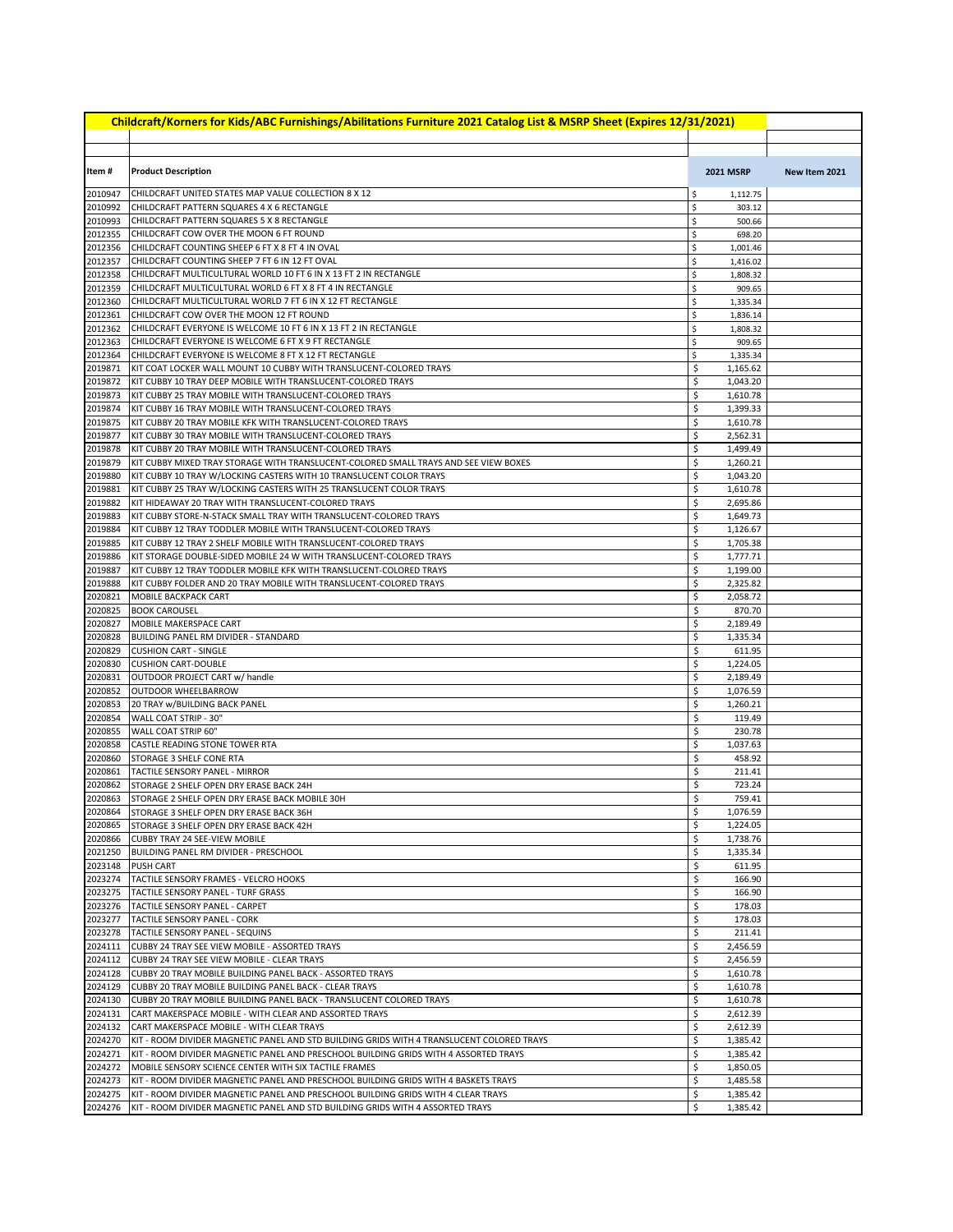| Childcraft/Korners for Kids/ABC Furnishings/Abilitations Furniture 2021 Catalog List & MSRP Sheet (Expires 12/31/2021) |                                                                                                                                        |          |                      |               |  |
|------------------------------------------------------------------------------------------------------------------------|----------------------------------------------------------------------------------------------------------------------------------------|----------|----------------------|---------------|--|
|                                                                                                                        |                                                                                                                                        |          |                      |               |  |
| Item #                                                                                                                 | <b>Product Description</b>                                                                                                             |          | <b>2021 MSRP</b>     | New Item 2021 |  |
| 2010947                                                                                                                | CHILDCRAFT UNITED STATES MAP VALUE COLLECTION 8 X 12                                                                                   | \$       | 1,112.75             |               |  |
| 2010992                                                                                                                | CHILDCRAFT PATTERN SQUARES 4 X 6 RECTANGLE                                                                                             | \$       | 303.12               |               |  |
| 2010993                                                                                                                | CHILDCRAFT PATTERN SQUARES 5 X 8 RECTANGLE                                                                                             | \$       | 500.66               |               |  |
| 2012355                                                                                                                | CHILDCRAFT COW OVER THE MOON 6 FT ROUND                                                                                                | \$       | 698.20               |               |  |
| 2012356                                                                                                                | CHILDCRAFT COUNTING SHEEP 6 FT X 8 FT 4 IN OVAL                                                                                        | \$       | 1,001.46             |               |  |
| 2012357<br>2012358                                                                                                     | CHILDCRAFT COUNTING SHEEP 7 FT 6 IN 12 FT OVAL<br>CHILDCRAFT MULTICULTURAL WORLD 10 FT 6 IN X 13 FT 2 IN RECTANGLE                     | \$<br>\$ | 1,416.02<br>1,808.32 |               |  |
| 2012359                                                                                                                | CHILDCRAFT MULTICULTURAL WORLD 6 FT X 8 FT 4 IN RECTANGLE                                                                              | \$       | 909.65               |               |  |
| 2012360                                                                                                                | CHILDCRAFT MULTICULTURAL WORLD 7 FT 6 IN X 12 FT RECTANGLE                                                                             | \$       | 1,335.34             |               |  |
| 2012361                                                                                                                | CHILDCRAFT COW OVER THE MOON 12 FT ROUND                                                                                               | \$       | 1,836.14             |               |  |
| 2012362                                                                                                                | CHILDCRAFT EVERYONE IS WELCOME 10 FT 6 IN X 13 FT 2 IN RECTANGLE                                                                       | \$       | 1,808.32             |               |  |
| 2012363                                                                                                                | CHILDCRAFT EVERYONE IS WELCOME 6 FT X 9 FT RECTANGLE                                                                                   | \$       | 909.65               |               |  |
| 2012364                                                                                                                | CHILDCRAFT EVERYONE IS WELCOME 8 FT X 12 FT RECTANGLE                                                                                  | \$       | 1,335.34             |               |  |
| 2019871                                                                                                                | KIT COAT LOCKER WALL MOUNT 10 CUBBY WITH TRANSLUCENT-COLORED TRAYS                                                                     | \$       | 1,165.62             |               |  |
| 2019872                                                                                                                | KIT CUBBY 10 TRAY DEEP MOBILE WITH TRANSLUCENT-COLORED TRAYS                                                                           | \$       | 1,043.20             |               |  |
| 2019873<br>2019874                                                                                                     | KIT CUBBY 25 TRAY MOBILE WITH TRANSLUCENT-COLORED TRAYS<br>KIT CUBBY 16 TRAY MOBILE WITH TRANSLUCENT-COLORED TRAYS                     | \$<br>\$ | 1,610.78<br>1,399.33 |               |  |
| 2019875                                                                                                                | KIT CUBBY 20 TRAY MOBILE KFK WITH TRANSLUCENT-COLORED TRAYS                                                                            | \$       | 1,610.78             |               |  |
| 2019877                                                                                                                | KIT CUBBY 30 TRAY MOBILE WITH TRANSLUCENT-COLORED TRAYS                                                                                | \$       | 2,562.31             |               |  |
| 2019878                                                                                                                | KIT CUBBY 20 TRAY MOBILE WITH TRANSLUCENT-COLORED TRAYS                                                                                | \$       | 1,499.49             |               |  |
| 2019879                                                                                                                | KIT CUBBY MIXED TRAY STORAGE WITH TRANSLUCENT-COLORED SMALL TRAYS AND SEE VIEW BOXES                                                   | \$       | 1,260.21             |               |  |
| 2019880                                                                                                                | KIT CUBBY 10 TRAY W/LOCKING CASTERS WITH 10 TRANSLUCENT COLOR TRAYS                                                                    | \$       | 1,043.20             |               |  |
| 2019881                                                                                                                | KIT CUBBY 25 TRAY W/LOCKING CASTERS WITH 25 TRANSLUCENT COLOR TRAYS                                                                    | \$       | 1,610.78             |               |  |
| 2019882                                                                                                                | KIT HIDEAWAY 20 TRAY WITH TRANSLUCENT-COLORED TRAYS                                                                                    | \$       | 2,695.86             |               |  |
| 2019883                                                                                                                | KIT CUBBY STORE-N-STACK SMALL TRAY WITH TRANSLUCENT-COLORED TRAYS                                                                      | \$       | 1,649.73             |               |  |
| 2019884                                                                                                                | KIT CUBBY 12 TRAY TODDLER MOBILE WITH TRANSLUCENT-COLORED TRAYS                                                                        | \$       | 1,126.67             |               |  |
| 2019885<br>2019886                                                                                                     | KIT CUBBY 12 TRAY 2 SHELF MOBILE WITH TRANSLUCENT-COLORED TRAYS<br>KIT STORAGE DOUBLE-SIDED MOBILE 24 W WITH TRANSLUCENT-COLORED TRAYS | \$<br>\$ | 1,705.38<br>1,777.71 |               |  |
| 2019887                                                                                                                | KIT CUBBY 12 TRAY TODDLER MOBILE KFK WITH TRANSLUCENT-COLORED TRAYS                                                                    | \$       | 1,199.00             |               |  |
| 2019888                                                                                                                | KIT CUBBY FOLDER AND 20 TRAY MOBILE WITH TRANSLUCENT-COLORED TRAYS                                                                     | \$       | 2,325.82             |               |  |
| 2020821                                                                                                                | MOBILE BACKPACK CART                                                                                                                   | \$       | 2,058.72             |               |  |
| 2020825                                                                                                                | <b>BOOK CAROUSEL</b>                                                                                                                   | \$       | 870.70               |               |  |
| 2020827                                                                                                                | MOBILE MAKERSPACE CART                                                                                                                 | \$       | 2,189.49             |               |  |
| 2020828                                                                                                                | BUILDING PANEL RM DIVIDER - STANDARD                                                                                                   | \$       | 1,335.34             |               |  |
| 2020829                                                                                                                | <b>CUSHION CART - SINGLE</b>                                                                                                           | \$       | 611.95               |               |  |
| 2020830                                                                                                                | <b>CUSHION CART-DOUBLE</b>                                                                                                             | \$       | 1,224.05             |               |  |
| 2020831                                                                                                                | OUTDOOR PROJECT CART w/ handle                                                                                                         | \$       | 2,189.49             |               |  |
| 2020852<br>2020853                                                                                                     | OUTDOOR WHEELBARROW<br>20 TRAY w/BUILDING BACK PANEL                                                                                   | \$<br>\$ | 1,076.59<br>1,260.21 |               |  |
| 2020854                                                                                                                | WALL COAT STRIP - 30"                                                                                                                  | \$       | 119.49               |               |  |
| 2020855                                                                                                                | WALL COAT STRIP 60"                                                                                                                    | \$       | 230.78               |               |  |
| 2020858                                                                                                                | CASTLE READING STONE TOWER RTA                                                                                                         | \$       | 1,037.63             |               |  |
| 2020860                                                                                                                | STORAGE 3 SHELF CONE RTA                                                                                                               | \$       | 458.92               |               |  |
| 2020861                                                                                                                | TACTILE SENSORY PANEL - MIRROR                                                                                                         | \$       | 211.41               |               |  |
| 2020862                                                                                                                | STORAGE 2 SHELF OPEN DRY ERASE BACK 24H                                                                                                | \$       | 723.24               |               |  |
| 2020863                                                                                                                | STORAGE 2 SHELF OPEN DRY ERASE BACK MOBILE 30H                                                                                         | \$       | 759.41               |               |  |
|                                                                                                                        | 2020864 STORAGE 3 SHELF OPEN DRY ERASE BACK 36H                                                                                        | \$<br>\$ | 1,076.59<br>1,224.05 |               |  |
| 2020865<br>2020866                                                                                                     | STORAGE 3 SHELF OPEN DRY ERASE BACK 42H<br>CUBBY TRAY 24 SEE-VIEW MOBILE                                                               | \$       | 1,738.76             |               |  |
| 2021250                                                                                                                | BUILDING PANEL RM DIVIDER - PRESCHOOL                                                                                                  | \$       | 1,335.34             |               |  |
| 2023148                                                                                                                | <b>PUSH CART</b>                                                                                                                       | \$       | 611.95               |               |  |
| 2023274                                                                                                                | TACTILE SENSORY FRAMES - VELCRO HOOKS                                                                                                  | \$       | 166.90               |               |  |
| 2023275                                                                                                                | TACTILE SENSORY PANEL - TURF GRASS                                                                                                     | \$       | 166.90               |               |  |
| 2023276                                                                                                                | TACTILE SENSORY PANEL - CARPET                                                                                                         | \$       | 178.03               |               |  |
| 2023277                                                                                                                | TACTILE SENSORY PANEL - CORK                                                                                                           | \$       | 178.03               |               |  |
| 2023278                                                                                                                | TACTILE SENSORY PANEL - SEQUINS                                                                                                        | \$       | 211.41               |               |  |
| 2024111                                                                                                                | CUBBY 24 TRAY SEE VIEW MOBILE - ASSORTED TRAYS                                                                                         | \$       | 2,456.59             |               |  |
| 2024112                                                                                                                | CUBBY 24 TRAY SEE VIEW MOBILE - CLEAR TRAYS                                                                                            | \$       | 2,456.59             |               |  |
| 2024128<br>2024129                                                                                                     | CUBBY 20 TRAY MOBILE BUILDING PANEL BACK - ASSORTED TRAYS<br>CUBBY 20 TRAY MOBILE BUILDING PANEL BACK - CLEAR TRAYS                    | \$<br>\$ | 1,610.78<br>1,610.78 |               |  |
| 2024130                                                                                                                | CUBBY 20 TRAY MOBILE BUILDING PANEL BACK - TRANSLUCENT COLORED TRAYS                                                                   | \$       | 1,610.78             |               |  |
| 2024131                                                                                                                | CART MAKERSPACE MOBILE - WITH CLEAR AND ASSORTED TRAYS                                                                                 | \$       | 2,612.39             |               |  |
| 2024132                                                                                                                | CART MAKERSPACE MOBILE - WITH CLEAR TRAYS                                                                                              | \$       | 2,612.39             |               |  |
| 2024270                                                                                                                | KIT - ROOM DIVIDER MAGNETIC PANEL AND STD BUILDING GRIDS WITH 4 TRANSLUCENT COLORED TRAYS                                              | \$       | 1,385.42             |               |  |
| 2024271                                                                                                                | KIT - ROOM DIVIDER MAGNETIC PANEL AND PRESCHOOL BUILDING GRIDS WITH 4 ASSORTED TRAYS                                                   | \$       | 1,385.42             |               |  |
| 2024272                                                                                                                | MOBILE SENSORY SCIENCE CENTER WITH SIX TACTILE FRAMES                                                                                  | \$       | 1,850.05             |               |  |
| 2024273                                                                                                                | KIT - ROOM DIVIDER MAGNETIC PANEL AND PRESCHOOL BUILDING GRIDS WITH 4 BASKETS TRAYS                                                    | \$       | 1,485.58             |               |  |
| 2024275                                                                                                                | KIT - ROOM DIVIDER MAGNETIC PANEL AND PRESCHOOL BUILDING GRIDS WITH 4 CLEAR TRAYS                                                      | \$       | 1,385.42             |               |  |
| 2024276                                                                                                                | KIT - ROOM DIVIDER MAGNETIC PANEL AND STD BUILDING GRIDS WITH 4 ASSORTED TRAYS                                                         | \$       | 1,385.42             |               |  |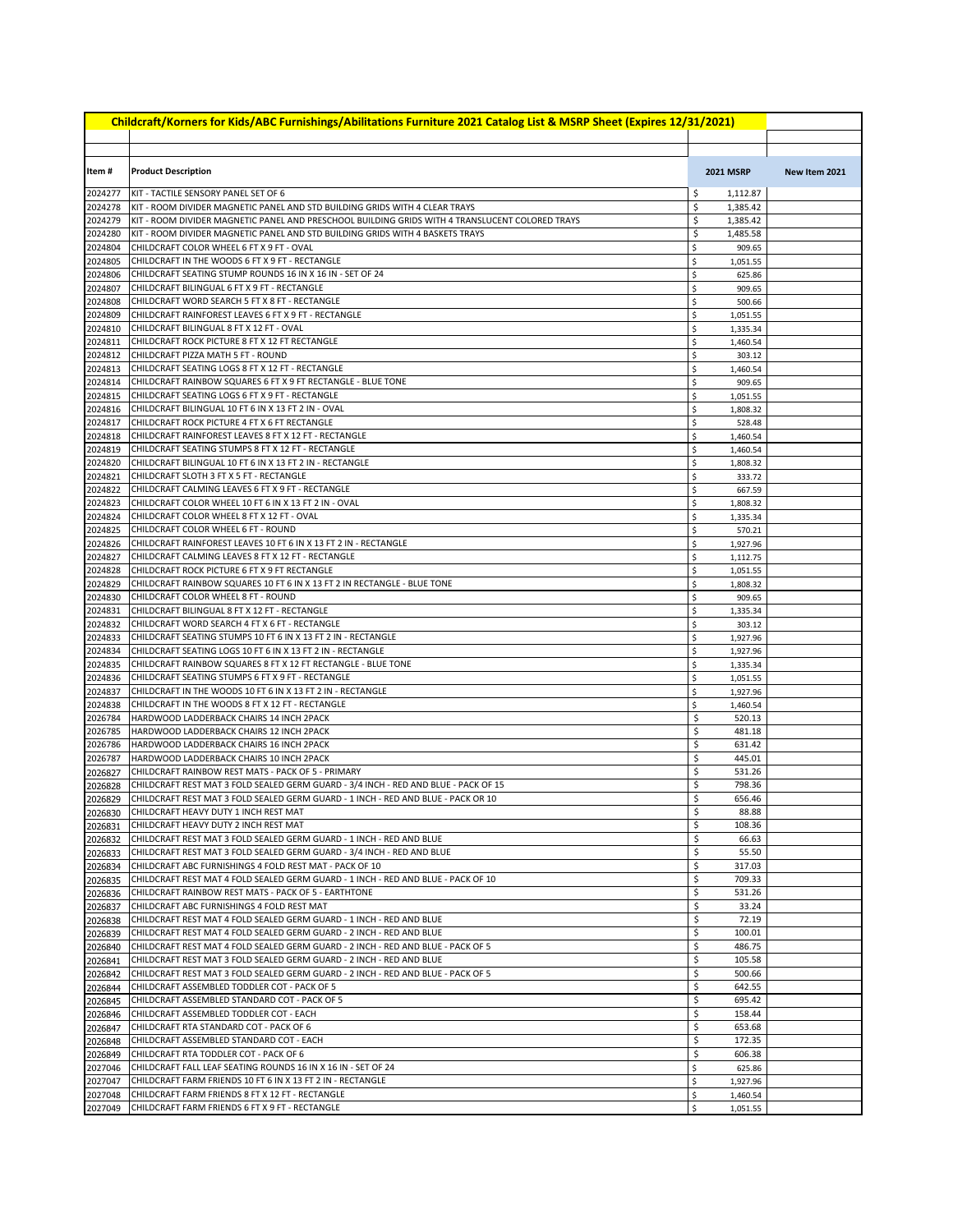| Childcraft/Korners for Kids/ABC Furnishings/Abilitations Furniture 2021 Catalog List & MSRP Sheet (Expires 12/31/2021) |                                                                                                                                                          |                                  |               |  |  |
|------------------------------------------------------------------------------------------------------------------------|----------------------------------------------------------------------------------------------------------------------------------------------------------|----------------------------------|---------------|--|--|
|                                                                                                                        |                                                                                                                                                          |                                  |               |  |  |
|                                                                                                                        |                                                                                                                                                          |                                  |               |  |  |
| Item#                                                                                                                  | <b>Product Description</b>                                                                                                                               | <b>2021 MSRP</b>                 | New Item 2021 |  |  |
| 2024277                                                                                                                | KIT - TACTILE SENSORY PANEL SET OF 6                                                                                                                     | \$<br>1,112.87                   |               |  |  |
| 2024278                                                                                                                | KIT - ROOM DIVIDER MAGNETIC PANEL AND STD BUILDING GRIDS WITH 4 CLEAR TRAYS                                                                              | \$<br>1,385.42                   |               |  |  |
| 2024279                                                                                                                | KIT - ROOM DIVIDER MAGNETIC PANEL AND PRESCHOOL BUILDING GRIDS WITH 4 TRANSLUCENT COLORED TRAYS                                                          | \$<br>1,385.42                   |               |  |  |
| 2024280                                                                                                                | KIT - ROOM DIVIDER MAGNETIC PANEL AND STD BUILDING GRIDS WITH 4 BASKETS TRAYS                                                                            | \$<br>1,485.58                   |               |  |  |
| 2024804                                                                                                                | CHILDCRAFT COLOR WHEEL 6 FT X 9 FT - OVAL                                                                                                                | \$<br>909.65                     |               |  |  |
| 2024805<br>2024806                                                                                                     | CHILDCRAFT IN THE WOODS 6 FT X 9 FT - RECTANGLE<br>CHILDCRAFT SEATING STUMP ROUNDS 16 IN X 16 IN - SET OF 24                                             | \$<br>1,051.55<br>\$<br>625.86   |               |  |  |
| 2024807                                                                                                                | CHILDCRAFT BILINGUAL 6 FT X 9 FT - RECTANGLE                                                                                                             | \$<br>909.65                     |               |  |  |
| 2024808                                                                                                                | CHILDCRAFT WORD SEARCH 5 FT X 8 FT - RECTANGLE                                                                                                           | \$<br>500.66                     |               |  |  |
| 2024809                                                                                                                | CHILDCRAFT RAINFOREST LEAVES 6 FT X 9 FT - RECTANGLE                                                                                                     | \$<br>1,051.55                   |               |  |  |
| 2024810                                                                                                                | CHILDCRAFT BILINGUAL 8 FT X 12 FT - OVAL                                                                                                                 | \$<br>1,335.34                   |               |  |  |
| 2024811                                                                                                                | CHILDCRAFT ROCK PICTURE 8 FT X 12 FT RECTANGLE                                                                                                           | \$<br>1,460.54                   |               |  |  |
| 2024812<br>2024813                                                                                                     | CHILDCRAFT PIZZA MATH 5 FT - ROUND<br>CHILDCRAFT SEATING LOGS 8 FT X 12 FT - RECTANGLE                                                                   | \$<br>303.12<br>\$               |               |  |  |
| 2024814                                                                                                                | CHILDCRAFT RAINBOW SQUARES 6 FT X 9 FT RECTANGLE - BLUE TONE                                                                                             | 1,460.54<br>\$<br>909.65         |               |  |  |
| 2024815                                                                                                                | CHILDCRAFT SEATING LOGS 6 FT X 9 FT - RECTANGLE                                                                                                          | \$<br>1,051.55                   |               |  |  |
| 2024816                                                                                                                | CHILDCRAFT BILINGUAL 10 FT 6 IN X 13 FT 2 IN - OVAL                                                                                                      | \$<br>1,808.32                   |               |  |  |
| 2024817                                                                                                                | CHILDCRAFT ROCK PICTURE 4 FT X 6 FT RECTANGLE                                                                                                            | \$<br>528.48                     |               |  |  |
| 2024818                                                                                                                | CHILDCRAFT RAINFOREST LEAVES 8 FT X 12 FT - RECTANGLE                                                                                                    | \$<br>1.460.54                   |               |  |  |
| 2024819                                                                                                                | CHILDCRAFT SEATING STUMPS 8 FT X 12 FT - RECTANGLE                                                                                                       | \$<br>1,460.54                   |               |  |  |
| 2024820<br>2024821                                                                                                     | CHILDCRAFT BILINGUAL 10 FT 6 IN X 13 FT 2 IN - RECTANGLE<br>CHILDCRAFT SLOTH 3 FT X 5 FT - RECTANGLE                                                     | \$<br>1,808.32<br>\$<br>333.72   |               |  |  |
| 2024822                                                                                                                | CHILDCRAFT CALMING LEAVES 6 FT X 9 FT - RECTANGLE                                                                                                        | \$<br>667.59                     |               |  |  |
| 2024823                                                                                                                | CHILDCRAFT COLOR WHEEL 10 FT 6 IN X 13 FT 2 IN - OVAL                                                                                                    | \$<br>1,808.32                   |               |  |  |
| 2024824                                                                                                                | CHILDCRAFT COLOR WHEEL 8 FT X 12 FT - OVAL                                                                                                               | \$<br>1,335.34                   |               |  |  |
| 2024825                                                                                                                | CHILDCRAFT COLOR WHEEL 6 FT - ROUND                                                                                                                      | \$<br>570.21                     |               |  |  |
| 2024826                                                                                                                | CHILDCRAFT RAINFOREST LEAVES 10 FT 6 IN X 13 FT 2 IN - RECTANGLE                                                                                         | \$<br>1,927.96                   |               |  |  |
| 2024827                                                                                                                | CHILDCRAFT CALMING LEAVES 8 FT X 12 FT - RECTANGLE<br>CHILDCRAFT ROCK PICTURE 6 FT X 9 FT RECTANGLE                                                      | \$<br>1,112.75                   |               |  |  |
| 2024828<br>2024829                                                                                                     | CHILDCRAFT RAINBOW SQUARES 10 FT 6 IN X 13 FT 2 IN RECTANGLE - BLUE TONE                                                                                 | \$<br>1,051.55<br>\$<br>1,808.32 |               |  |  |
| 2024830                                                                                                                | CHILDCRAFT COLOR WHEEL 8 FT - ROUND                                                                                                                      | \$<br>909.65                     |               |  |  |
| 2024831                                                                                                                | CHILDCRAFT BILINGUAL 8 FT X 12 FT - RECTANGLE                                                                                                            | \$<br>1,335.34                   |               |  |  |
| 2024832                                                                                                                | CHILDCRAFT WORD SEARCH 4 FT X 6 FT - RECTANGLE                                                                                                           | \$<br>303.12                     |               |  |  |
| 2024833                                                                                                                | CHILDCRAFT SEATING STUMPS 10 FT 6 IN X 13 FT 2 IN - RECTANGLE                                                                                            | \$<br>1,927.96                   |               |  |  |
| 2024834                                                                                                                | CHILDCRAFT SEATING LOGS 10 FT 6 IN X 13 FT 2 IN - RECTANGLE<br>CHILDCRAFT RAINBOW SQUARES 8 FT X 12 FT RECTANGLE - BLUE TONE                             | \$<br>1,927.96                   |               |  |  |
| 2024835<br>2024836                                                                                                     | CHILDCRAFT SEATING STUMPS 6 FT X 9 FT - RECTANGLE                                                                                                        | \$<br>1,335.34<br>\$<br>1,051.55 |               |  |  |
| 2024837                                                                                                                | CHILDCRAFT IN THE WOODS 10 FT 6 IN X 13 FT 2 IN - RECTANGLE                                                                                              | \$<br>1,927.96                   |               |  |  |
| 2024838                                                                                                                | CHILDCRAFT IN THE WOODS 8 FT X 12 FT - RECTANGLE                                                                                                         | \$<br>1,460.54                   |               |  |  |
| 2026784                                                                                                                | HARDWOOD LADDERBACK CHAIRS 14 INCH 2PACK                                                                                                                 | \$<br>520.13                     |               |  |  |
| 2026785                                                                                                                | HARDWOOD LADDERBACK CHAIRS 12 INCH 2PACK                                                                                                                 | \$<br>481.18                     |               |  |  |
| 2026786<br>2026787                                                                                                     | HARDWOOD LADDERBACK CHAIRS 16 INCH 2PACK<br>HARDWOOD LADDERBACK CHAIRS 10 INCH 2PACK                                                                     | \$<br>631.42<br>\$<br>445.01     |               |  |  |
| 2026827                                                                                                                | CHILDCRAFT RAINBOW REST MATS - PACK OF 5 - PRIMARY                                                                                                       | \$<br>531.26                     |               |  |  |
| 2026828                                                                                                                | CHILDCRAFT REST MAT 3 FOLD SEALED GERM GUARD - 3/4 INCH - RED AND BLUE - PACK OF 15                                                                      | \$<br>798.36                     |               |  |  |
| 2026829                                                                                                                | CHILDCRAFT REST MAT 3 FOLD SEALED GERM GUARD - 1 INCH - RED AND BLUE - PACK OR 10                                                                        | \$<br>656.46                     |               |  |  |
|                                                                                                                        | 2026830 CHILDCRAFT HEAVY DUTY 1 INCH REST MAT                                                                                                            | \$<br>88.88                      |               |  |  |
| 2026831                                                                                                                | CHILDCRAFT HEAVY DUTY 2 INCH REST MAT                                                                                                                    | \$<br>108.36                     |               |  |  |
| 2026832                                                                                                                | CHILDCRAFT REST MAT 3 FOLD SEALED GERM GUARD - 1 INCH - RED AND BLUE                                                                                     | \$<br>66.63                      |               |  |  |
| 2026833<br>2026834                                                                                                     | CHILDCRAFT REST MAT 3 FOLD SEALED GERM GUARD - 3/4 INCH - RED AND BLUE<br>CHILDCRAFT ABC FURNISHINGS 4 FOLD REST MAT - PACK OF 10                        | \$<br>55.50<br>\$<br>317.03      |               |  |  |
| 2026835                                                                                                                | CHILDCRAFT REST MAT 4 FOLD SEALED GERM GUARD - 1 INCH - RED AND BLUE - PACK OF 10                                                                        | \$<br>709.33                     |               |  |  |
| 2026836                                                                                                                | CHILDCRAFT RAINBOW REST MATS - PACK OF 5 - EARTHTONE                                                                                                     | \$<br>531.26                     |               |  |  |
| 2026837                                                                                                                | CHILDCRAFT ABC FURNISHINGS 4 FOLD REST MAT                                                                                                               | \$<br>33.24                      |               |  |  |
| 2026838                                                                                                                | CHILDCRAFT REST MAT 4 FOLD SEALED GERM GUARD - 1 INCH - RED AND BLUE                                                                                     | \$<br>72.19                      |               |  |  |
| 2026839                                                                                                                | CHILDCRAFT REST MAT 4 FOLD SEALED GERM GUARD - 2 INCH - RED AND BLUE                                                                                     | \$<br>100.01                     |               |  |  |
| 2026840<br>2026841                                                                                                     | CHILDCRAFT REST MAT 4 FOLD SEALED GERM GUARD - 2 INCH - RED AND BLUE - PACK OF 5<br>CHILDCRAFT REST MAT 3 FOLD SEALED GERM GUARD - 2 INCH - RED AND BLUE | \$<br>486.75<br>\$<br>105.58     |               |  |  |
| 2026842                                                                                                                | CHILDCRAFT REST MAT 3 FOLD SEALED GERM GUARD - 2 INCH - RED AND BLUE - PACK OF 5                                                                         | \$<br>500.66                     |               |  |  |
| 2026844                                                                                                                | CHILDCRAFT ASSEMBLED TODDLER COT - PACK OF 5                                                                                                             | \$<br>642.55                     |               |  |  |
| 2026845                                                                                                                | CHILDCRAFT ASSEMBLED STANDARD COT - PACK OF 5                                                                                                            | \$<br>695.42                     |               |  |  |
| 2026846                                                                                                                | CHILDCRAFT ASSEMBLED TODDLER COT - EACH                                                                                                                  | \$<br>158.44                     |               |  |  |
| 2026847                                                                                                                | CHILDCRAFT RTA STANDARD COT - PACK OF 6                                                                                                                  | \$<br>653.68                     |               |  |  |
| 2026848<br>2026849                                                                                                     | CHILDCRAFT ASSEMBLED STANDARD COT - EACH<br>CHILDCRAFT RTA TODDLER COT - PACK OF 6                                                                       | \$<br>172.35<br>\$<br>606.38     |               |  |  |
| 2027046                                                                                                                | CHILDCRAFT FALL LEAF SEATING ROUNDS 16 IN X 16 IN - SET OF 24                                                                                            | \$<br>625.86                     |               |  |  |
| 2027047                                                                                                                | CHILDCRAFT FARM FRIENDS 10 FT 6 IN X 13 FT 2 IN - RECTANGLE                                                                                              | \$<br>1,927.96                   |               |  |  |
| 2027048                                                                                                                | CHILDCRAFT FARM FRIENDS 8 FT X 12 FT - RECTANGLE                                                                                                         | \$<br>1,460.54                   |               |  |  |
| 2027049                                                                                                                | CHILDCRAFT FARM FRIENDS 6 FT X 9 FT - RECTANGLE                                                                                                          | \$<br>1,051.55                   |               |  |  |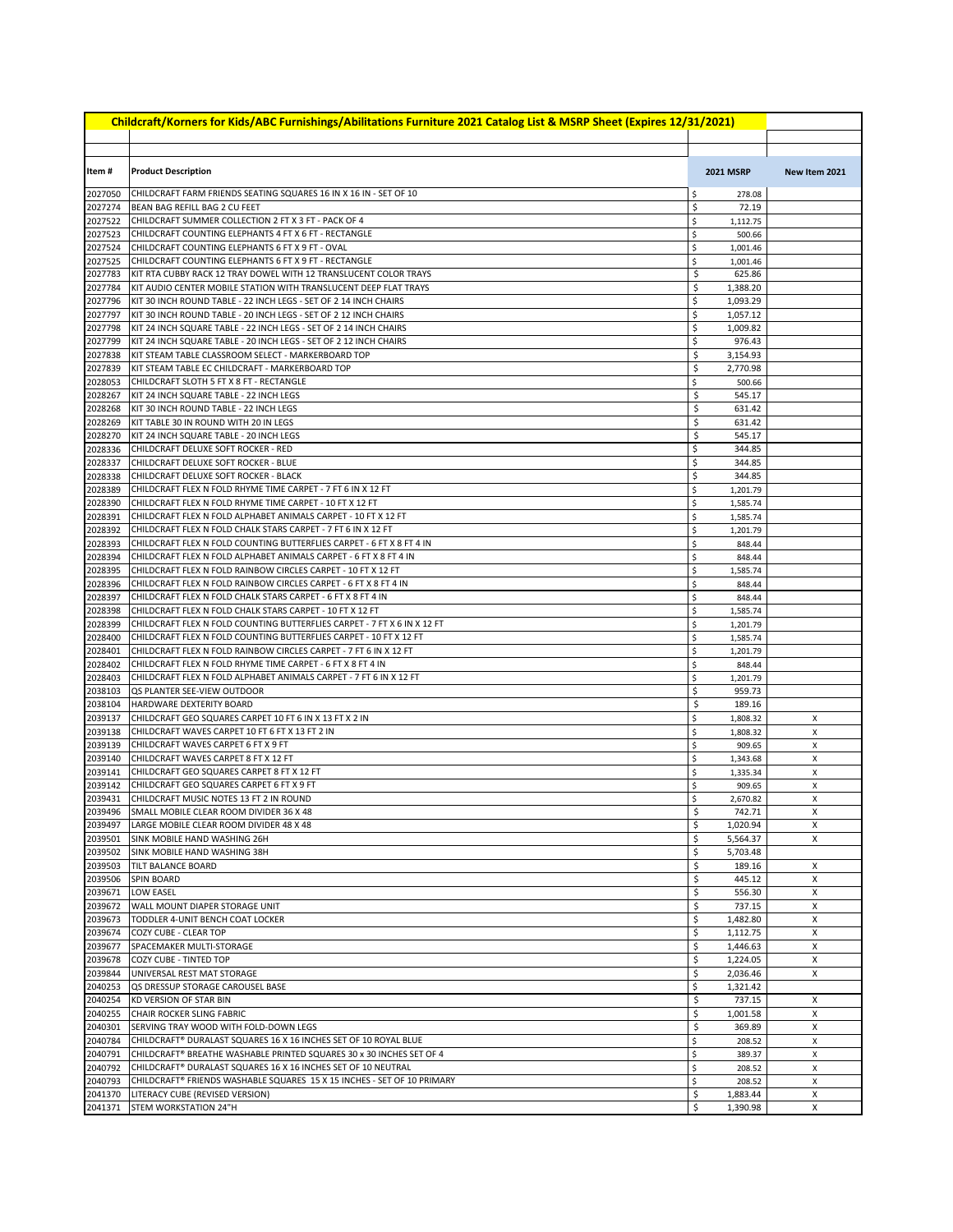| Childcraft/Korners for Kids/ABC Furnishings/Abilitations Furniture 2021 Catalog List & MSRP Sheet (Expires 12/31/2021) |                                                                                                                                       |          |                      |               |  |
|------------------------------------------------------------------------------------------------------------------------|---------------------------------------------------------------------------------------------------------------------------------------|----------|----------------------|---------------|--|
|                                                                                                                        |                                                                                                                                       |          |                      |               |  |
| Item #                                                                                                                 | <b>Product Description</b>                                                                                                            |          | <b>2021 MSRP</b>     | New Item 2021 |  |
| 2027050                                                                                                                | CHILDCRAFT FARM FRIENDS SEATING SQUARES 16 IN X 16 IN - SET OF 10                                                                     | \$       | 278.08               |               |  |
| 2027274                                                                                                                | BEAN BAG REFILL BAG 2 CU FEET                                                                                                         | \$       | 72.19                |               |  |
| 2027522                                                                                                                | CHILDCRAFT SUMMER COLLECTION 2 FT X 3 FT - PACK OF 4                                                                                  | \$       | 1,112.75             |               |  |
| 2027523                                                                                                                | CHILDCRAFT COUNTING ELEPHANTS 4 FT X 6 FT - RECTANGLE                                                                                 | \$       | 500.66               |               |  |
| 2027524<br>2027525                                                                                                     | CHILDCRAFT COUNTING ELEPHANTS 6 FT X 9 FT - OVAL                                                                                      | \$       | 1,001.46             |               |  |
| 2027783                                                                                                                | CHILDCRAFT COUNTING ELEPHANTS 6 FT X 9 FT - RECTANGLE<br>KIT RTA CUBBY RACK 12 TRAY DOWEL WITH 12 TRANSLUCENT COLOR TRAYS             | \$<br>\$ | 1,001.46<br>625.86   |               |  |
| 2027784                                                                                                                | KIT AUDIO CENTER MOBILE STATION WITH TRANSLUCENT DEEP FLAT TRAYS                                                                      | \$       | 1,388.20             |               |  |
| 2027796                                                                                                                | KIT 30 INCH ROUND TABLE - 22 INCH LEGS - SET OF 2 14 INCH CHAIRS                                                                      | \$       | 1,093.29             |               |  |
| 2027797                                                                                                                | KIT 30 INCH ROUND TABLE - 20 INCH LEGS - SET OF 2 12 INCH CHAIRS                                                                      | \$       | 1,057.12             |               |  |
| 2027798                                                                                                                | KIT 24 INCH SQUARE TABLE - 22 INCH LEGS - SET OF 2 14 INCH CHAIRS                                                                     | \$       | 1,009.82             |               |  |
| 2027799<br>2027838                                                                                                     | KIT 24 INCH SQUARE TABLE - 20 INCH LEGS - SET OF 2 12 INCH CHAIRS<br>KIT STEAM TABLE CLASSROOM SELECT - MARKERBOARD TOP               | \$<br>\$ | 976.43<br>3,154.93   |               |  |
| 2027839                                                                                                                | KIT STEAM TABLE EC CHILDCRAFT - MARKERBOARD TOP                                                                                       | \$       | 2,770.98             |               |  |
| 2028053                                                                                                                | CHILDCRAFT SLOTH 5 FT X 8 FT - RECTANGLE                                                                                              | \$       | 500.66               |               |  |
| 2028267                                                                                                                | KIT 24 INCH SQUARE TABLE - 22 INCH LEGS                                                                                               | \$       | 545.17               |               |  |
| 2028268                                                                                                                | KIT 30 INCH ROUND TABLE - 22 INCH LEGS                                                                                                | \$       | 631.42               |               |  |
| 2028269                                                                                                                | KIT TABLE 30 IN ROUND WITH 20 IN LEGS                                                                                                 | \$       | 631.42               |               |  |
| 2028270                                                                                                                | KIT 24 INCH SQUARE TABLE - 20 INCH LEGS                                                                                               | \$       | 545.17               |               |  |
| 2028336<br>2028337                                                                                                     | CHILDCRAFT DELUXE SOFT ROCKER - RED<br>CHILDCRAFT DELUXE SOFT ROCKER - BLUE                                                           | \$<br>\$ | 344.85<br>344.85     |               |  |
| 2028338                                                                                                                | CHILDCRAFT DELUXE SOFT ROCKER - BLACK                                                                                                 | \$       | 344.85               |               |  |
| 2028389                                                                                                                | CHILDCRAFT FLEX N FOLD RHYME TIME CARPET - 7 FT 6 IN X 12 FT                                                                          | \$       | 1,201.79             |               |  |
| 2028390                                                                                                                | CHILDCRAFT FLEX N FOLD RHYME TIME CARPET - 10 FT X 12 FT                                                                              | \$       | 1,585.74             |               |  |
| 2028391                                                                                                                | CHILDCRAFT FLEX N FOLD ALPHABET ANIMALS CARPET - 10 FT X 12 FT                                                                        | \$       | 1,585.74             |               |  |
| 2028392                                                                                                                | CHILDCRAFT FLEX N FOLD CHALK STARS CARPET - 7 FT 6 IN X 12 FT                                                                         | \$       | 1,201.79             |               |  |
| 2028393                                                                                                                | CHILDCRAFT FLEX N FOLD COUNTING BUTTERFLIES CARPET - 6 FT X 8 FT 4 IN                                                                 | \$       | 848.44               |               |  |
| 2028394<br>2028395                                                                                                     | CHILDCRAFT FLEX N FOLD ALPHABET ANIMALS CARPET - 6 FT X 8 FT 4 IN<br>CHILDCRAFT FLEX N FOLD RAINBOW CIRCLES CARPET - 10 FT X 12 FT    | \$<br>\$ | 848.44<br>1,585.74   |               |  |
| 2028396                                                                                                                | CHILDCRAFT FLEX N FOLD RAINBOW CIRCLES CARPET - 6 FT X 8 FT 4 IN                                                                      | \$       | 848.44               |               |  |
| 2028397                                                                                                                | CHILDCRAFT FLEX N FOLD CHALK STARS CARPET - 6 FT X 8 FT 4 IN                                                                          | \$       | 848.44               |               |  |
| 2028398                                                                                                                | CHILDCRAFT FLEX N FOLD CHALK STARS CARPET - 10 FT X 12 FT                                                                             | \$       | 1,585.74             |               |  |
| 2028399                                                                                                                | CHILDCRAFT FLEX N FOLD COUNTING BUTTERFLIES CARPET - 7 FT X 6 IN X 12 FT                                                              | \$       | 1,201.79             |               |  |
| 2028400                                                                                                                | CHILDCRAFT FLEX N FOLD COUNTING BUTTERFLIES CARPET - 10 FT X 12 FT                                                                    | \$       | 1,585.74             |               |  |
| 2028401<br>2028402                                                                                                     | CHILDCRAFT FLEX N FOLD RAINBOW CIRCLES CARPET - 7 FT 6 IN X 12 FT<br>CHILDCRAFT FLEX N FOLD RHYME TIME CARPET - 6 FT X 8 FT 4 IN      | \$<br>\$ | 1,201.79             |               |  |
| 2028403                                                                                                                | CHILDCRAFT FLEX N FOLD ALPHABET ANIMALS CARPET - 7 FT 6 IN X 12 FT                                                                    | \$       | 848.44<br>1,201.79   |               |  |
| 2038103                                                                                                                | QS PLANTER SEE-VIEW OUTDOOR                                                                                                           | \$       | 959.73               |               |  |
| 2038104                                                                                                                | HARDWARE DEXTERITY BOARD                                                                                                              | \$       | 189.16               |               |  |
| 2039137                                                                                                                | CHILDCRAFT GEO SQUARES CARPET 10 FT 6 IN X 13 FT X 2 IN                                                                               | \$       | 1,808.32             | X             |  |
| 2039138                                                                                                                | CHILDCRAFT WAVES CARPET 10 FT 6 FT X 13 FT 2 IN                                                                                       | \$       | 1,808.32             | x             |  |
| 2039139                                                                                                                | CHILDCRAFT WAVES CARPET 6 FT X 9 FT                                                                                                   | \$       | 909.65               | X             |  |
| 2039140<br>2039141                                                                                                     | CHILDCRAFT WAVES CARPET 8 FT X 12 FT<br>CHILDCRAFT GEO SQUARES CARPET 8 FT X 12 FT                                                    | \$<br>\$ | 1,343.68<br>1,335.34 | X<br>X        |  |
| 2039142                                                                                                                | CHILDCRAFT GEO SQUARES CARPET 6 FT X 9 FT                                                                                             | \$       | 909.65               | X             |  |
| 2039431                                                                                                                | CHILDCRAFT MUSIC NOTES 13 FT 2 IN ROUND                                                                                               | \$       | 2,670.82             | x             |  |
|                                                                                                                        | 2039496 SMALL MOBILE CLEAR ROOM DIVIDER 36 X 48                                                                                       |          | 742.71               | x             |  |
| 2039497                                                                                                                | LARGE MOBILE CLEAR ROOM DIVIDER 48 X 48                                                                                               | \$       | 1,020.94             | X             |  |
| 2039501                                                                                                                | SINK MOBILE HAND WASHING 26H                                                                                                          | \$       | 5,564.37             | Χ             |  |
| 2039502<br>2039503                                                                                                     | SINK MOBILE HAND WASHING 38H<br><b>TILT BALANCE BOARD</b>                                                                             | \$<br>\$ | 5,703.48<br>189.16   | X             |  |
| 2039506                                                                                                                | <b>SPIN BOARD</b>                                                                                                                     | \$       | 445.12               | X             |  |
| 2039671                                                                                                                | <b>LOW EASEL</b>                                                                                                                      | \$       | 556.30               | Χ             |  |
| 2039672                                                                                                                | WALL MOUNT DIAPER STORAGE UNIT                                                                                                        | \$       | 737.15               | Χ             |  |
| 2039673                                                                                                                | TODDLER 4-UNIT BENCH COAT LOCKER                                                                                                      | \$       | 1,482.80             | Χ             |  |
| 2039674                                                                                                                | COZY CUBE - CLEAR TOP                                                                                                                 | \$       | 1,112.75             | X             |  |
| 2039677<br>2039678                                                                                                     | SPACEMAKER MULTI-STORAGE<br>COZY CUBE - TINTED TOP                                                                                    | \$<br>\$ | 1,446.63<br>1,224.05 | X<br>Х        |  |
| 2039844                                                                                                                | UNIVERSAL REST MAT STORAGE                                                                                                            | \$       | 2,036.46             | X             |  |
| 2040253                                                                                                                | QS DRESSUP STORAGE CAROUSEL BASE                                                                                                      | \$       | 1,321.42             |               |  |
| 2040254                                                                                                                | KD VERSION OF STAR BIN                                                                                                                | \$       | 737.15               | X             |  |
| 2040255                                                                                                                | CHAIR ROCKER SLING FABRIC                                                                                                             | \$       | 1,001.58             | Х             |  |
| 2040301                                                                                                                | SERVING TRAY WOOD WITH FOLD-DOWN LEGS                                                                                                 | \$       | 369.89               | X             |  |
| 2040784                                                                                                                | CHILDCRAFT® DURALAST SQUARES 16 X 16 INCHES SET OF 10 ROYAL BLUE                                                                      | \$       | 208.52               | X             |  |
| 2040791<br>2040792                                                                                                     | CHILDCRAFT® BREATHE WASHABLE PRINTED SQUARES 30 x 30 INCHES SET OF 4<br>CHILDCRAFT® DURALAST SQUARES 16 X 16 INCHES SET OF 10 NEUTRAL | \$<br>\$ | 389.37<br>208.52     | X<br>X        |  |
| 2040793                                                                                                                | CHILDCRAFT® FRIENDS WASHABLE SQUARES 15 X 15 INCHES - SET OF 10 PRIMARY                                                               | \$       | 208.52               | X             |  |
| 2041370                                                                                                                | LITERACY CUBE (REVISED VERSION)                                                                                                       | \$       | 1,883.44             | Х             |  |
| 2041371                                                                                                                | STEM WORKSTATION 24"H                                                                                                                 | \$       | 1,390.98             | Χ             |  |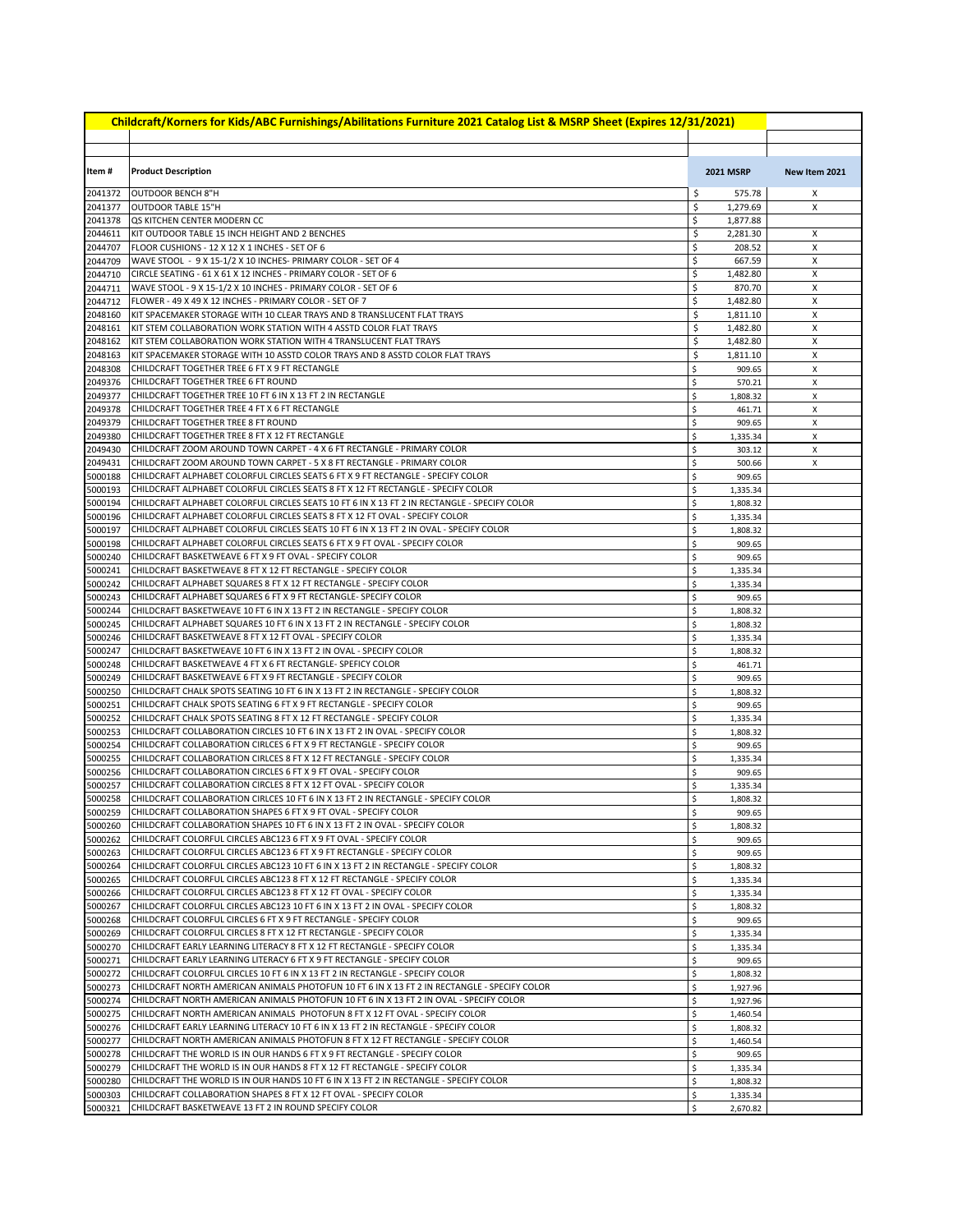|                    | Childcraft/Korners for Kids/ABC Furnishings/Abilitations Furniture 2021 Catalog List & MSRP Sheet (Expires 12/31/2021)                                           |          |                      |               |
|--------------------|------------------------------------------------------------------------------------------------------------------------------------------------------------------|----------|----------------------|---------------|
|                    |                                                                                                                                                                  |          |                      |               |
| Item#              | <b>Product Description</b>                                                                                                                                       |          | <b>2021 MSRP</b>     | New Item 2021 |
| 2041372            | OUTDOOR BENCH 8"H                                                                                                                                                | \$       | 575.78               | Х             |
| 2041377            | OUTDOOR TABLE 15"H                                                                                                                                               | \$       | 1,279.69             | X             |
| 2041378            | QS KITCHEN CENTER MODERN CC                                                                                                                                      | \$       | 1,877.88             |               |
| 2044611            | KIT OUTDOOR TABLE 15 INCH HEIGHT AND 2 BENCHES                                                                                                                   | \$       | 2,281.30             | X             |
| 2044707            | FLOOR CUSHIONS - 12 X 12 X 1 INCHES - SET OF 6                                                                                                                   | \$       | 208.52               | х             |
| 2044709<br>2044710 | WAVE STOOL - 9 X 15-1/2 X 10 INCHES- PRIMARY COLOR - SET OF 4<br>CIRCLE SEATING - 61 X 61 X 12 INCHES - PRIMARY COLOR - SET OF 6                                 | \$<br>\$ | 667.59<br>1,482.80   | Х<br>X        |
| 2044711            | WAVE STOOL - 9 X 15-1/2 X 10 INCHES - PRIMARY COLOR - SET OF 6                                                                                                   | \$       | 870.70               | X             |
| 2044712            | FLOWER - 49 X 49 X 12 INCHES - PRIMARY COLOR - SET OF 7                                                                                                          | \$       | 1,482.80             | X             |
| 2048160            | KIT SPACEMAKER STORAGE WITH 10 CLEAR TRAYS AND 8 TRANSLUCENT FLAT TRAYS                                                                                          | \$       | 1,811.10             | X             |
| 2048161            | KIT STEM COLLABORATION WORK STATION WITH 4 ASSTD COLOR FLAT TRAYS                                                                                                | \$       | 1,482.80             | X             |
| 2048162            | KIT STEM COLLABORATION WORK STATION WITH 4 TRANSLUCENT FLAT TRAYS                                                                                                | \$       | 1,482.80             | X             |
| 2048163<br>2048308 | KIT SPACEMAKER STORAGE WITH 10 ASSTD COLOR TRAYS AND 8 ASSTD COLOR FLAT TRAYS<br>CHILDCRAFT TOGETHER TREE 6 FT X 9 FT RECTANGLE                                  | \$<br>\$ | 1,811.10<br>909.65   | х<br>X        |
| 2049376            | CHILDCRAFT TOGETHER TREE 6 FT ROUND                                                                                                                              | \$       | 570.21               | Χ             |
| 2049377            | CHILDCRAFT TOGETHER TREE 10 FT 6 IN X 13 FT 2 IN RECTANGLE                                                                                                       | \$       | 1,808.32             | X             |
| 2049378            | CHILDCRAFT TOGETHER TREE 4 FT X 6 FT RECTANGLE                                                                                                                   | \$       | 461.71               | X             |
| 2049379            | CHILDCRAFT TOGETHER TREE 8 FT ROUND                                                                                                                              | \$       | 909.65               | X             |
| 2049380            | CHILDCRAFT TOGETHER TREE 8 FT X 12 FT RECTANGLE                                                                                                                  | \$       | 1,335.34             | Χ             |
| 2049430<br>2049431 | CHILDCRAFT ZOOM AROUND TOWN CARPET - 4 X 6 FT RECTANGLE - PRIMARY COLOR<br>CHILDCRAFT ZOOM AROUND TOWN CARPET - 5 X 8 FT RECTANGLE - PRIMARY COLOR               | \$<br>\$ | 303.12               | Χ             |
| 5000188            | CHILDCRAFT ALPHABET COLORFUL CIRCLES SEATS 6 FT X 9 FT RECTANGLE - SPECIFY COLOR                                                                                 | \$       | 500.66<br>909.65     | X             |
| 5000193            | CHILDCRAFT ALPHABET COLORFUL CIRCLES SEATS 8 FT X 12 FT RECTANGLE - SPECIFY COLOR                                                                                | \$       | 1,335.34             |               |
| 5000194            | CHILDCRAFT ALPHABET COLORFUL CIRCLES SEATS 10 FT 6 IN X 13 FT 2 IN RECTANGLE - SPECIFY COLOR                                                                     | \$       | 1,808.32             |               |
| 5000196            | CHILDCRAFT ALPHABET COLORFUL CIRCLES SEATS 8 FT X 12 FT OVAL - SPECIFY COLOR                                                                                     | \$       | 1,335.34             |               |
| 5000197            | CHILDCRAFT ALPHABET COLORFUL CIRCLES SEATS 10 FT 6 IN X 13 FT 2 IN OVAL - SPECIFY COLOR                                                                          | \$       | 1,808.32             |               |
| 5000198            | CHILDCRAFT ALPHABET COLORFUL CIRCLES SEATS 6 FT X 9 FT OVAL - SPECIFY COLOR                                                                                      | \$       | 909.65               |               |
| 5000240            | CHILDCRAFT BASKETWEAVE 6 FT X 9 FT OVAL - SPECIFY COLOR<br>CHILDCRAFT BASKETWEAVE 8 FT X 12 FT RECTANGLE - SPECIFY COLOR                                         | \$       | 909.65               |               |
| 5000241<br>5000242 | CHILDCRAFT ALPHABET SQUARES 8 FT X 12 FT RECTANGLE - SPECIFY COLOR                                                                                               | \$<br>\$ | 1,335.34<br>1,335.34 |               |
| 5000243            | CHILDCRAFT ALPHABET SQUARES 6 FT X 9 FT RECTANGLE- SPECIFY COLOR                                                                                                 | \$       | 909.65               |               |
| 5000244            | CHILDCRAFT BASKETWEAVE 10 FT 6 IN X 13 FT 2 IN RECTANGLE - SPECIFY COLOR                                                                                         | \$       | 1,808.32             |               |
| 5000245            | CHILDCRAFT ALPHABET SQUARES 10 FT 6 IN X 13 FT 2 IN RECTANGLE - SPECIFY COLOR                                                                                    | \$       | 1,808.32             |               |
| 5000246            | CHILDCRAFT BASKETWEAVE 8 FT X 12 FT OVAL - SPECIFY COLOR                                                                                                         | \$       | 1,335.34             |               |
| 5000247            | CHILDCRAFT BASKETWEAVE 10 FT 6 IN X 13 FT 2 IN OVAL - SPECIFY COLOR<br>CHILDCRAFT BASKETWEAVE 4 FT X 6 FT RECTANGLE- SPEFICY COLOR                               | \$       | 1,808.32             |               |
| 5000248<br>5000249 | CHILDCRAFT BASKETWEAVE 6 FT X 9 FT RECTANGLE - SPECIFY COLOR                                                                                                     | \$<br>\$ | 461.71<br>909.65     |               |
| 5000250            | CHILDCRAFT CHALK SPOTS SEATING 10 FT 6 IN X 13 FT 2 IN RECTANGLE - SPECIFY COLOR                                                                                 | \$       | 1,808.32             |               |
| 5000251            | CHILDCRAFT CHALK SPOTS SEATING 6 FT X 9 FT RECTANGLE - SPECIFY COLOR                                                                                             | \$       | 909.65               |               |
| 5000252            | CHILDCRAFT CHALK SPOTS SEATING 8 FT X 12 FT RECTANGLE - SPECIFY COLOR                                                                                            | \$       | 1,335.34             |               |
| 5000253            | CHILDCRAFT COLLABORATION CIRCLES 10 FT 6 IN X 13 FT 2 IN OVAL - SPECIFY COLOR                                                                                    | \$       | 1,808.32             |               |
| 5000254            | CHILDCRAFT COLLABORATION CIRLCES 6 FT X 9 FT RECTANGLE - SPECIFY COLOR                                                                                           | \$       | 909.65               |               |
| 5000255<br>5000256 | CHILDCRAFT COLLABORATION CIRLCES 8 FT X 12 FT RECTANGLE - SPECIFY COLOR<br>CHILDCRAFT COLLABORATION CIRCLES 6 FT X 9 FT OVAL - SPECIFY COLOR                     | \$<br>\$ | 1,335.34<br>909.65   |               |
| 5000257            | CHILDCRAFT COLLABORATION CIRCLES 8 FT X 12 FT OVAL - SPECIFY COLOR                                                                                               | \$       | 1,335.34             |               |
| 5000258            | CHILDCRAFT COLLABORATION CIRLCES 10 FT 6 IN X 13 FT 2 IN RECTANGLE - SPECIFY COLOR                                                                               | \$       | 1,808.32             |               |
| 5000259            | CHILDCRAFT COLLABORATION SHAPES 6 FT X 9 FT OVAL - SPECIFY COLOR                                                                                                 | Ş        | 909.65               |               |
| 5000260            | CHILDCRAFT COLLABORATION SHAPES 10 FT 6 IN X 13 FT 2 IN OVAL - SPECIFY COLOR                                                                                     | \$       | 1,808.32             |               |
| 5000262            | CHILDCRAFT COLORFUL CIRCLES ABC123 6 FT X 9 FT OVAL - SPECIFY COLOR                                                                                              | \$       | 909.65               |               |
| 5000263<br>5000264 | CHILDCRAFT COLORFUL CIRCLES ABC123 6 FT X 9 FT RECTANGLE - SPECIFY COLOR<br>CHILDCRAFT COLORFUL CIRCLES ABC123 10 FT 6 IN X 13 FT 2 IN RECTANGLE - SPECIFY COLOR | \$<br>\$ | 909.65<br>1,808.32   |               |
| 5000265            | CHILDCRAFT COLORFUL CIRCLES ABC123 8 FT X 12 FT RECTANGLE - SPECIFY COLOR                                                                                        | \$       | 1,335.34             |               |
| 5000266            | CHILDCRAFT COLORFUL CIRCLES ABC123 8 FT X 12 FT OVAL - SPECIFY COLOR                                                                                             | \$       | 1,335.34             |               |
| 5000267            | CHILDCRAFT COLORFUL CIRCLES ABC123 10 FT 6 IN X 13 FT 2 IN OVAL - SPECIFY COLOR                                                                                  | \$       | 1,808.32             |               |
| 5000268            | CHILDCRAFT COLORFUL CIRCLES 6 FT X 9 FT RECTANGLE - SPECIFY COLOR                                                                                                | \$       | 909.65               |               |
| 5000269            | CHILDCRAFT COLORFUL CIRCLES 8 FT X 12 FT RECTANGLE - SPECIFY COLOR                                                                                               | \$       | 1,335.34             |               |
| 5000270<br>5000271 | CHILDCRAFT EARLY LEARNING LITERACY 8 FT X 12 FT RECTANGLE - SPECIFY COLOR<br>CHILDCRAFT EARLY LEARNING LITERACY 6 FT X 9 FT RECTANGLE - SPECIFY COLOR            | \$<br>\$ | 1,335.34<br>909.65   |               |
| 5000272            | CHILDCRAFT COLORFUL CIRCLES 10 FT 6 IN X 13 FT 2 IN RECTANGLE - SPECIFY COLOR                                                                                    | \$       | 1,808.32             |               |
| 5000273            | CHILDCRAFT NORTH AMERICAN ANIMALS PHOTOFUN 10 FT 6 IN X 13 FT 2 IN RECTANGLE - SPECIFY COLOR                                                                     | \$       | 1,927.96             |               |
| 5000274            | CHILDCRAFT NORTH AMERICAN ANIMALS PHOTOFUN 10 FT 6 IN X 13 FT 2 IN OVAL - SPECIFY COLOR                                                                          | \$       | 1,927.96             |               |
| 5000275            | CHILDCRAFT NORTH AMERICAN ANIMALS PHOTOFUN 8 FT X 12 FT OVAL - SPECIFY COLOR                                                                                     | \$       | 1,460.54             |               |
| 5000276            | CHILDCRAFT EARLY LEARNING LITERACY 10 FT 6 IN X 13 FT 2 IN RECTANGLE - SPECIFY COLOR                                                                             | \$       | 1,808.32             |               |
| 5000277            | CHILDCRAFT NORTH AMERICAN ANIMALS PHOTOFUN 8 FT X 12 FT RECTANGLE - SPECIFY COLOR                                                                                | \$       | 1,460.54             |               |
| 5000278<br>5000279 | CHILDCRAFT THE WORLD IS IN OUR HANDS 6 FT X 9 FT RECTANGLE - SPECIFY COLOR<br>CHILDCRAFT THE WORLD IS IN OUR HANDS 8 FT X 12 FT RECTANGLE - SPECIFY COLOR        | \$<br>\$ | 909.65<br>1,335.34   |               |
| 5000280            | CHILDCRAFT THE WORLD IS IN OUR HANDS 10 FT 6 IN X 13 FT 2 IN RECTANGLE - SPECIFY COLOR                                                                           | \$       | 1,808.32             |               |
| 5000303            | CHILDCRAFT COLLABORATION SHAPES 8 FT X 12 FT OVAL - SPECIFY COLOR                                                                                                | \$       | 1,335.34             |               |
| 5000321            | CHILDCRAFT BASKETWEAVE 13 FT 2 IN ROUND SPECIFY COLOR                                                                                                            | \$       | 2,670.82             |               |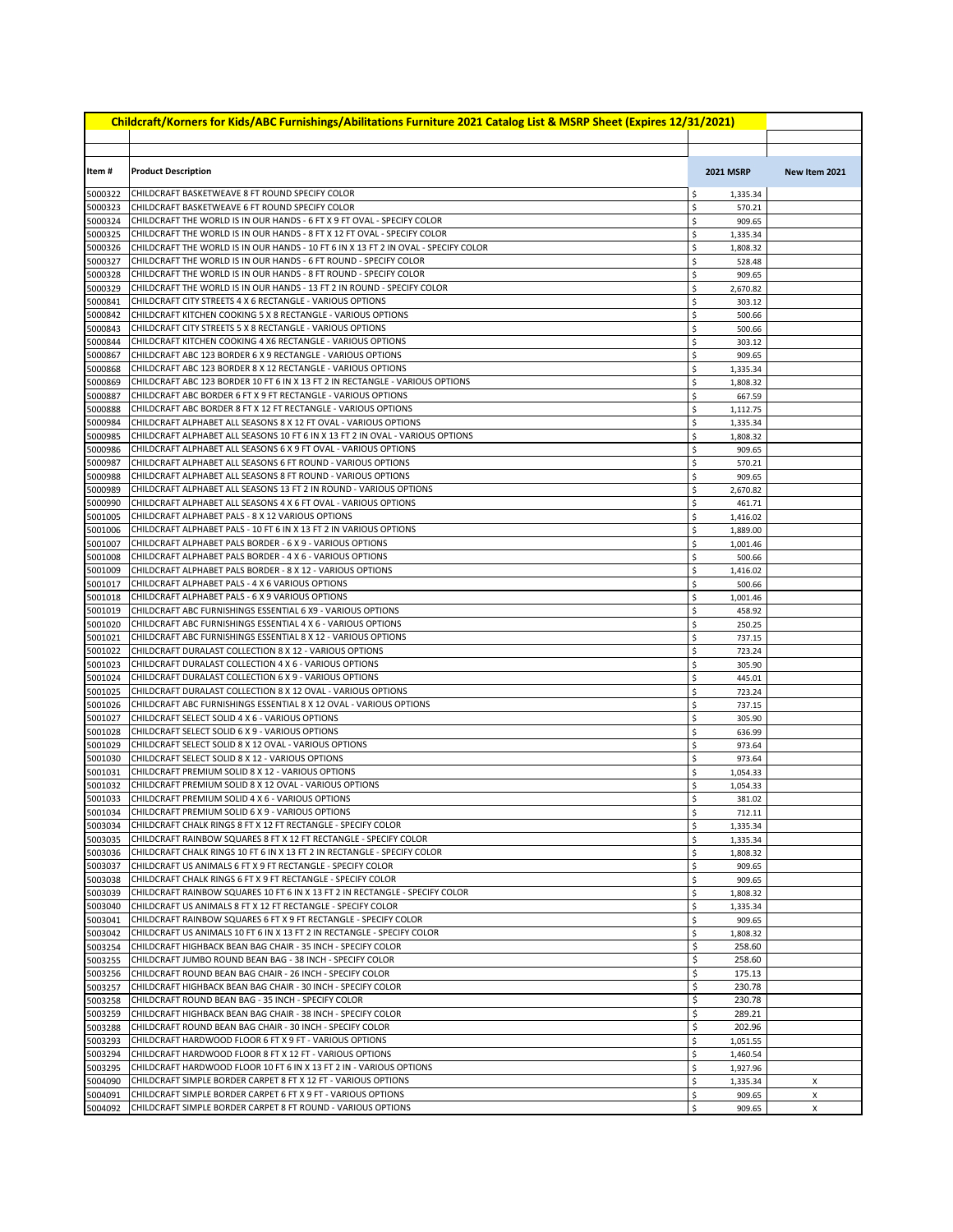| Childcraft/Korners for Kids/ABC Furnishings/Abilitations Furniture 2021 Catalog List & MSRP Sheet (Expires 12/31/2021) |                                                                                                                                                |          |                      |               |  |
|------------------------------------------------------------------------------------------------------------------------|------------------------------------------------------------------------------------------------------------------------------------------------|----------|----------------------|---------------|--|
|                                                                                                                        |                                                                                                                                                |          |                      |               |  |
| Item #                                                                                                                 | <b>Product Description</b>                                                                                                                     |          | <b>2021 MSRP</b>     | New Item 2021 |  |
| 5000322                                                                                                                | CHILDCRAFT BASKETWEAVE 8 FT ROUND SPECIFY COLOR                                                                                                | \$       | 1,335.34             |               |  |
| 5000323                                                                                                                | CHILDCRAFT BASKETWEAVE 6 FT ROUND SPECIFY COLOR                                                                                                | \$       | 570.21               |               |  |
| 5000324                                                                                                                | CHILDCRAFT THE WORLD IS IN OUR HANDS - 6 FT X 9 FT OVAL - SPECIFY COLOR                                                                        | \$       | 909.65               |               |  |
| 5000325                                                                                                                | CHILDCRAFT THE WORLD IS IN OUR HANDS - 8 FT X 12 FT OVAL - SPECIFY COLOR                                                                       | \$       | 1,335.34             |               |  |
| 5000326                                                                                                                | CHILDCRAFT THE WORLD IS IN OUR HANDS - 10 FT 6 IN X 13 FT 2 IN OVAL - SPECIFY COLOR                                                            | \$       | 1,808.32             |               |  |
| 5000327                                                                                                                | CHILDCRAFT THE WORLD IS IN OUR HANDS - 6 FT ROUND - SPECIFY COLOR<br>CHILDCRAFT THE WORLD IS IN OUR HANDS - 8 FT ROUND - SPECIFY COLOR         | \$       | 528.48               |               |  |
| 5000328<br>5000329                                                                                                     | CHILDCRAFT THE WORLD IS IN OUR HANDS - 13 FT 2 IN ROUND - SPECIFY COLOR                                                                        | \$<br>\$ | 909.65<br>2,670.82   |               |  |
| 5000841                                                                                                                | CHILDCRAFT CITY STREETS 4 X 6 RECTANGLE - VARIOUS OPTIONS                                                                                      | \$       | 303.12               |               |  |
| 5000842                                                                                                                | CHILDCRAFT KITCHEN COOKING 5 X 8 RECTANGLE - VARIOUS OPTIONS                                                                                   | \$       | 500.66               |               |  |
| 5000843                                                                                                                | CHILDCRAFT CITY STREETS 5 X 8 RECTANGLE - VARIOUS OPTIONS                                                                                      | \$       | 500.66               |               |  |
| 5000844                                                                                                                | CHILDCRAFT KITCHEN COOKING 4 X6 RECTANGLE - VARIOUS OPTIONS                                                                                    | \$       | 303.12               |               |  |
| 5000867                                                                                                                | CHILDCRAFT ABC 123 BORDER 6 X 9 RECTANGLE - VARIOUS OPTIONS                                                                                    | \$       | 909.65               |               |  |
| 5000868                                                                                                                | CHILDCRAFT ABC 123 BORDER 8 X 12 RECTANGLE - VARIOUS OPTIONS                                                                                   | \$       | 1,335.34             |               |  |
| 5000869<br>5000887                                                                                                     | CHILDCRAFT ABC 123 BORDER 10 FT 6 IN X 13 FT 2 IN RECTANGLE - VARIOUS OPTIONS<br>CHILDCRAFT ABC BORDER 6 FT X 9 FT RECTANGLE - VARIOUS OPTIONS | \$<br>\$ | 1,808.32             |               |  |
| 5000888                                                                                                                | CHILDCRAFT ABC BORDER 8 FT X 12 FT RECTANGLE - VARIOUS OPTIONS                                                                                 | \$       | 667.59<br>1,112.75   |               |  |
| 5000984                                                                                                                | CHILDCRAFT ALPHABET ALL SEASONS 8 X 12 FT OVAL - VARIOUS OPTIONS                                                                               | \$       | 1,335.34             |               |  |
| 5000985                                                                                                                | CHILDCRAFT ALPHABET ALL SEASONS 10 FT 6 IN X 13 FT 2 IN OVAL - VARIOUS OPTIONS                                                                 | \$       | 1,808.32             |               |  |
| 5000986                                                                                                                | CHILDCRAFT ALPHABET ALL SEASONS 6 X 9 FT OVAL - VARIOUS OPTIONS                                                                                | \$       | 909.65               |               |  |
| 5000987                                                                                                                | CHILDCRAFT ALPHABET ALL SEASONS 6 FT ROUND - VARIOUS OPTIONS                                                                                   | \$       | 570.21               |               |  |
| 5000988                                                                                                                | CHILDCRAFT ALPHABET ALL SEASONS 8 FT ROUND - VARIOUS OPTIONS                                                                                   | \$       | 909.65               |               |  |
| 5000989                                                                                                                | CHILDCRAFT ALPHABET ALL SEASONS 13 FT 2 IN ROUND - VARIOUS OPTIONS                                                                             | \$       | 2,670.82             |               |  |
| 5000990                                                                                                                | CHILDCRAFT ALPHABET ALL SEASONS 4 X 6 FT OVAL - VARIOUS OPTIONS<br>CHILDCRAFT ALPHABET PALS - 8 X 12 VARIOUS OPTIONS                           | \$       | 461.71               |               |  |
| 5001005<br>5001006                                                                                                     | CHILDCRAFT ALPHABET PALS - 10 FT 6 IN X 13 FT 2 IN VARIOUS OPTIONS                                                                             | \$<br>\$ | 1,416.02<br>1,889.00 |               |  |
| 5001007                                                                                                                | CHILDCRAFT ALPHABET PALS BORDER - 6 X 9 - VARIOUS OPTIONS                                                                                      | \$       | 1,001.46             |               |  |
| 5001008                                                                                                                | CHILDCRAFT ALPHABET PALS BORDER - 4 X 6 - VARIOUS OPTIONS                                                                                      | \$       | 500.66               |               |  |
| 5001009                                                                                                                | CHILDCRAFT ALPHABET PALS BORDER - 8 X 12 - VARIOUS OPTIONS                                                                                     | \$       | 1,416.02             |               |  |
| 5001017                                                                                                                | CHILDCRAFT ALPHABET PALS - 4 X 6 VARIOUS OPTIONS                                                                                               | \$       | 500.66               |               |  |
| 5001018                                                                                                                | CHILDCRAFT ALPHABET PALS - 6 X 9 VARIOUS OPTIONS                                                                                               | \$       | 1,001.46             |               |  |
| 5001019                                                                                                                | CHILDCRAFT ABC FURNISHINGS ESSENTIAL 6 X9 - VARIOUS OPTIONS                                                                                    | \$       | 458.92               |               |  |
| 5001020<br>5001021                                                                                                     | CHILDCRAFT ABC FURNISHINGS ESSENTIAL 4 X 6 - VARIOUS OPTIONS<br>CHILDCRAFT ABC FURNISHINGS ESSENTIAL 8 X 12 - VARIOUS OPTIONS                  | \$<br>\$ | 250.25<br>737.15     |               |  |
| 5001022                                                                                                                | CHILDCRAFT DURALAST COLLECTION 8 X 12 - VARIOUS OPTIONS                                                                                        | \$       | 723.24               |               |  |
| 5001023                                                                                                                | CHILDCRAFT DURALAST COLLECTION 4 X 6 - VARIOUS OPTIONS                                                                                         | \$       | 305.90               |               |  |
| 5001024                                                                                                                | CHILDCRAFT DURALAST COLLECTION 6 X 9 - VARIOUS OPTIONS                                                                                         | \$       | 445.01               |               |  |
| 5001025                                                                                                                | CHILDCRAFT DURALAST COLLECTION 8 X 12 OVAL - VARIOUS OPTIONS                                                                                   | \$       | 723.24               |               |  |
| 5001026                                                                                                                | CHILDCRAFT ABC FURNISHINGS ESSENTIAL 8 X 12 OVAL - VARIOUS OPTIONS                                                                             | \$       | 737.15               |               |  |
| 5001027                                                                                                                | CHILDCRAFT SELECT SOLID 4 X 6 - VARIOUS OPTIONS                                                                                                | \$       | 305.90               |               |  |
| 5001028<br>5001029                                                                                                     | CHILDCRAFT SELECT SOLID 6 X 9 - VARIOUS OPTIONS<br>CHILDCRAFT SELECT SOLID 8 X 12 OVAL - VARIOUS OPTIONS                                       | \$<br>\$ | 636.99<br>973.64     |               |  |
| 5001030                                                                                                                | CHILDCRAFT SELECT SOLID 8 X 12 - VARIOUS OPTIONS                                                                                               | \$       | 973.64               |               |  |
| 5001031                                                                                                                | CHILDCRAFT PREMIUM SOLID 8 X 12 - VARIOUS OPTIONS                                                                                              | \$       | 1,054.33             |               |  |
| 5001032                                                                                                                | CHILDCRAFT PREMIUM SOLID 8 X 12 OVAL - VARIOUS OPTIONS                                                                                         | \$       | 1,054.33             |               |  |
| 5001033                                                                                                                | CHILDCRAFT PREMIUM SOLID 4 X 6 - VARIOUS OPTIONS                                                                                               | \$       | 381.02               |               |  |
| 5001034                                                                                                                | CHILDCRAFT PREMIUM SOLID 6 X 9 - VARIOUS OPTIONS                                                                                               | -S       | 712.11               |               |  |
| 5003034                                                                                                                | CHILDCRAFT CHALK RINGS 8 FT X 12 FT RECTANGLE - SPECIFY COLOR                                                                                  | \$       | 1,335.34             |               |  |
| 5003035                                                                                                                | CHILDCRAFT RAINBOW SQUARES 8 FT X 12 FT RECTANGLE - SPECIFY COLOR                                                                              | \$       | 1,335.34             |               |  |
| 5003036<br>5003037                                                                                                     | CHILDCRAFT CHALK RINGS 10 FT 6 IN X 13 FT 2 IN RECTANGLE - SPECIFY COLOR<br>CHILDCRAFT US ANIMALS 6 FT X 9 FT RECTANGLE - SPECIFY COLOR        | \$<br>\$ | 1,808.32<br>909.65   |               |  |
| 5003038                                                                                                                | CHILDCRAFT CHALK RINGS 6 FT X 9 FT RECTANGLE - SPECIFY COLOR                                                                                   | \$       | 909.65               |               |  |
| 5003039                                                                                                                | CHILDCRAFT RAINBOW SQUARES 10 FT 6 IN X 13 FT 2 IN RECTANGLE - SPECIFY COLOR                                                                   | \$       | 1,808.32             |               |  |
| 5003040                                                                                                                | CHILDCRAFT US ANIMALS 8 FT X 12 FT RECTANGLE - SPECIFY COLOR                                                                                   | \$       | 1,335.34             |               |  |
| 5003041                                                                                                                | CHILDCRAFT RAINBOW SQUARES 6 FT X 9 FT RECTANGLE - SPECIFY COLOR                                                                               | \$       | 909.65               |               |  |
| 5003042                                                                                                                | CHILDCRAFT US ANIMALS 10 FT 6 IN X 13 FT 2 IN RECTANGLE - SPECIFY COLOR                                                                        | \$       | 1,808.32             |               |  |
| 5003254                                                                                                                | CHILDCRAFT HIGHBACK BEAN BAG CHAIR - 35 INCH - SPECIFY COLOR                                                                                   | \$       | 258.60               |               |  |
| 5003255<br>5003256                                                                                                     | CHILDCRAFT JUMBO ROUND BEAN BAG - 38 INCH - SPECIFY COLOR<br>CHILDCRAFT ROUND BEAN BAG CHAIR - 26 INCH - SPECIFY COLOR                         | \$<br>\$ | 258.60<br>175.13     |               |  |
| 5003257                                                                                                                | CHILDCRAFT HIGHBACK BEAN BAG CHAIR - 30 INCH - SPECIFY COLOR                                                                                   | \$       | 230.78               |               |  |
| 5003258                                                                                                                | CHILDCRAFT ROUND BEAN BAG - 35 INCH - SPECIFY COLOR                                                                                            | \$       | 230.78               |               |  |
| 5003259                                                                                                                | CHILDCRAFT HIGHBACK BEAN BAG CHAIR - 38 INCH - SPECIFY COLOR                                                                                   | \$       | 289.21               |               |  |
| 5003288                                                                                                                | CHILDCRAFT ROUND BEAN BAG CHAIR - 30 INCH - SPECIFY COLOR                                                                                      | \$       | 202.96               |               |  |
| 5003293                                                                                                                | CHILDCRAFT HARDWOOD FLOOR 6 FT X 9 FT - VARIOUS OPTIONS                                                                                        | \$       | 1,051.55             |               |  |
| 5003294                                                                                                                | CHILDCRAFT HARDWOOD FLOOR 8 FT X 12 FT - VARIOUS OPTIONS                                                                                       | \$       | 1,460.54             |               |  |
| 5003295                                                                                                                | CHILDCRAFT HARDWOOD FLOOR 10 FT 6 IN X 13 FT 2 IN - VARIOUS OPTIONS<br>CHILDCRAFT SIMPLE BORDER CARPET 8 FT X 12 FT - VARIOUS OPTIONS          | \$       | 1,927.96             |               |  |
| 5004090<br>5004091                                                                                                     | CHILDCRAFT SIMPLE BORDER CARPET 6 FT X 9 FT - VARIOUS OPTIONS                                                                                  | \$<br>\$ | 1,335.34<br>909.65   | X<br>х        |  |
| 5004092                                                                                                                | CHILDCRAFT SIMPLE BORDER CARPET 8 FT ROUND - VARIOUS OPTIONS                                                                                   | \$       | 909.65               | $\times$      |  |